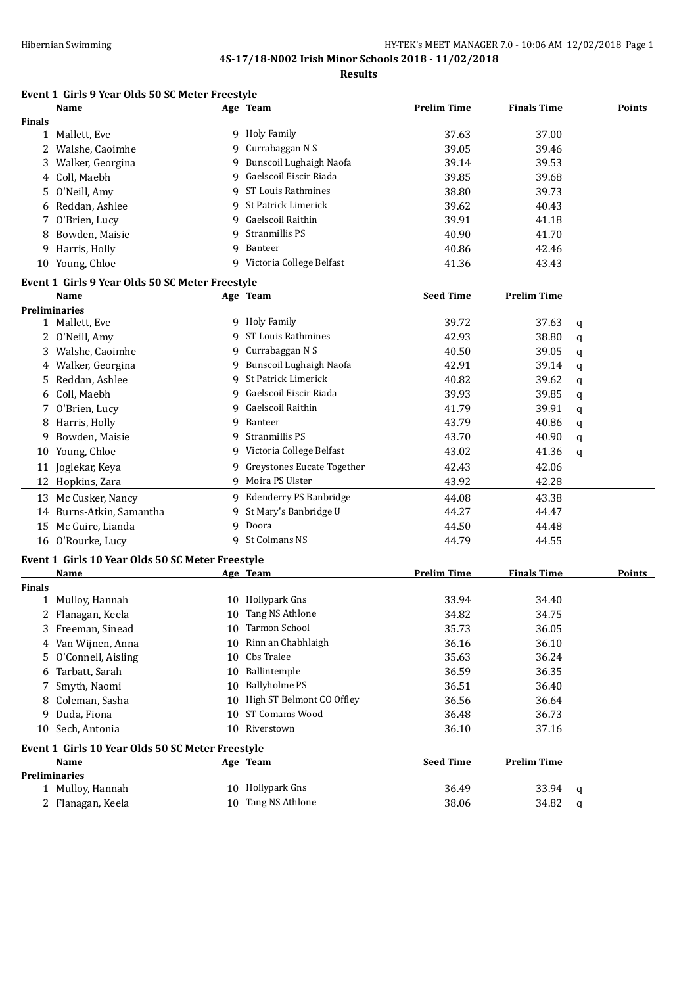**Results**

## **Event 1 Girls 9 Year Olds 50 SC Meter Freestyle**

|               | Name                                             |    | Age Team                     | <b>Prelim Time</b> | <b>Finals Time</b> |   | <b>Points</b> |
|---------------|--------------------------------------------------|----|------------------------------|--------------------|--------------------|---|---------------|
| <b>Finals</b> |                                                  |    |                              |                    |                    |   |               |
|               | 1 Mallett, Eve                                   |    | 9 Holy Family                | 37.63              | 37.00              |   |               |
|               | 2 Walshe, Caoimhe                                | 9  | Currabaggan N S              | 39.05              | 39.46              |   |               |
| 3             | Walker, Georgina                                 | 9  | Bunscoil Lughaigh Naofa      | 39.14              | 39.53              |   |               |
| 4             | Coll, Maebh                                      | 9  | Gaelscoil Eiscir Riada       | 39.85              | 39.68              |   |               |
| 5.            | O'Neill, Amy                                     | 9  | ST Louis Rathmines           | 38.80              | 39.73              |   |               |
| 6             | Reddan, Ashlee                                   | 9  | St Patrick Limerick          | 39.62              | 40.43              |   |               |
| 7             | O'Brien, Lucy                                    | 9  | Gaelscoil Raithin            | 39.91              | 41.18              |   |               |
| 8             | Bowden, Maisie                                   | 9  | Stranmillis PS               | 40.90              | 41.70              |   |               |
| 9             | Harris, Holly                                    | 9  | Banteer                      | 40.86              | 42.46              |   |               |
|               | 10 Young, Chloe                                  |    | 9 Victoria College Belfast   | 41.36              | 43.43              |   |               |
|               | Event 1 Girls 9 Year Olds 50 SC Meter Freestyle  |    |                              |                    |                    |   |               |
|               | Name                                             |    | Age Team                     | <b>Seed Time</b>   | <b>Prelim Time</b> |   |               |
|               | <b>Preliminaries</b>                             |    |                              |                    |                    |   |               |
|               | 1 Mallett, Eve                                   |    | 9 Holy Family                | 39.72              | 37.63              | q |               |
|               | 2 O'Neill, Amy                                   | 9  | ST Louis Rathmines           | 42.93              | 38.80              | q |               |
|               | 3 Walshe, Caoimhe                                | 9  | Currabaggan N S              | 40.50              | 39.05              | q |               |
|               | 4 Walker, Georgina                               |    | 9 Bunscoil Lughaigh Naofa    | 42.91              | 39.14              | q |               |
|               | 5 Reddan, Ashlee                                 |    | 9 St Patrick Limerick        | 40.82              | 39.62              | q |               |
| 6             | Coll, Maebh                                      | 9  | Gaelscoil Eiscir Riada       | 39.93              | 39.85              | q |               |
|               | 7 O'Brien, Lucy                                  | 9  | Gaelscoil Raithin            | 41.79              | 39.91              | q |               |
| 8             | Harris, Holly                                    | 9  | Banteer                      | 43.79              | 40.86              | q |               |
| 9             | Bowden, Maisie                                   | 9  | Stranmillis PS               | 43.70              | 40.90              | q |               |
| 10            | Young, Chloe                                     |    | 9 Victoria College Belfast   | 43.02              | 41.36              | q |               |
|               | 11 Joglekar, Keya                                |    | 9 Greystones Eucate Together | 42.43              | 42.06              |   |               |
|               | 12 Hopkins, Zara                                 |    | 9 Moira PS Ulster            | 43.92              | 42.28              |   |               |
|               | 13 Mc Cusker, Nancy                              |    | 9 Edenderry PS Banbridge     | 44.08              | 43.38              |   |               |
|               | 14 Burns-Atkin, Samantha                         | 9  | St Mary's Banbridge U        | 44.27              | 44.47              |   |               |
|               | 15 Mc Guire, Lianda                              | 9  | Doora                        | 44.50              | 44.48              |   |               |
|               | 16 O'Rourke, Lucy                                |    | 9 St Colmans NS              | 44.79              | 44.55              |   |               |
|               |                                                  |    |                              |                    |                    |   |               |
|               | Event 1 Girls 10 Year Olds 50 SC Meter Freestyle |    |                              |                    |                    |   |               |
|               | Name                                             |    | Age Team                     | <b>Prelim Time</b> | <b>Finals Time</b> |   | <b>Points</b> |
| <b>Finals</b> |                                                  |    |                              |                    |                    |   |               |
|               | 1 Mulloy, Hannah                                 |    | 10 Hollypark Gns             | 33.94              | 34.40              |   |               |
|               | 2 Flanagan, Keela                                |    | 10 Tang NS Athlone           | 34.82              | 34.75              |   |               |
|               | 3 Freeman, Sinead                                |    | 10 Tarmon School             | 35.73              | 36.05              |   |               |
|               | 4 Van Wijnen, Anna                               |    | 10 Rinn an Chabhlaigh        | 36.16              | 36.10              |   |               |
| 5.            | O'Connell, Aisling                               | 10 | Cbs Tralee                   | 35.63              | 36.24              |   |               |
| 6             | Tarbatt, Sarah                                   | 10 | Ballintemple                 | 36.59              | 36.35              |   |               |
| 7             | Smyth, Naomi                                     | 10 | <b>Ballyholme PS</b>         | 36.51              | 36.40              |   |               |
| 8             | Coleman, Sasha                                   |    | 10 High ST Belmont CO Offley | 36.56              | 36.64              |   |               |
|               | 9 Duda, Fiona                                    |    | 10 ST Comams Wood            | 36.48              | 36.73              |   |               |
|               | 10 Sech, Antonia                                 |    | 10 Riverstown                | 36.10              | 37.16              |   |               |
|               | Event 1 Girls 10 Year Olds 50 SC Meter Freestyle |    |                              |                    |                    |   |               |
|               | Name                                             |    | Age Team                     | <b>Seed Time</b>   | <b>Prelim Time</b> |   |               |
|               | <b>Preliminaries</b>                             |    |                              |                    |                    |   |               |
|               | 1 Mulloy, Hannah                                 |    | 10 Hollypark Gns             | 36.49              | 33.94              | q |               |
|               | 2 Flanagan, Keela                                | 10 | Tang NS Athlone              | 38.06              | 34.82              | q |               |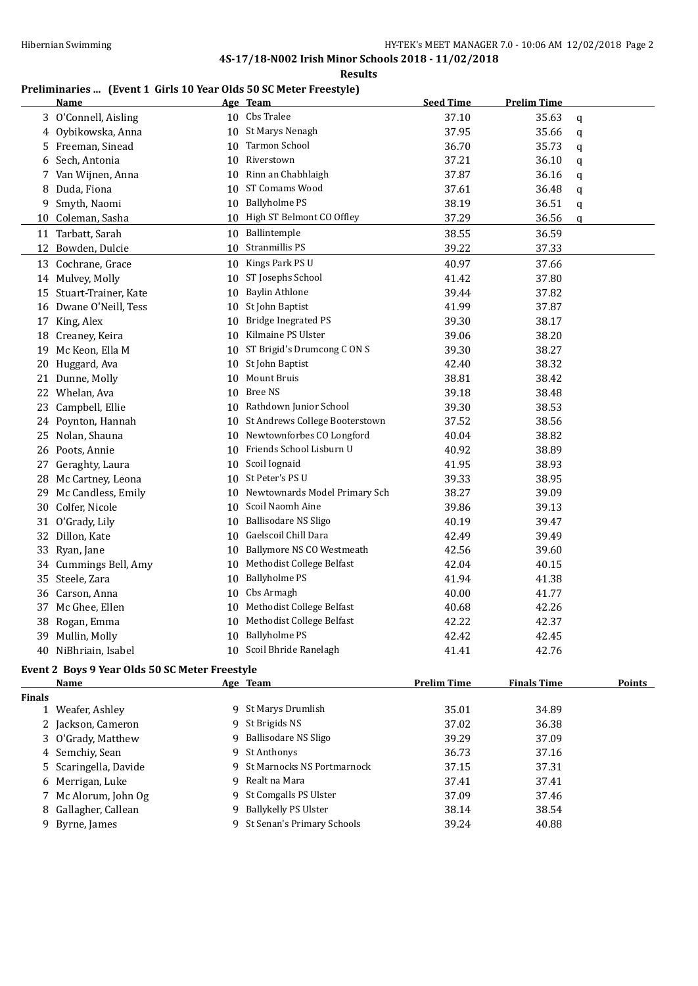#### **Results**

## **Preliminaries ... (Event 1 Girls 10 Year Olds 50 SC Meter Freestyle)**

|    | <b>Name</b>                                    |    | Age Team                       | <b>Seed Time</b>   | <b>Prelim Time</b> |               |
|----|------------------------------------------------|----|--------------------------------|--------------------|--------------------|---------------|
|    | 3 O'Connell, Aisling                           |    | 10 Cbs Tralee                  | 37.10              | 35.63              | q             |
| 4  | Oybikowska, Anna                               |    | 10 St Marys Nenagh             | 37.95              | 35.66              | q             |
| 5  | Freeman, Sinead                                |    | 10 Tarmon School               | 36.70              | 35.73              | q             |
| 6  | Sech, Antonia                                  | 10 | Riverstown                     | 37.21              | 36.10              | q             |
|    | 7 Van Wijnen, Anna                             | 10 | Rinn an Chabhlaigh             | 37.87              | 36.16              | q             |
| 8  | Duda, Fiona                                    | 10 | ST Comams Wood                 | 37.61              | 36.48              | $\mathfrak q$ |
| 9  | Smyth, Naomi                                   |    | 10 Ballyholme PS               | 38.19              | 36.51              | q             |
|    | 10 Coleman, Sasha                              |    | 10 High ST Belmont CO Offley   | 37.29              | 36.56              | q             |
|    | 11 Tarbatt, Sarah                              | 10 | Ballintemple                   | 38.55              | 36.59              |               |
| 12 | Bowden, Dulcie                                 | 10 | Stranmillis PS                 | 39.22              | 37.33              |               |
|    | 13 Cochrane, Grace                             | 10 | Kings Park PS U                | 40.97              | 37.66              |               |
|    | 14 Mulvey, Molly                               |    | 10 ST Josephs School           | 41.42              | 37.80              |               |
|    | 15 Stuart-Trainer, Kate                        | 10 | Baylin Athlone                 | 39.44              | 37.82              |               |
|    | 16 Dwane O'Neill, Tess                         | 10 | St John Baptist                | 41.99              | 37.87              |               |
|    | 17 King, Alex                                  | 10 | <b>Bridge Inegrated PS</b>     | 39.30              | 38.17              |               |
|    | 18 Creaney, Keira                              |    | 10 Kilmaine PS Ulster          | 39.06              | 38.20              |               |
|    | 19 Mc Keon, Ella M                             |    | 10 ST Brigid's Drumcong C ON S | 39.30              | 38.27              |               |
|    | 20 Huggard, Ava                                | 10 | St John Baptist                | 42.40              | 38.32              |               |
| 21 | Dunne, Molly                                   | 10 | <b>Mount Bruis</b>             | 38.81              | 38.42              |               |
|    | 22 Whelan, Ava                                 |    | 10 Bree NS                     | 39.18              | 38.48              |               |
| 23 | Campbell, Ellie                                |    | 10 Rathdown Junior School      | 39.30              | 38.53              |               |
| 24 | Poynton, Hannah                                | 10 | St Andrews College Booterstown | 37.52              | 38.56              |               |
| 25 | Nolan, Shauna                                  | 10 | Newtownforbes CO Longford      | 40.04              | 38.82              |               |
| 26 | Poots, Annie                                   | 10 | Friends School Lisburn U       | 40.92              | 38.89              |               |
| 27 | Geraghty, Laura                                |    | 10 Scoil Iognaid               | 41.95              | 38.93              |               |
|    | 28 Mc Cartney, Leona                           | 10 | St Peter's PS U                | 39.33              | 38.95              |               |
| 29 | Mc Candless, Emily                             | 10 | Newtownards Model Primary Sch  | 38.27              | 39.09              |               |
|    | 30 Colfer, Nicole                              |    | 10 Scoil Naomh Aine            | 39.86              | 39.13              |               |
|    | 31 O'Grady, Lily                               | 10 | <b>Ballisodare NS Sligo</b>    | 40.19              | 39.47              |               |
|    | 32 Dillon, Kate                                |    | 10 Gaelscoil Chill Dara        | 42.49              | 39.49              |               |
|    | 33 Ryan, Jane                                  |    | 10 Ballymore NS CO Westmeath   | 42.56              | 39.60              |               |
| 34 | Cummings Bell, Amy                             | 10 | Methodist College Belfast      | 42.04              | 40.15              |               |
| 35 | Steele, Zara                                   | 10 | <b>Ballyholme PS</b>           | 41.94              | 41.38              |               |
|    | 36 Carson, Anna                                | 10 | Cbs Armagh                     | 40.00              | 41.77              |               |
| 37 | Mc Ghee, Ellen                                 | 10 | Methodist College Belfast      | 40.68              | 42.26              |               |
| 38 | Rogan, Emma                                    | 10 | Methodist College Belfast      | 42.22              | 42.37              |               |
|    | 39 Mullin, Molly                               | 10 | <b>Ballyholme PS</b>           | 42.42              | 42.45              |               |
|    | 40 NiBhriain, Isabel                           | 10 | Scoil Bhride Ranelagh          | 41.41              | 42.76              |               |
|    | Event 2 Boys 9 Year Olds 50 SC Meter Freestyle |    |                                |                    |                    |               |
|    | <u>Name</u>                                    |    | Age Team                       | <b>Prelim Time</b> | <b>Finals Time</b> | <b>Points</b> |

| <b>Finals</b> |                       |    |                              |       |       |
|---------------|-----------------------|----|------------------------------|-------|-------|
|               | 1 Weafer, Ashley      |    | 9 St Marys Drumlish          | 35.01 | 34.89 |
|               | 2 Jackson, Cameron    |    | 9 St Brigids NS              | 37.02 | 36.38 |
|               | 3 O'Grady, Matthew    | 9  | Ballisodare NS Sligo         | 39.29 | 37.09 |
|               | 4 Semchiy, Sean       |    | 9 St Anthonys                | 36.73 | 37.16 |
|               | 5 Scaringella, Davide |    | 9 St Marnocks NS Portmarnock | 37.15 | 37.31 |
|               | 6 Merrigan, Luke      |    | 9 Realt na Mara              | 37.41 | 37.41 |
|               | 7 Mc Alorum, John Og  |    | 9 St Comgalls PS Ulster      | 37.09 | 37.46 |
|               | 8 Gallagher, Callean  | 9. | Ballykelly PS Ulster         | 38.14 | 38.54 |
|               | 9 Byrne, James        |    | 9 St Senan's Primary Schools | 39.24 | 40.88 |
|               |                       |    |                              |       |       |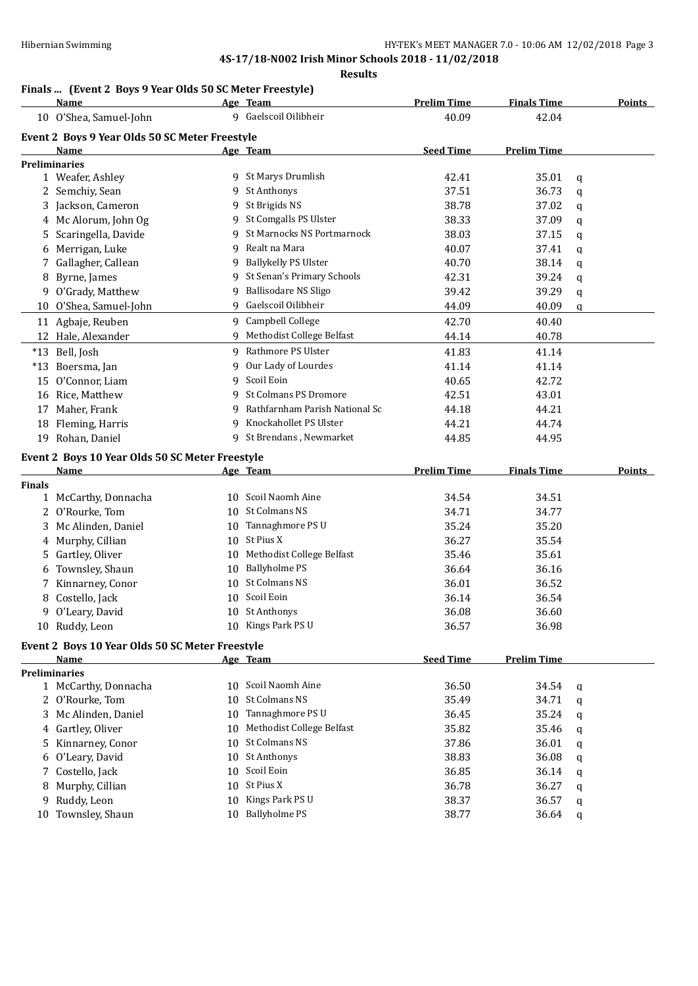#### **Results**

## **Finals ... (Event 2 Boys 9 Year Olds 50 SC Meter Freestyle)**

|               | <b>Name</b>                                     |    | Age Team                            | <b>Prelim Time</b> | <b>Finals Time</b> |   | <b>Points</b> |
|---------------|-------------------------------------------------|----|-------------------------------------|--------------------|--------------------|---|---------------|
|               | 10 O'Shea, Samuel-John                          |    | 9 Gaelscoil Oilibheir               | 40.09              | 42.04              |   |               |
|               | Event 2 Boys 9 Year Olds 50 SC Meter Freestyle  |    |                                     |                    |                    |   |               |
|               | Name                                            |    | Age Team                            | <b>Seed Time</b>   | <b>Prelim Time</b> |   |               |
|               | <b>Preliminaries</b>                            |    |                                     |                    |                    |   |               |
|               | 1 Weafer, Ashley                                |    | 9 St Marys Drumlish                 | 42.41              | 35.01              | q |               |
|               | 2 Semchiy, Sean                                 |    | 9 St Anthonys                       | 37.51              | 36.73              | q |               |
|               | 3 Jackson, Cameron                              |    | 9 St Brigids NS                     | 38.78              | 37.02              | q |               |
|               | 4 Mc Alorum, John Og                            |    | 9 St Comgalls PS Ulster             | 38.33              | 37.09              | q |               |
|               | 5 Scaringella, Davide                           |    | 9 St Marnocks NS Portmarnock        | 38.03              | 37.15              | q |               |
|               | 6 Merrigan, Luke                                | 9. | Realt na Mara                       | 40.07              | 37.41              | q |               |
| 7             | Gallagher, Callean                              |    | 9 Ballykelly PS Ulster              | 40.70              | 38.14              | q |               |
| 8             | Byrne, James                                    |    | 9 St Senan's Primary Schools        | 42.31              | 39.24              | q |               |
|               | 9 O'Grady, Matthew                              |    | 9 Ballisodare NS Sligo              | 39.42              | 39.29              | q |               |
|               | 10 O'Shea, Samuel-John                          |    | 9 Gaelscoil Oilibheir               | 44.09              | 40.09              | q |               |
|               | 11 Agbaje, Reuben                               |    | 9 Campbell College                  | 42.70              | 40.40              |   |               |
|               | 12 Hale, Alexander                              |    | 9 Methodist College Belfast         | 44.14              | 40.78              |   |               |
|               | *13 Bell, Josh                                  |    | 9 Rathmore PS Ulster                | 41.83              | 41.14              |   |               |
| $*13$         | Boersma, Jan                                    |    | 9 Our Lady of Lourdes               | 41.14              | 41.14              |   |               |
|               | 15 O'Connor, Liam                               | 9  | Scoil Eoin                          | 40.65              | 42.72              |   |               |
|               | 16 Rice, Matthew                                | 9  | St Colmans PS Dromore               | 42.51              | 43.01              |   |               |
| 17            | Maher, Frank                                    | 9  | Rathfarnham Parish National Sc      | 44.18              | 44.21              |   |               |
|               | 18 Fleming, Harris                              | 9  | Knockahollet PS Ulster              | 44.21              | 44.74              |   |               |
|               | 19 Rohan, Daniel                                |    | 9 St Brendans, Newmarket            | 44.85              | 44.95              |   |               |
|               |                                                 |    |                                     |                    |                    |   |               |
|               | Event 2 Boys 10 Year Olds 50 SC Meter Freestyle |    |                                     |                    |                    |   |               |
|               | Name                                            |    | Age Team                            | <b>Prelim Time</b> | <b>Finals Time</b> |   | <b>Points</b> |
|               |                                                 |    |                                     |                    |                    |   |               |
| <b>Finals</b> |                                                 |    |                                     |                    |                    |   |               |
|               | 1 McCarthy, Donnacha                            |    | 10 Scoil Naomh Aine                 | 34.54              | 34.51              |   |               |
| 2             | O'Rourke, Tom                                   |    | 10 St Colmans NS                    | 34.71              | 34.77              |   |               |
| 3             | Mc Alinden, Daniel                              |    | 10 Tannaghmore PS U                 | 35.24              | 35.20              |   |               |
|               | 4 Murphy, Cillian                               |    | 10 St Pius X                        | 36.27              | 35.54              |   |               |
|               | 5 Gartley, Oliver                               |    | 10 Methodist College Belfast        | 35.46              | 35.61              |   |               |
| 6             | Townsley, Shaun                                 |    | 10 Ballyholme PS                    | 36.64              | 36.16              |   |               |
|               | 7 Kinnarney, Conor                              |    | 10 St Colmans NS                    | 36.01              | 36.52              |   |               |
|               | 8 Costello, Jack                                |    | 10 Scoil Eoin                       | 36.14              | 36.54              |   |               |
|               | 9 O'Leary, David                                |    | 10 St Anthonys                      | 36.08              | 36.60              |   |               |
|               | 10 Ruddy, Leon                                  |    | 10 Kings Park PS U                  | 36.57              | 36.98              |   |               |
|               | Event 2 Boys 10 Year Olds 50 SC Meter Freestyle |    |                                     |                    |                    |   |               |
|               | Name                                            |    | Age Team                            | <b>Seed Time</b>   | <b>Prelim Time</b> |   |               |
|               | <b>Preliminaries</b>                            |    |                                     |                    |                    |   |               |
|               | 1 McCarthy, Donnacha                            |    | 10 Scoil Naomh Aine                 | 36.50              | 34.54              | q |               |
|               | 2 O'Rourke, Tom                                 |    | 10 St Colmans NS                    | 35.49              | 34.71              | q |               |
|               | 3 Mc Alinden, Daniel                            | 10 | Tannaghmore PS U                    | 36.45              | 35.24              | q |               |
| 4             | Gartley, Oliver                                 | 10 | Methodist College Belfast           | 35.82              | 35.46              | q |               |
| 5             | Kinnarney, Conor                                | 10 | St Colmans NS                       | 37.86              | 36.01              | q |               |
| 6             | O'Leary, David                                  |    | 10 St Anthonys                      | 38.83              | 36.08              | q |               |
| 7             | Costello, Jack                                  | 10 | Scoil Eoin                          | 36.85              | 36.14              | q |               |
| 8             | Murphy, Cillian                                 | 10 | St Pius X                           | 36.78              | 36.27              | q |               |
| 9             | Ruddy, Leon<br>10 Townsley, Shaun               | 10 | Kings Park PS U<br>10 Ballyholme PS | 38.37<br>38.77     | 36.57<br>36.64     | q |               |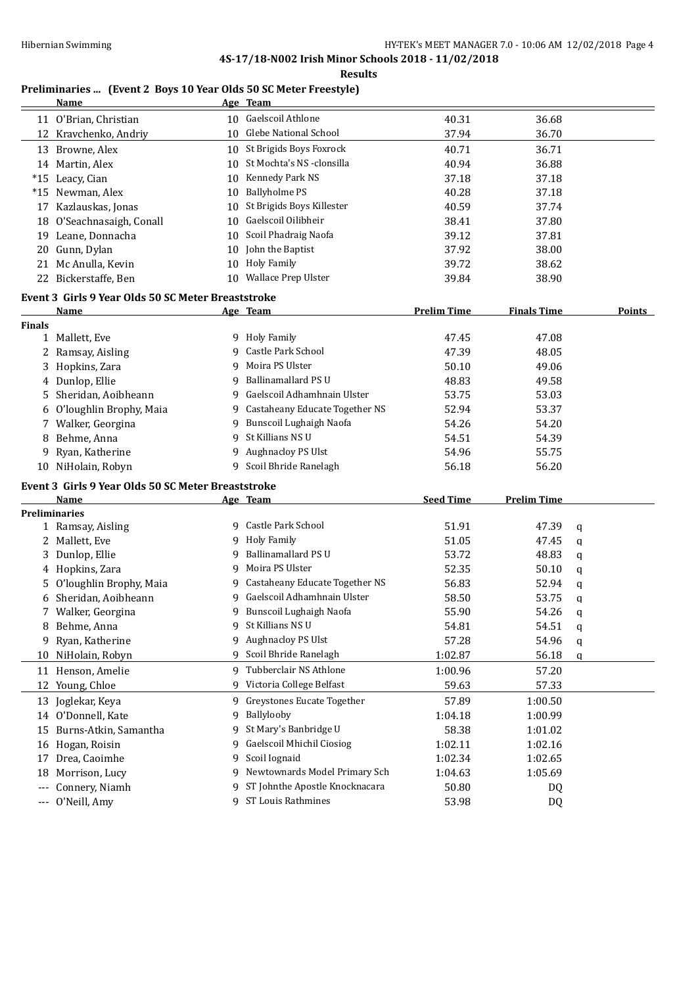**Results**

# **Preliminaries ...** (Event 2 Boys 10 Year Olds 50 SC Meter Freestyle)<br>Name Age Team

|                     | <b>Name</b>                                        |    | Age Team                       |                    |                    |   |        |
|---------------------|----------------------------------------------------|----|--------------------------------|--------------------|--------------------|---|--------|
|                     | 11 O'Brian, Christian                              |    | 10 Gaelscoil Athlone           | 40.31              | 36.68              |   |        |
|                     | 12 Kravchenko, Andriy                              | 10 | <b>Glebe National School</b>   | 37.94              | 36.70              |   |        |
|                     | 13 Browne, Alex                                    |    | 10 St Brigids Boys Foxrock     | 40.71              | 36.71              |   |        |
|                     | 14 Martin, Alex                                    | 10 | St Mochta's NS -clonsilla      | 40.94              | 36.88              |   |        |
|                     | *15 Leacy, Cian                                    | 10 | Kennedy Park NS                | 37.18              | 37.18              |   |        |
|                     | *15 Newman, Alex                                   | 10 | <b>Ballyholme PS</b>           | 40.28              | 37.18              |   |        |
|                     | 17 Kazlauskas, Jonas                               | 10 | St Brigids Boys Killester      | 40.59              | 37.74              |   |        |
|                     | 18 O'Seachnasaigh, Conall                          | 10 | Gaelscoil Oilibheir            | 38.41              | 37.80              |   |        |
|                     | 19 Leane, Donnacha                                 | 10 | Scoil Phadraig Naofa           | 39.12              | 37.81              |   |        |
|                     | 20 Gunn, Dylan                                     | 10 | John the Baptist               | 37.92              | 38.00              |   |        |
|                     | 21 Mc Anulla, Kevin                                | 10 | <b>Holy Family</b>             | 39.72              | 38.62              |   |        |
|                     | 22 Bickerstaffe, Ben                               |    | 10 Wallace Prep Ulster         | 39.84              | 38.90              |   |        |
|                     | Event 3 Girls 9 Year Olds 50 SC Meter Breaststroke |    |                                |                    |                    |   |        |
|                     | Name                                               |    | Age Team                       | <b>Prelim Time</b> | <b>Finals Time</b> |   | Points |
| <b>Finals</b>       |                                                    |    |                                |                    |                    |   |        |
|                     | 1 Mallett, Eve                                     |    | 9 Holy Family                  | 47.45              | 47.08              |   |        |
|                     | 2 Ramsay, Aisling                                  | 9  | Castle Park School             | 47.39              | 48.05              |   |        |
| 3                   | Hopkins, Zara                                      | 9  | Moira PS Ulster                | 50.10              | 49.06              |   |        |
| 4                   | Dunlop, Ellie                                      | 9  | Ballinamallard PS U            | 48.83              | 49.58              |   |        |
| 5                   | Sheridan, Aoibheann                                | 9  | Gaelscoil Adhamhnain Ulster    | 53.75              | 53.03              |   |        |
| 6                   | O'loughlin Brophy, Maia                            | 9  | Castaheany Educate Together NS | 52.94              | 53.37              |   |        |
| 7                   | Walker, Georgina                                   | 9  | Bunscoil Lughaigh Naofa        | 54.26              | 54.20              |   |        |
| 8                   | Behme, Anna                                        | 9  | St Killians NS U               | 54.51              | 54.39              |   |        |
| 9                   | Ryan, Katherine                                    | 9  | Aughnacloy PS Ulst             | 54.96              | 55.75              |   |        |
|                     | 10 NiHolain, Robyn                                 |    | 9 Scoil Bhride Ranelagh        | 56.18              | 56.20              |   |        |
|                     | Event 3 Girls 9 Year Olds 50 SC Meter Breaststroke |    |                                |                    |                    |   |        |
|                     | Name                                               |    | Age Team                       | <b>Seed Time</b>   | <b>Prelim Time</b> |   |        |
|                     | <b>Preliminaries</b>                               |    |                                |                    |                    |   |        |
|                     | 1 Ramsay, Aisling                                  |    | 9 Castle Park School           | 51.91              | 47.39              | q |        |
|                     | 2 Mallett, Eve                                     |    | 9 Holy Family                  | 51.05              | 47.45              | q |        |
|                     | 3 Dunlop, Ellie                                    | q  | Ballinamallard PS U            | 53.72              | 48.83              | q |        |
| 4                   | Hopkins, Zara                                      | 9  | Moira PS Ulster                | 52.35              | 50.10              | q |        |
| 5.                  | O'loughlin Brophy, Maia                            | 9. | Castaheany Educate Together NS | 56.83              | 52.94              | q |        |
| 6                   | Sheridan, Aoibheann                                | 9  | Gaelscoil Adhamhnain Ulster    | 58.50              | 53.75              | q |        |
|                     | 7 Walker, Georgina                                 |    | 9 Bunscoil Lughaigh Naofa      | 55.90              | 54.26              | q |        |
| 8                   | Behme, Anna                                        |    | 9 St Killians NS U             | 54.81              | 54.51              | q |        |
| 9                   | Ryan, Katherine                                    | 9  | Aughnacloy PS Ulst             | 57.28              | 54.96              | q |        |
| 10                  | NiHolain, Robyn                                    | 9  | Scoil Bhride Ranelagh          | 1:02.87            | 56.18              | q |        |
|                     | 11 Henson, Amelie                                  | 9  | Tubberclair NS Athlone         | 1:00.96            | 57.20              |   |        |
|                     | 12 Young, Chloe                                    | 9  | Victoria College Belfast       | 59.63              | 57.33              |   |        |
|                     | 13 Joglekar, Keya                                  | 9  | Greystones Eucate Together     | 57.89              | 1:00.50            |   |        |
| 14                  | O'Donnell, Kate                                    | 9  | Ballylooby                     | 1:04.18            | 1:00.99            |   |        |
| 15                  | Burns-Atkin, Samantha                              | 9  | St Mary's Banbridge U          | 58.38              | 1:01.02            |   |        |
| 16                  | Hogan, Roisin                                      | 9  | Gaelscoil Mhichil Ciosiog      | 1:02.11            | 1:02.16            |   |        |
| 17                  | Drea, Caoimhe                                      | 9  | Scoil Iognaid                  | 1:02.34            | 1:02.65            |   |        |
| 18                  | Morrison, Lucy                                     | 9  | Newtownards Model Primary Sch  | 1:04.63            | 1:05.69            |   |        |
| $---$               | Connery, Niamh                                     | 9  | ST Johnthe Apostle Knocknacara | 50.80              | DQ                 |   |        |
| $\qquad \qquad - -$ | O'Neill, Amy                                       |    | 9 ST Louis Rathmines           | 53.98              | DQ                 |   |        |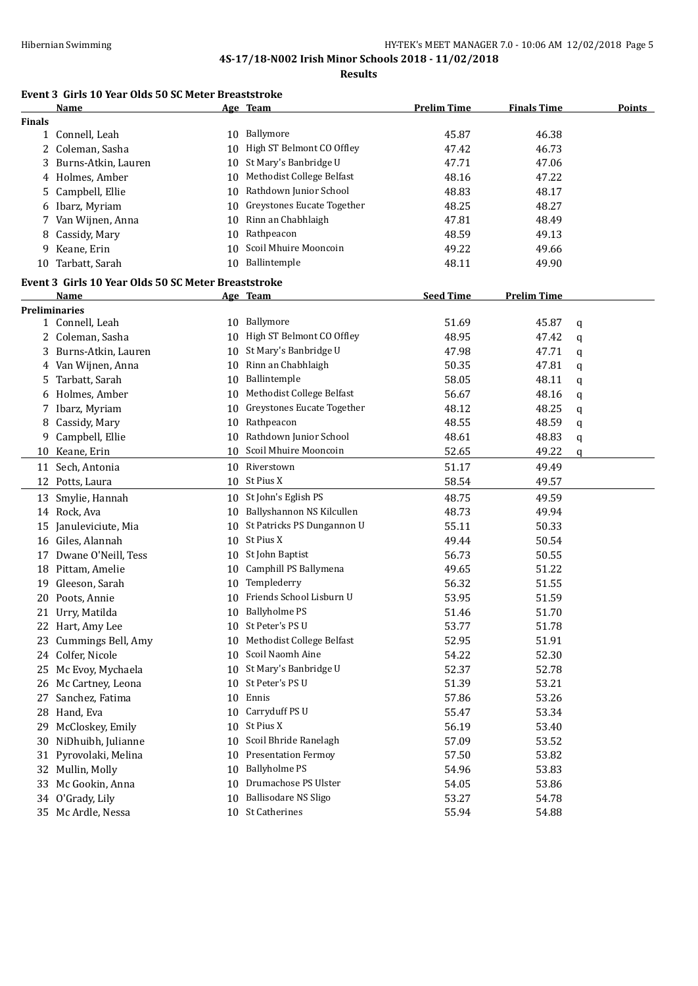**Results**

## **Event 3 Girls 10 Year Olds 50 SC Meter Breaststroke**

|               | <b>Name</b>                                         |    | Age Team                      | <b>Prelim Time</b> | <b>Finals Time</b> | <b>Points</b> |
|---------------|-----------------------------------------------------|----|-------------------------------|--------------------|--------------------|---------------|
| <b>Finals</b> |                                                     |    |                               |                    |                    |               |
|               | 1 Connell, Leah                                     |    | 10 Ballymore                  | 45.87              | 46.38              |               |
|               | 2 Coleman, Sasha                                    | 10 | High ST Belmont CO Offley     | 47.42              | 46.73              |               |
|               | 3 Burns-Atkin, Lauren                               | 10 | St Mary's Banbridge U         | 47.71              | 47.06              |               |
|               | 4 Holmes, Amber                                     | 10 | Methodist College Belfast     | 48.16              | 47.22              |               |
| 5             | Campbell, Ellie                                     | 10 | Rathdown Junior School        | 48.83              | 48.17              |               |
|               | 6 Ibarz, Myriam                                     | 10 | Greystones Eucate Together    | 48.25              | 48.27              |               |
| 7             | Van Wijnen, Anna                                    | 10 | Rinn an Chabhlaigh            | 47.81              | 48.49              |               |
| 8             | Cassidy, Mary                                       | 10 | Rathpeacon                    | 48.59              | 49.13              |               |
| 9             | Keane, Erin                                         | 10 | Scoil Mhuire Mooncoin         | 49.22              | 49.66              |               |
| 10            | Tarbatt, Sarah                                      |    | 10 Ballintemple               | 48.11              | 49.90              |               |
|               |                                                     |    |                               |                    |                    |               |
|               | Event 3 Girls 10 Year Olds 50 SC Meter Breaststroke |    |                               |                    |                    |               |
|               | Name                                                |    | Age Team                      | <b>Seed Time</b>   | <b>Prelim Time</b> |               |
|               | <b>Preliminaries</b><br>1 Connell, Leah             |    | 10 Ballymore                  | 51.69              | 45.87              |               |
|               | 2 Coleman, Sasha                                    |    | 10 High ST Belmont CO Offley  | 48.95              | 47.42              | q             |
|               |                                                     |    | St Mary's Banbridge U         |                    |                    | q             |
|               | 3 Burns-Atkin, Lauren                               | 10 |                               | 47.98              | 47.71              | q             |
|               | 4 Van Wijnen, Anna                                  |    | 10 Rinn an Chabhlaigh         | 50.35              | 47.81              | q             |
| 5             | Tarbatt, Sarah                                      | 10 | Ballintemple                  | 58.05              | 48.11              | q             |
|               | 6 Holmes, Amber                                     | 10 | Methodist College Belfast     | 56.67              | 48.16              | q             |
|               | 7 Ibarz, Myriam                                     | 10 | Greystones Eucate Together    | 48.12              | 48.25              | q             |
| 8             | Cassidy, Mary                                       | 10 | Rathpeacon                    | 48.55              | 48.59              | q             |
| 9             | Campbell, Ellie                                     | 10 | Rathdown Junior School        | 48.61              | 48.83              | q             |
|               | 10 Keane, Erin                                      | 10 | Scoil Mhuire Mooncoin         | 52.65              | 49.22              | q             |
|               | 11 Sech, Antonia                                    |    | 10 Riverstown                 | 51.17              | 49.49              |               |
|               | 12 Potts, Laura                                     |    | 10 St Pius X                  | 58.54              | 49.57              |               |
|               | 13 Smylie, Hannah                                   |    | 10 St John's Eglish PS        | 48.75              | 49.59              |               |
|               | 14 Rock, Ava                                        |    | 10 Ballyshannon NS Kilcullen  | 48.73              | 49.94              |               |
|               | 15 Januleviciute, Mia                               |    | 10 St Patricks PS Dungannon U | 55.11              | 50.33              |               |
|               | 16 Giles, Alannah                                   |    | 10 St Pius X                  | 49.44              | 50.54              |               |
|               | 17 Dwane O'Neill, Tess                              |    | 10 St John Baptist            | 56.73              | 50.55              |               |
|               | 18 Pittam, Amelie                                   | 10 | Camphill PS Ballymena         | 49.65              | 51.22              |               |
| 19            | Gleeson, Sarah                                      |    | 10 Templederry                | 56.32              | 51.55              |               |
|               | 20 Poots, Annie                                     | 10 | Friends School Lisburn U      | 53.95              | 51.59              |               |
|               | 21 Urry, Matilda                                    |    | 10 Ballyholme PS              | 51.46              | 51.70              |               |
|               | 22 Hart, Amy Lee                                    |    | 10 St Peter's PS U            | 53.77              | 51.78              |               |
|               | 23 Cummings Bell, Amy                               |    | 10 Methodist College Belfast  | 52.95              | 51.91              |               |
|               | 24 Colfer, Nicole                                   | 10 | Scoil Naomh Aine              | 54.22              | 52.30              |               |
| 25            | Mc Evoy, Mychaela                                   | 10 | St Mary's Banbridge U         | 52.37              | 52.78              |               |
|               | 26 Mc Cartney, Leona                                |    | 10 St Peter's PS U            | 51.39              | 53.21              |               |
| 27            | Sanchez, Fatima                                     | 10 | Ennis                         | 57.86              | 53.26              |               |
|               | 28 Hand, Eva                                        | 10 | Carryduff PS U                | 55.47              | 53.34              |               |
| 29            | McCloskey, Emily                                    | 10 | St Pius X                     | 56.19              | 53.40              |               |
| 30            | NiDhuibh, Julianne                                  | 10 | Scoil Bhride Ranelagh         | 57.09              | 53.52              |               |
| 31            | Pyrovolaki, Melina                                  | 10 | <b>Presentation Fermoy</b>    | 57.50              | 53.82              |               |
|               | 32 Mullin, Molly                                    | 10 | <b>Ballyholme PS</b>          | 54.96              | 53.83              |               |
| 33            | Mc Gookin, Anna                                     | 10 | Drumachose PS Ulster          | 54.05              |                    |               |
|               |                                                     |    | <b>Ballisodare NS Sligo</b>   |                    | 53.86<br>54.78     |               |
|               | 34 O'Grady, Lily                                    | 10 | 10 St Catherines              | 53.27              |                    |               |
|               | 35 Mc Ardle, Nessa                                  |    |                               | 55.94              | 54.88              |               |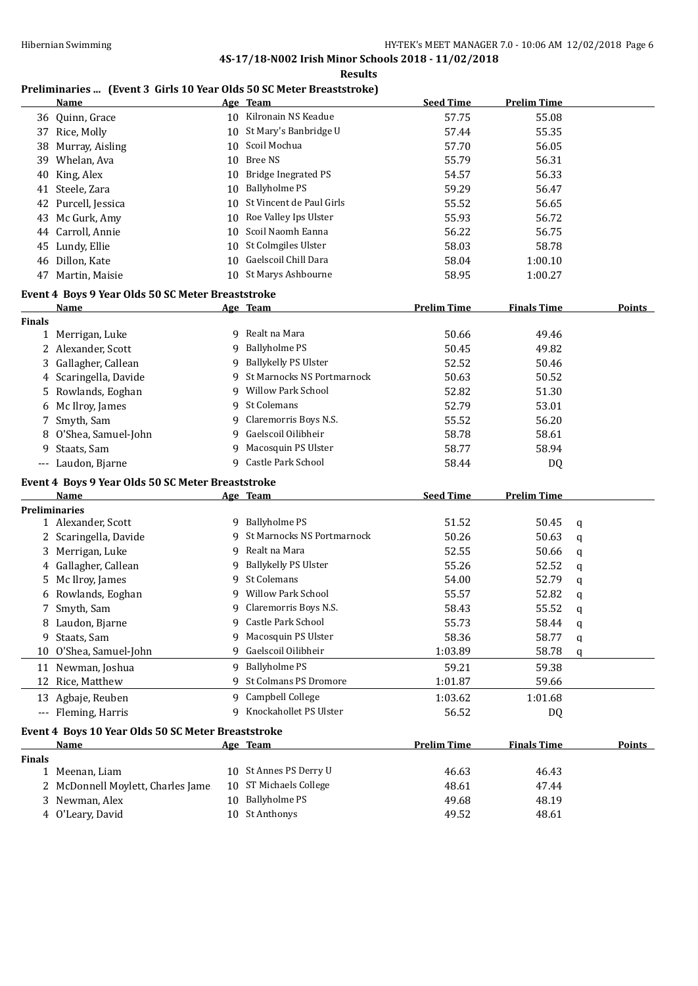#### **Results**

## **Preliminaries ... (Event 3 Girls 10 Year Olds 50 SC Meter Breaststroke)**

|               | <b>Name</b>                                        |    | Age Team                     | <b>Seed Time</b>   | <b>Prelim Time</b> |             |               |
|---------------|----------------------------------------------------|----|------------------------------|--------------------|--------------------|-------------|---------------|
|               | 36 Quinn, Grace                                    |    | 10 Kilronain NS Keadue       | 57.75              | 55.08              |             |               |
| 37            | Rice, Molly                                        | 10 | St Mary's Banbridge U        | 57.44              | 55.35              |             |               |
| 38            | Murray, Aisling                                    | 10 | Scoil Mochua                 | 57.70              | 56.05              |             |               |
|               | 39 Whelan, Ava                                     | 10 | <b>Bree NS</b>               | 55.79              | 56.31              |             |               |
| 40            | King, Alex                                         | 10 | <b>Bridge Inegrated PS</b>   | 54.57              | 56.33              |             |               |
|               | 41 Steele, Zara                                    | 10 | <b>Ballyholme PS</b>         | 59.29              | 56.47              |             |               |
|               | 42 Purcell, Jessica                                | 10 | St Vincent de Paul Girls     | 55.52              | 56.65              |             |               |
|               | 43 Mc Gurk, Amy                                    | 10 | Roe Valley Ips Ulster        | 55.93              | 56.72              |             |               |
|               | 44 Carroll, Annie                                  | 10 | Scoil Naomh Eanna            | 56.22              | 56.75              |             |               |
|               | 45 Lundy, Ellie                                    | 10 | St Colmgiles Ulster          | 58.03              | 58.78              |             |               |
|               | 46 Dillon, Kate                                    | 10 | Gaelscoil Chill Dara         | 58.04              | 1:00.10            |             |               |
|               | 47 Martin, Maisie                                  |    | 10 St Marys Ashbourne        | 58.95              | 1:00.27            |             |               |
|               | Event 4 Boys 9 Year Olds 50 SC Meter Breaststroke  |    |                              |                    |                    |             |               |
|               | <u>Name</u>                                        |    | Age Team                     | <b>Prelim Time</b> | <b>Finals Time</b> |             | Points        |
| <b>Finals</b> |                                                    |    |                              |                    |                    |             |               |
|               | 1 Merrigan, Luke                                   |    | 9 Realt na Mara              | 50.66              | 49.46              |             |               |
|               | 2 Alexander, Scott                                 |    | 9 Ballyholme PS              | 50.45              | 49.82              |             |               |
|               | 3 Gallagher, Callean                               |    | 9 Ballykelly PS Ulster       | 52.52              | 50.46              |             |               |
|               | 4 Scaringella, Davide                              |    | 9 St Marnocks NS Portmarnock | 50.63              | 50.52              |             |               |
| 5.            | Rowlands, Eoghan                                   |    | 9 Willow Park School         | 52.82              | 51.30              |             |               |
|               | 6 Mc Ilroy, James                                  | 9  | St Colemans                  | 52.79              | 53.01              |             |               |
| 7             | Smyth, Sam                                         | 9  | Claremorris Boys N.S.        | 55.52              | 56.20              |             |               |
|               | O'Shea, Samuel-John                                | 9  | Gaelscoil Oilibheir          | 58.78              | 58.61              |             |               |
| 9             | Staats, Sam                                        |    | 9 Macosquin PS Ulster        | 58.77              | 58.94              |             |               |
|               | --- Laudon, Bjarne                                 |    | 9 Castle Park School         | 58.44              | DQ                 |             |               |
|               |                                                    |    |                              |                    |                    |             |               |
|               | Event 4 Boys 9 Year Olds 50 SC Meter Breaststroke  |    |                              |                    |                    |             |               |
|               | Name<br><b>Preliminaries</b>                       |    | Age Team                     | <b>Seed Time</b>   | <b>Prelim Time</b> |             |               |
|               | 1 Alexander, Scott                                 |    | 9 Ballyholme PS              | 51.52              | 50.45              | $\mathbf q$ |               |
|               | 2 Scaringella, Davide                              | 9  | St Marnocks NS Portmarnock   | 50.26              | 50.63              | $\mathbf q$ |               |
| 3.            | Merrigan, Luke                                     | 9  | Realt na Mara                | 52.55              | 50.66              | q           |               |
|               | 4 Gallagher, Callean                               | 9  | Ballykelly PS Ulster         | 55.26              | 52.52              | q           |               |
| 5.            | Mc Ilroy, James                                    |    | 9 St Colemans                | 54.00              | 52.79              | q           |               |
|               | 6 Rowlands, Eoghan                                 |    | 9 Willow Park School         | 55.57              | 52.82              | q           |               |
|               | 7 Smyth, Sam                                       |    | 9 Claremorris Boys N.S.      | 58.43              | 55.52              | q           |               |
|               | 8 Laudon, Bjarne                                   |    | 9 Castle Park School         | 55.73              | 58.44              | ${\bf q}$   |               |
|               | 9 Staats, Sam                                      |    | 9 Macosquin PS Ulster        | 58.36              | 58.77              | q           |               |
|               | 10 O'Shea, Samuel-John                             | 9  | Gaelscoil Oilibheir          | 1:03.89            | 58.78              | q           |               |
|               | 11 Newman, Joshua                                  |    | 9 Ballyholme PS              | 59.21              | 59.38              |             |               |
| 12            | Rice, Matthew                                      |    | <b>St Colmans PS Dromore</b> | 1:01.87            | 59.66              |             |               |
|               |                                                    |    |                              |                    |                    |             |               |
|               | 13 Agbaje, Reuben                                  |    | 9 Campbell College           | 1:03.62            | 1:01.68            |             |               |
|               | --- Fleming, Harris                                | 9  | Knockahollet PS Ulster       | 56.52              | DQ                 |             |               |
|               | Event 4 Boys 10 Year Olds 50 SC Meter Breaststroke |    |                              |                    |                    |             |               |
|               | Name                                               |    | Age Team                     | <b>Prelim Time</b> | <b>Finals Time</b> |             | <b>Points</b> |
| <b>Finals</b> |                                                    |    |                              |                    |                    |             |               |
|               | 1 Meenan, Liam                                     |    | 10 St Annes PS Derry U       | 46.63              | 46.43              |             |               |
| 2.            | McDonnell Moylett, Charles Jame                    | 10 | ST Michaels College          | 48.61              | 47.44              |             |               |
| 3.            | Newman, Alex                                       | 10 | <b>Ballyholme PS</b>         | 49.68              | 48.19              |             |               |
|               | 4 O'Leary, David                                   |    | 10 St Anthonys               | 49.52              | 48.61              |             |               |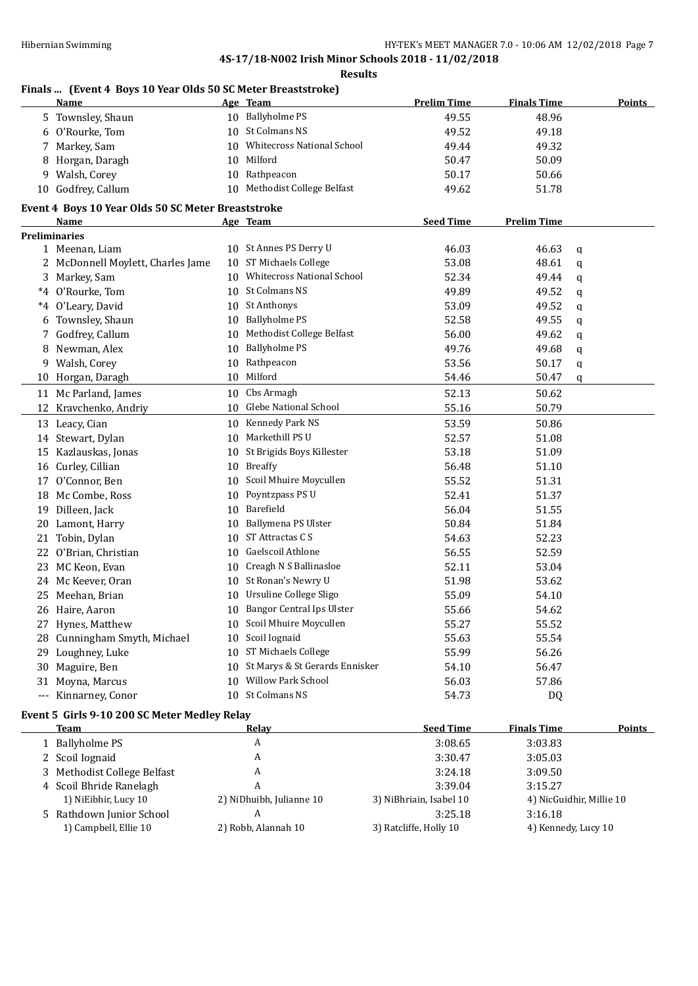#### **Results**

## **Finals ... (Event 4 Boys 10 Year Olds 50 SC Meter Breaststroke)**

|    | <u>Name</u>                                        |    | Age Team                          | <b>Prelim Time</b> | <b>Finals Time</b> | <b>Points</b> |
|----|----------------------------------------------------|----|-----------------------------------|--------------------|--------------------|---------------|
|    | 5 Townsley, Shaun                                  |    | 10 Ballyholme PS                  | 49.55              | 48.96              |               |
|    | 6 O'Rourke, Tom                                    |    | 10 St Colmans NS                  | 49.52              | 49.18              |               |
| 7. | Markey, Sam                                        | 10 | <b>Whitecross National School</b> | 49.44              | 49.32              |               |
| 8  | Horgan, Daragh                                     | 10 | Milford                           | 50.47              | 50.09              |               |
| 9. | Walsh, Corey                                       |    | 10 Rathpeacon                     | 50.17              | 50.66              |               |
|    | 10 Godfrey, Callum                                 |    | 10 Methodist College Belfast      | 49.62              | 51.78              |               |
|    | Event 4 Boys 10 Year Olds 50 SC Meter Breaststroke |    |                                   |                    |                    |               |
|    | Name                                               |    | Age Team                          | <b>Seed Time</b>   | <b>Prelim Time</b> |               |
|    | <b>Preliminaries</b>                               |    |                                   |                    |                    |               |
|    | 1 Meenan, Liam                                     |    | 10 St Annes PS Derry U            | 46.03              | 46.63              | q             |
|    | 2 McDonnell Moylett, Charles Jame                  |    | 10 ST Michaels College            | 53.08              | 48.61              | q             |
|    | 3 Markey, Sam                                      |    | 10 Whitecross National School     | 52.34              | 49.44              | q             |
|    | *4 O'Rourke, Tom                                   |    | 10 St Colmans NS                  | 49.89              | 49.52              | q             |
|    | *4 O'Leary, David                                  |    | 10 St Anthonys                    | 53.09              | 49.52              | q             |
| 6  | Townsley, Shaun                                    | 10 | <b>Ballyholme PS</b>              | 52.58              | 49.55              | q             |
| 7  | Godfrey, Callum                                    | 10 | Methodist College Belfast         | 56.00              | 49.62              | q             |
| 8  | Newman, Alex                                       | 10 | <b>Ballyholme PS</b>              | 49.76              | 49.68              | q             |
|    | 9 Walsh, Corey                                     | 10 | Rathpeacon                        | 53.56              | 50.17              | q             |
| 10 | Horgan, Daragh                                     |    | 10 Milford                        | 54.46              | 50.47              | q             |
|    | 11 Mc Parland, James                               |    | 10 Cbs Armagh                     | 52.13              | 50.62              |               |
|    | 12 Kravchenko, Andriy                              | 10 | Glebe National School             | 55.16              | 50.79              |               |
|    | 13 Leacy, Cian                                     |    | 10 Kennedy Park NS                | 53.59              | 50.86              |               |
|    | 14 Stewart, Dylan                                  |    | 10 Markethill PS U                | 52.57              | 51.08              |               |
| 15 | Kazlauskas, Jonas                                  | 10 | St Brigids Boys Killester         | 53.18              | 51.09              |               |
|    | 16 Curley, Cillian                                 | 10 | <b>Breaffy</b>                    | 56.48              | 51.10              |               |
|    | 17 O'Connor, Ben                                   | 10 | Scoil Mhuire Moycullen            | 55.52              | 51.31              |               |
|    | 18 Mc Combe, Ross                                  | 10 | Poyntzpass PS U                   | 52.41              | 51.37              |               |
| 19 | Dilleen, Jack                                      | 10 | Barefield                         | 56.04              | 51.55              |               |
|    | 20 Lamont, Harry                                   | 10 | Ballymena PS Ulster               | 50.84              | 51.84              |               |
| 21 | Tobin, Dylan                                       | 10 | ST Attractas C S                  | 54.63              | 52.23              |               |
| 22 | O'Brian, Christian                                 | 10 | Gaelscoil Athlone                 | 56.55              | 52.59              |               |
| 23 | MC Keon, Evan                                      | 10 | Creagh N S Ballinasloe            | 52.11              | 53.04              |               |
| 24 | Mc Keever, Oran                                    | 10 | St Ronan's Newry U                | 51.98              | 53.62              |               |
| 25 | Meehan, Brian                                      | 10 | Ursuline College Sligo            | 55.09              | 54.10              |               |
|    | 26 Haire, Aaron                                    |    | 10 Bangor Central Ips Ulster      | 55.66              | 54.62              |               |
|    | 27 Hynes, Matthew                                  |    | 10 Scoil Mhuire Moycullen         | 55.27              | 55.52              |               |
|    | 28 Cunningham Smyth, Michael                       | 10 | Scoil Iognaid                     | 55.63              | 55.54              |               |
|    | 29 Loughney, Luke                                  |    | 10 ST Michaels College            | 55.99              | 56.26              |               |
|    | 30 Maguire, Ben                                    | 10 | St Marys & St Gerards Ennisker    | 54.10              | 56.47              |               |
|    | 31 Moyna, Marcus                                   |    | 10 Willow Park School             | 56.03              | 57.86              |               |
|    | --- Kinnarney, Conor                               |    | 10 St Colmans NS                  | 54.73              | DQ                 |               |
|    | Event 5 Girls 9-10 200 SC Meter Medley Relay       |    |                                   |                    |                    |               |

| Team                        | Relay                    | <b>Seed Time</b>        | <b>Finals Time</b>       | <b>Points</b> |
|-----------------------------|--------------------------|-------------------------|--------------------------|---------------|
| 1 Ballyholme PS             | A                        | 3:08.65                 | 3:03.83                  |               |
| 2 Scoil Iognaid             | A                        | 3:30.47                 | 3:05.03                  |               |
| 3 Methodist College Belfast | A                        | 3:24.18                 | 3:09.50                  |               |
| 4 Scoil Bhride Ranelagh     | A                        | 3:39.04                 | 3:15.27                  |               |
| 1) NiEibhir, Lucy 10        | 2) NiDhuibh, Julianne 10 | 3) NiBhriain, Isabel 10 | 4) NicGuidhir, Millie 10 |               |
| 5 Rathdown Junior School    | A                        | 3:25.18                 | 3:16.18                  |               |
| 1) Campbell, Ellie 10       | 2) Robb, Alannah 10      | 3) Ratcliffe, Holly 10  | 4) Kennedy, Lucy 10      |               |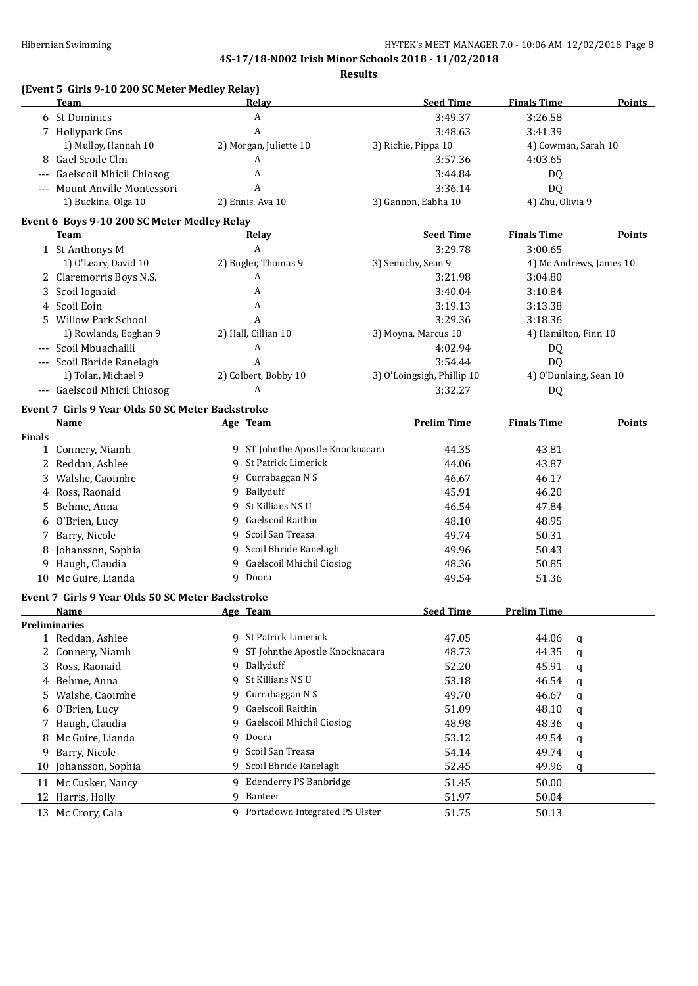**Results**

|               | (Event 5 Girls 9-10 200 SC Meter Medley Relay)<br>Team |              | Relay                            | <b>Seed Time</b>           | <b>Finals Time</b> | <b>Points</b>           |
|---------------|--------------------------------------------------------|--------------|----------------------------------|----------------------------|--------------------|-------------------------|
|               | 6 St Dominics                                          |              | A                                | 3:49.37                    | 3:26.58            |                         |
|               | 7 Hollypark Gns                                        |              | A                                | 3:48.63                    | 3:41.39            |                         |
|               | 1) Mulloy, Hannah 10                                   |              | 2) Morgan, Juliette 10           | 3) Richie, Pippa 10        |                    | 4) Cowman, Sarah 10     |
|               | 8 Gael Scoile Clm                                      |              | A                                | 3:57.36                    | 4:03.65            |                         |
| $---$         | <b>Gaelscoil Mhicil Chiosog</b>                        |              | A                                | 3:44.84                    | DQ                 |                         |
|               | --- Mount Anville Montessori                           |              | A                                | 3:36.14                    | DQ                 |                         |
|               | 1) Buckina, Olga 10                                    |              | 2) Ennis, Ava 10                 | 3) Gannon, Eabha 10        | 4) Zhu, Olivia 9   |                         |
|               | Event 6 Boys 9-10 200 SC Meter Medley Relay            |              |                                  |                            |                    |                         |
|               | Team                                                   |              | Relay                            | <b>Seed Time</b>           | <b>Finals Time</b> | <b>Points</b>           |
|               | 1 St Anthonys M                                        |              | A                                | 3:29.78                    | 3:00.65            |                         |
|               | 1) O'Leary, David 10                                   |              | 2) Bugler, Thomas 9              | 3) Semichy, Sean 9         |                    | 4) Mc Andrews, James 10 |
|               | 2 Claremorris Boys N.S.                                |              | A                                | 3:21.98                    | 3:04.80            |                         |
|               | 3 Scoil Iognaid                                        |              | A                                | 3:40.04                    | 3:10.84            |                         |
|               | 4 Scoil Eoin                                           |              | A                                | 3:19.13                    | 3:13.38            |                         |
|               | 5 Willow Park School                                   |              | A                                | 3:29.36                    | 3:18.36            |                         |
|               | 1) Rowlands, Eoghan 9                                  |              | 2) Hall, Cillian 10              | 3) Moyna, Marcus 10        |                    | 4) Hamilton, Finn 10    |
|               | --- Scoil Mbuachailli                                  |              | A                                | 4:02.94                    | DQ                 |                         |
|               | --- Scoil Bhride Ranelagh                              |              | A                                | 3:54.44                    | DQ                 |                         |
|               | 1) Tolan, Michael 9                                    |              | 2) Colbert, Bobby 10             | 3) O'Loingsigh, Phillip 10 |                    | 4) O'Dunlaing, Sean 10  |
|               | --- Gaelscoil Mhicil Chiosog                           |              | A                                | 3:32.27                    | <b>DQ</b>          |                         |
|               | Event 7 Girls 9 Year Olds 50 SC Meter Backstroke       |              |                                  |                            |                    |                         |
|               | <b>Name</b>                                            |              | Age Team                         | <b>Prelim Time</b>         | <b>Finals Time</b> | Points                  |
| <b>Finals</b> |                                                        |              |                                  |                            |                    |                         |
|               | 1 Connery, Niamh                                       |              | 9 ST Johnthe Apostle Knocknacara | 44.35                      | 43.81              |                         |
|               | 2 Reddan, Ashlee                                       |              | 9 St Patrick Limerick            | 44.06                      | 43.87              |                         |
|               | 3 Walshe, Caoimhe                                      |              | 9 Currabaggan N S                | 46.67                      | 46.17              |                         |
| 4             | Ross, Raonaid                                          |              | 9 Ballyduff                      | 45.91                      | 46.20              |                         |
| 5.            | Behme, Anna                                            | 9            | St Killians NS U                 | 46.54                      | 47.84              |                         |
| 6             | O'Brien, Lucy                                          | 9            | Gaelscoil Raithin                | 48.10                      | 48.95              |                         |
|               | 7 Barry, Nicole                                        | 9            | Scoil San Treasa                 | 49.74                      | 50.31              |                         |
|               | 8 Johansson, Sophia                                    | 9            | Scoil Bhride Ranelagh            | 49.96                      | 50.43              |                         |
|               | 9 Haugh, Claudia                                       | 9            | Gaelscoil Mhichil Ciosiog        | 48.36                      | 50.85              |                         |
|               | 10 Mc Guire, Lianda                                    | 9            | Doora                            | 49.54                      | 51.36              |                         |
|               | Event 7 Girls 9 Year Olds 50 SC Meter Backstroke       |              |                                  |                            |                    |                         |
|               | Name                                                   |              |                                  | <b>Seed Time</b>           | <b>Prelim Time</b> |                         |
|               | <b>Preliminaries</b>                                   |              |                                  |                            |                    |                         |
|               | 1 Reddan, Ashlee                                       |              | 9 St Patrick Limerick            | 47.05                      | 44.06              | q                       |
| 2             | Connery, Niamh                                         | 9            | ST Johnthe Apostle Knocknacara   | 48.73                      | 44.35              | $\mathbf q$             |
| 3             | Ross, Raonaid                                          | 9            | Ballyduff                        | 52.20                      | 45.91              | $\mathbf q$             |
| 4             | Behme, Anna                                            | 9            | St Killians NS U                 | 53.18                      | 46.54              | q                       |
| 5             | Walshe, Caoimhe                                        | 9            | Currabaggan N S                  | 49.70                      | 46.67              |                         |
| 6             | O'Brien, Lucy                                          | 9            | Gaelscoil Raithin                | 51.09                      | 48.10              | q                       |
|               |                                                        | 9            | Gaelscoil Mhichil Ciosiog        |                            | 48.36              | q                       |
| 7             | Haugh, Claudia                                         |              | Doora                            | 48.98                      |                    | q                       |
| 8             | Mc Guire, Lianda                                       | 9            |                                  | 53.12                      | 49.54              | q                       |
| 9             | Barry, Nicole                                          | $\mathbf{q}$ | Scoil San Treasa                 | 54.14                      | 49.74              | q                       |
| 10            | Johansson, Sophia                                      | 9            | Scoil Bhride Ranelagh            | 52.45                      | 49.96              | q                       |
| 11            | Mc Cusker, Nancy                                       | 9            | Edenderry PS Banbridge           | 51.45                      | 50.00              |                         |
| 12            | Harris, Holly                                          | 9            | Banteer                          | 51.97                      | 50.04              |                         |
|               | 13 Mc Crory, Cala                                      |              | 9 Portadown Integrated PS Ulster | 51.75                      | 50.13              |                         |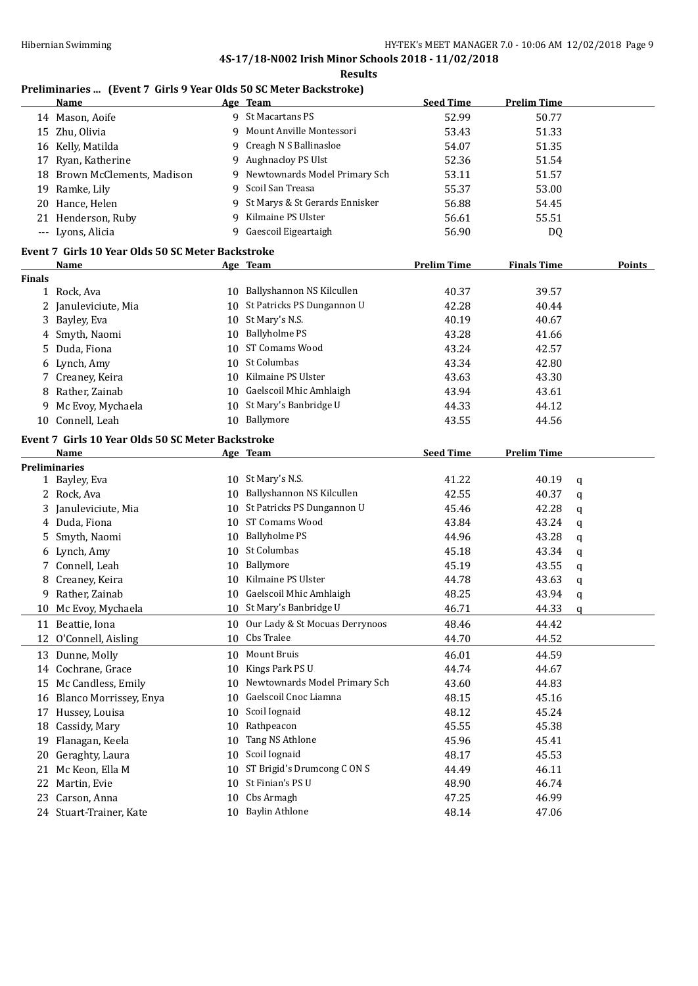#### **Results**

## **Preliminaries ... (Event 7 Girls 9 Year Olds 50 SC Meter Backstroke)**

|               | <b>Name</b>                                                      |    | Age Team                          | <b>Seed Time</b>   | <b>Prelim Time</b> |             |
|---------------|------------------------------------------------------------------|----|-----------------------------------|--------------------|--------------------|-------------|
|               | 14 Mason, Aoife                                                  |    | 9 St Macartans PS                 | 52.99              | 50.77              |             |
|               | 15 Zhu, Olivia                                                   |    | 9 Mount Anville Montessori        | 53.43              | 51.33              |             |
|               | 16 Kelly, Matilda                                                |    | 9 Creagh N S Ballinasloe          | 54.07              | 51.35              |             |
| 17            | Ryan, Katherine                                                  |    | 9 Aughnacloy PS Ulst              | 52.36              | 51.54              |             |
|               | 18 Brown McClements, Madison                                     |    | 9 Newtownards Model Primary Sch   | 53.11              | 51.57              |             |
|               | 19 Ramke, Lily                                                   |    | 9 Scoil San Treasa                | 55.37              | 53.00              |             |
|               | 20 Hance, Helen                                                  |    | 9 St Marys & St Gerards Ennisker  | 56.88              | 54.45              |             |
|               | 21 Henderson, Ruby                                               |    | 9 Kilmaine PS Ulster              | 56.61              | 55.51              |             |
|               | --- Lyons, Alicia                                                |    | 9 Gaescoil Eigeartaigh            | 56.90              | DQ                 |             |
|               |                                                                  |    |                                   |                    |                    |             |
|               | Event 7 Girls 10 Year Olds 50 SC Meter Backstroke<br><b>Name</b> |    | Age Team                          | <b>Prelim Time</b> | <b>Finals Time</b> | Points      |
| <b>Finals</b> |                                                                  |    |                                   |                    |                    |             |
|               | 1 Rock, Ava                                                      |    | 10 Ballyshannon NS Kilcullen      | 40.37              | 39.57              |             |
|               | 2 Januleviciute, Mia                                             |    | 10 St Patricks PS Dungannon U     | 42.28              | 40.44              |             |
|               | 3 Bayley, Eva                                                    |    | 10 St Mary's N.S.                 | 40.19              | 40.67              |             |
|               | 4 Smyth, Naomi                                                   |    | 10 Ballyholme PS                  | 43.28              | 41.66              |             |
| 5.            | Duda, Fiona                                                      |    | 10 ST Comams Wood                 | 43.24              | 42.57              |             |
|               | 6 Lynch, Amy                                                     |    | 10 St Columbas                    | 43.34              | 42.80              |             |
|               | 7 Creaney, Keira                                                 |    | 10 Kilmaine PS Ulster             | 43.63              | 43.30              |             |
| 8             | Rather, Zainab                                                   |    | 10 Gaelscoil Mhic Amhlaigh        | 43.94              | 43.61              |             |
|               | Mc Evoy, Mychaela                                                |    | 10 St Mary's Banbridge U          | 44.33              | 44.12              |             |
| 9             | 10 Connell, Leah                                                 |    | 10 Ballymore                      | 43.55              | 44.56              |             |
|               |                                                                  |    |                                   |                    |                    |             |
|               | Event 7 Girls 10 Year Olds 50 SC Meter Backstroke                |    |                                   |                    |                    |             |
|               | <b>Name</b>                                                      |    | Age Team                          | <b>Seed Time</b>   | <b>Prelim Time</b> |             |
|               | <b>Preliminaries</b>                                             |    |                                   |                    |                    |             |
|               | 1 Bayley, Eva                                                    |    | 10 St Mary's N.S.                 | 41.22              | 40.19              | $\mathbf q$ |
|               | 2 Rock, Ava                                                      |    | 10 Ballyshannon NS Kilcullen      | 42.55              | 40.37              | $\mathbf q$ |
| 3             | Januleviciute, Mia                                               |    | 10 St Patricks PS Dungannon U     | 45.46              | 42.28              | q           |
| 4             | Duda, Fiona                                                      |    | 10 ST Comams Wood                 | 43.84              | 43.24              | q           |
| 5             | Smyth, Naomi                                                     |    | 10 Ballyholme PS                  | 44.96              | 43.28              | q           |
|               | 6 Lynch, Amy                                                     |    | 10 St Columbas                    | 45.18              | 43.34              | q           |
|               | 7 Connell, Leah                                                  |    | 10 Ballymore                      | 45.19              | 43.55              | q           |
|               | 8 Creaney, Keira                                                 |    | 10 Kilmaine PS Ulster             | 44.78              | 43.63              | q           |
| 9             | Rather, Zainab                                                   |    | 10 Gaelscoil Mhic Amhlaigh        | 48.25              | 43.94              | q           |
|               | 10 Mc Evoy, Mychaela                                             |    | 10 St Mary's Banbridge U          | 46.71              | 44.33              | q           |
|               | 11 Beattie, Iona                                                 |    | 10 Our Lady & St Mocuas Derrynoos | 48.46              | 44.42              |             |
|               | 12 O'Connell, Aisling                                            | 10 | Cbs Tralee                        | 44.70              | 44.52              |             |
|               | 13 Dunne, Molly                                                  | 10 | Mount Bruis                       | 46.01              | 44.59              |             |
|               | 14 Cochrane, Grace                                               | 10 | Kings Park PS U                   | 44.74              | 44.67              |             |
| 15            | Mc Candless, Emily                                               | 10 | Newtownards Model Primary Sch     | 43.60              | 44.83              |             |
|               | 16 Blanco Morrissey, Enya                                        | 10 | Gaelscoil Cnoc Liamna             | 48.15              | 45.16              |             |
| 17            | Hussey, Louisa                                                   | 10 | Scoil Iognaid                     | 48.12              | 45.24              |             |
|               | 18 Cassidy, Mary                                                 | 10 | Rathpeacon                        | 45.55              | 45.38              |             |
| 19            | Flanagan, Keela                                                  | 10 | Tang NS Athlone                   | 45.96              | 45.41              |             |
| 20            | Geraghty, Laura                                                  | 10 | Scoil Iognaid                     | 48.17              | 45.53              |             |
|               | 21 Mc Keon, Ella M                                               | 10 | ST Brigid's Drumcong CONS         | 44.49              | 46.11              |             |
|               | 22 Martin, Evie                                                  | 10 | St Finian's PS U                  | 48.90              | 46.74              |             |
|               | 23 Carson, Anna                                                  | 10 | Cbs Armagh                        | 47.25              | 46.99              |             |
|               | 24 Stuart-Trainer, Kate                                          |    | 10 Baylin Athlone                 | 48.14              | 47.06              |             |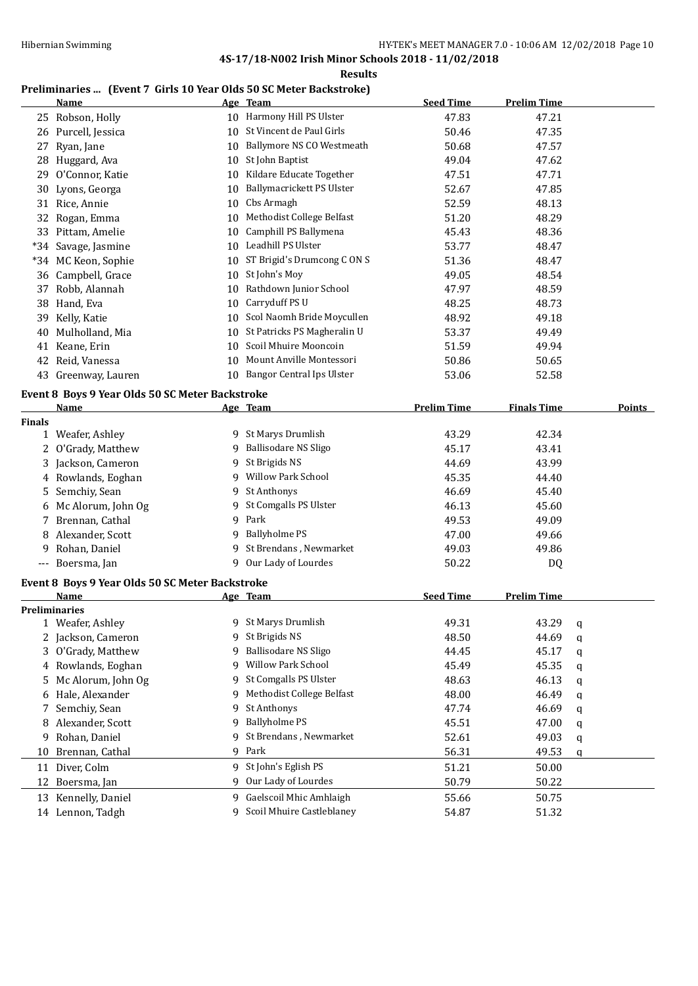**Results**

# **Preliminaries ... (Event 7. Cirls 10 Year Olds 50 SC Meter Backstroke)**

|               | Freudinalies  [Event / Girls To Teal Olus 30 Sc Meter Dackstroke]<br><u>Name</u> |    | Age Team                       | <b>Seed Time</b>   | <b>Prelim Time</b> |   |        |
|---------------|----------------------------------------------------------------------------------|----|--------------------------------|--------------------|--------------------|---|--------|
|               | 25 Robson, Holly                                                                 |    | 10 Harmony Hill PS Ulster      | 47.83              | 47.21              |   |        |
|               | 26 Purcell, Jessica                                                              |    | 10 St Vincent de Paul Girls    | 50.46              | 47.35              |   |        |
|               | 27 Ryan, Jane                                                                    |    | 10 Ballymore NS CO Westmeath   | 50.68              | 47.57              |   |        |
|               | 28 Huggard, Ava                                                                  |    | 10 St John Baptist             | 49.04              | 47.62              |   |        |
|               | 29 O'Connor, Katie                                                               |    | 10 Kildare Educate Together    | 47.51              | 47.71              |   |        |
|               | 30 Lyons, Georga                                                                 |    | 10 Ballymacrickett PS Ulster   | 52.67              | 47.85              |   |        |
|               | 31 Rice, Annie                                                                   |    | 10 Cbs Armagh                  | 52.59              | 48.13              |   |        |
|               | 32 Rogan, Emma                                                                   | 10 | Methodist College Belfast      | 51.20              | 48.29              |   |        |
|               | 33 Pittam, Amelie                                                                |    | 10 Camphill PS Ballymena       | 45.43              | 48.36              |   |        |
|               | *34 Savage, Jasmine                                                              |    | 10 Leadhill PS Ulster          | 53.77              | 48.47              |   |        |
|               | *34 MC Keon, Sophie                                                              |    | 10 ST Brigid's Drumcong CONS   | 51.36              | 48.47              |   |        |
|               | 36 Campbell, Grace                                                               |    | 10 St John's Moy               | 49.05              | 48.54              |   |        |
|               | 37 Robb, Alannah                                                                 | 10 | Rathdown Junior School         | 47.97              | 48.59              |   |        |
|               | 38 Hand, Eva                                                                     | 10 | Carryduff PS U                 | 48.25              | 48.73              |   |        |
|               | 39 Kelly, Katie                                                                  | 10 | Scol Naomh Bride Moycullen     | 48.92              | 49.18              |   |        |
|               | 40 Mulholland, Mia                                                               |    | 10 St Patricks PS Magheralin U | 53.37              | 49.49              |   |        |
|               | 41 Keane, Erin                                                                   | 10 | Scoil Mhuire Mooncoin          | 51.59              | 49.94              |   |        |
|               | 42 Reid, Vanessa                                                                 |    | 10 Mount Anville Montessori    | 50.86              | 50.65              |   |        |
|               | 43 Greenway, Lauren                                                              |    | 10 Bangor Central Ips Ulster   | 53.06              | 52.58              |   |        |
|               | Event 8 Boys 9 Year Olds 50 SC Meter Backstroke                                  |    |                                |                    |                    |   |        |
|               | Name                                                                             |    | Age Team                       | <b>Prelim Time</b> | <b>Finals Time</b> |   | Points |
| <b>Finals</b> |                                                                                  |    |                                |                    |                    |   |        |
|               | 1 Weafer, Ashley                                                                 |    | 9 St Marys Drumlish            | 43.29              | 42.34              |   |        |
|               | 2 O'Grady, Matthew                                                               |    | 9 Ballisodare NS Sligo         | 45.17              | 43.41              |   |        |
|               | 3 Jackson, Cameron                                                               |    | 9 St Brigids NS                | 44.69              | 43.99              |   |        |
|               | 4 Rowlands, Eoghan                                                               |    | 9 Willow Park School           | 45.35              | 44.40              |   |        |
|               | 5 Semchiy, Sean                                                                  |    | 9 St Anthonys                  | 46.69              | 45.40              |   |        |
|               | 6 Mc Alorum, John Og                                                             | 9  | St Comgalls PS Ulster          | 46.13              | 45.60              |   |        |
|               | 7 Brennan, Cathal                                                                |    | 9 Park                         | 49.53              | 49.09              |   |        |
|               | 8 Alexander, Scott                                                               |    | 9 Ballyholme PS                | 47.00              | 49.66              |   |        |
| 9             | Rohan, Daniel                                                                    |    | 9 St Brendans, Newmarket       | 49.03              | 49.86              |   |        |
|               | --- Boersma, Jan                                                                 |    | 9 Our Lady of Lourdes          | 50.22              | DQ                 |   |        |
|               | Event 8 Boys 9 Year Olds 50 SC Meter Backstroke                                  |    |                                |                    |                    |   |        |
|               | Name                                                                             |    | Age Team                       | <b>Seed Time</b>   | <b>Prelim Time</b> |   |        |
|               | <b>Preliminaries</b>                                                             |    |                                |                    |                    |   |        |
|               | 1 Weafer, Ashley                                                                 | 9. | St Marys Drumlish              | 49.31              | 43.29              | q |        |
|               | 2 Jackson, Cameron                                                               | 9  | St Brigids NS                  | 48.50              | 44.69              | q |        |
| 3             | O'Grady, Matthew                                                                 | 9  | <b>Ballisodare NS Sligo</b>    | 44.45              | 45.17              | q |        |
|               | 4 Rowlands, Eoghan                                                               | 9  | Willow Park School             | 45.49              | 45.35              | q |        |
| 5             | Mc Alorum, John Og                                                               | 9  | St Comgalls PS Ulster          | 48.63              | 46.13              | q |        |
|               | 6 Hale, Alexander                                                                | 9  | Methodist College Belfast      | 48.00              | 46.49              | q |        |
| 7             | Semchiy, Sean                                                                    | 9  | St Anthonys                    | 47.74              | 46.69              | q |        |
|               | 8 Alexander, Scott                                                               | 9  | <b>Ballyholme PS</b>           | 45.51              | 47.00              | q |        |
|               | 9 Rohan, Daniel                                                                  | 9  | St Brendans, Newmarket         | 52.61              | 49.03              | q |        |
|               | 10 Brennan, Cathal                                                               | 9  | Park                           | 56.31              | 49.53              | q |        |
|               | 11 Diver, Colm                                                                   |    | 9 St John's Eglish PS          | 51.21              | 50.00              |   |        |

12 Boersma, Jan 12 Boersma, Jan 19 Our Lady of Lourdes 50.79 50.22

13 Kennelly, Daniel **9 Gaelscoil Mhic Amhlaigh** 55.66 50.75 14 Lennon, Tadgh 9 Scoil Mhuire Castleblaney 54.87 51.32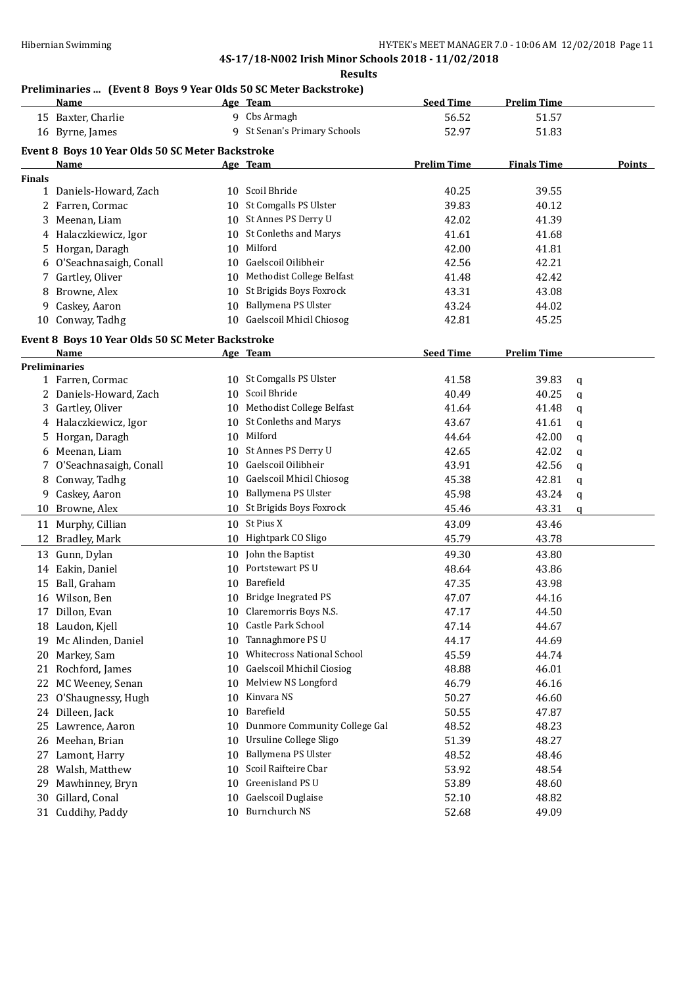**Results**

#### **Preliminaries ... (Event 8 Boys 9 Year Olds 50 SC Meter Backstroke)**

|               | <u>Name</u>                                      |    | Age Team                          | <b>Seed Time</b>   | <b>Prelim Time</b> |             |               |
|---------------|--------------------------------------------------|----|-----------------------------------|--------------------|--------------------|-------------|---------------|
|               | 15 Baxter, Charlie                               |    | 9 Cbs Armagh                      | 56.52              | 51.57              |             |               |
|               | 16 Byrne, James                                  |    | 9 St Senan's Primary Schools      | 52.97              | 51.83              |             |               |
|               | Event 8 Boys 10 Year Olds 50 SC Meter Backstroke |    |                                   |                    |                    |             |               |
|               | <u>Name</u>                                      |    | Age Team                          | <b>Prelim Time</b> | <b>Finals Time</b> |             | <b>Points</b> |
| <b>Finals</b> |                                                  |    |                                   |                    |                    |             |               |
|               | 1 Daniels-Howard, Zach                           |    | 10 Scoil Bhride                   | 40.25              | 39.55              |             |               |
|               | 2 Farren, Cormac                                 |    | 10 St Comgalls PS Ulster          | 39.83              | 40.12              |             |               |
|               | 3 Meenan, Liam                                   |    | 10 St Annes PS Derry U            | 42.02              | 41.39              |             |               |
|               | 4 Halaczkiewicz, Igor                            |    | 10 St Conleths and Marys          | 41.61              | 41.68              |             |               |
|               | 5 Horgan, Daragh                                 |    | 10 Milford                        | 42.00              | 41.81              |             |               |
|               | O'Seachnasaigh, Conall                           |    | 10 Gaelscoil Oilibheir            | 42.56              | 42.21              |             |               |
| 7             | Gartley, Oliver                                  |    | 10 Methodist College Belfast      | 41.48              | 42.42              |             |               |
| 8             | Browne, Alex                                     |    | 10 St Brigids Boys Foxrock        | 43.31              | 43.08              |             |               |
| 9             | Caskey, Aaron                                    |    | 10 Ballymena PS Ulster            | 43.24              | 44.02              |             |               |
|               | 10 Conway, Tadhg                                 | 10 | Gaelscoil Mhicil Chiosog          | 42.81              | 45.25              |             |               |
|               |                                                  |    |                                   |                    |                    |             |               |
|               | Event 8 Boys 10 Year Olds 50 SC Meter Backstroke |    |                                   |                    |                    |             |               |
|               | Name<br><b>Preliminaries</b>                     |    | Age Team                          | <b>Seed Time</b>   | <b>Prelim Time</b> |             |               |
|               | 1 Farren, Cormac                                 |    | 10 St Comgalls PS Ulster          | 41.58              | 39.83              | q           |               |
|               | 2 Daniels-Howard, Zach                           |    | 10 Scoil Bhride                   | 40.49              | 40.25              | $\mathbf q$ |               |
|               | 3 Gartley, Oliver                                |    | 10 Methodist College Belfast      | 41.64              | 41.48              | q           |               |
|               | 4 Halaczkiewicz, Igor                            |    | 10 St Conleths and Marys          | 43.67              | 41.61              |             |               |
| 5.            | Horgan, Daragh                                   |    | 10 Milford                        | 44.64              | 42.00              | q<br>q      |               |
| 6             | Meenan, Liam                                     | 10 | St Annes PS Derry U               | 42.65              | 42.02              |             |               |
| 7             | O'Seachnasaigh, Conall                           | 10 | Gaelscoil Oilibheir               | 43.91              | 42.56              | q           |               |
| 8             | Conway, Tadhg                                    | 10 | Gaelscoil Mhicil Chiosog          | 45.38              | 42.81              | q           |               |
|               | 9 Caskey, Aaron                                  |    | 10 Ballymena PS Ulster            | 45.98              | 43.24              | q           |               |
|               | 10 Browne, Alex                                  |    | 10 St Brigids Boys Foxrock        | 45.46              | 43.31              | q           |               |
|               |                                                  |    | 10 St Pius X                      |                    |                    | q           |               |
|               | 11 Murphy, Cillian                               |    |                                   | 43.09              | 43.46              |             |               |
| 12            | Bradley, Mark                                    |    | 10 Hightpark CO Sligo             | 45.79              | 43.78              |             |               |
|               | 13 Gunn, Dylan                                   | 10 | John the Baptist                  | 49.30              | 43.80              |             |               |
|               | 14 Eakin, Daniel                                 |    | 10 Portstewart PS U               | 48.64              | 43.86              |             |               |
| 15            | Ball, Graham                                     |    | 10 Barefield                      | 47.35              | 43.98              |             |               |
|               | 16 Wilson, Ben                                   | 10 | <b>Bridge Inegrated PS</b>        | 47.07              | 44.16              |             |               |
|               | 17 Dillon, Evan                                  | 10 | Claremorris Boys N.S.             | 47.17              | 44.50              |             |               |
|               | 18 Laudon, Kjell                                 | 10 | Castle Park School                | 47.14              | 44.67              |             |               |
| 19            | Mc Alinden, Daniel                               | 10 | Tannaghmore PS U                  | 44.17              | 44.69              |             |               |
|               | 20 Markey, Sam                                   | 10 | <b>Whitecross National School</b> | 45.59              | 44.74              |             |               |
|               | 21 Rochford, James                               | 10 | Gaelscoil Mhichil Ciosiog         | 48.88              | 46.01              |             |               |
|               | 22 MC Weeney, Senan                              | 10 | Melview NS Longford               | 46.79              | 46.16              |             |               |
| 23            | O'Shaugnessy, Hugh                               | 10 | Kinvara NS                        | 50.27              | 46.60              |             |               |
|               | 24 Dilleen, Jack                                 | 10 | Barefield                         | 50.55              | 47.87              |             |               |
|               | 25 Lawrence, Aaron                               | 10 | Dunmore Community College Gal     | 48.52              | 48.23              |             |               |
| 26            | Meehan, Brian                                    | 10 | Ursuline College Sligo            | 51.39              | 48.27              |             |               |
| 27            | Lamont, Harry                                    | 10 | Ballymena PS Ulster               | 48.52              | 48.46              |             |               |
| 28            | Walsh, Matthew                                   | 10 | Scoil Raifteire Cbar              | 53.92              | 48.54              |             |               |
| 29            | Mawhinney, Bryn                                  | 10 | Greenisland PS U                  | 53.89              | 48.60              |             |               |
| 30            | Gillard, Conal                                   | 10 | Gaelscoil Duglaise                | 52.10              | 48.82              |             |               |
| 31            | Cuddihy, Paddy                                   |    | 10 Burnchurch NS                  | 52.68              | 49.09              |             |               |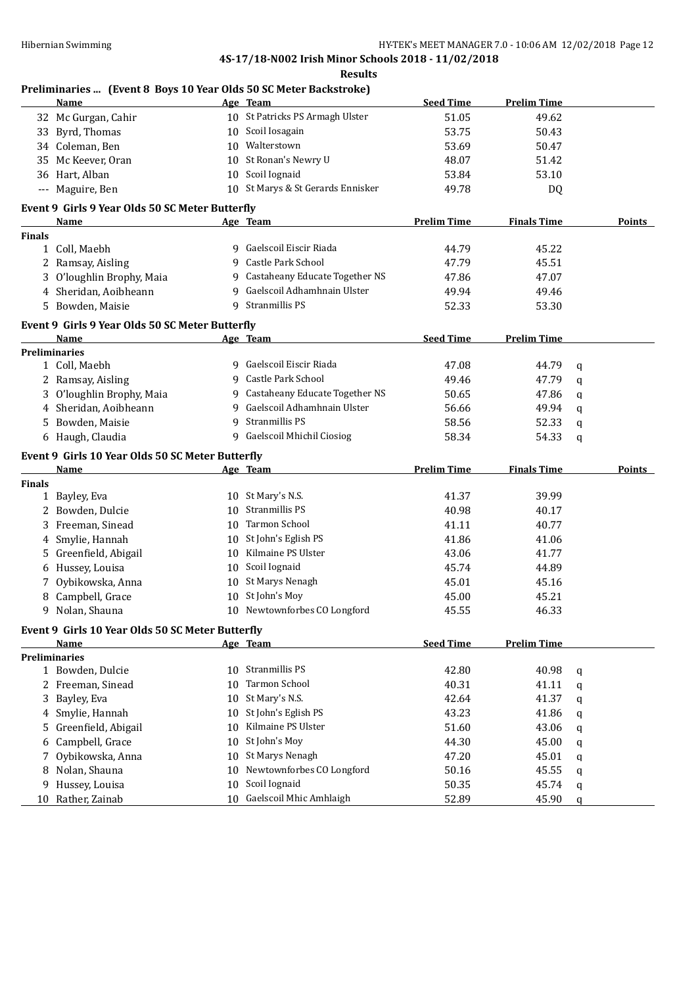#### **Results**

#### **Preliminaries ... (Event 8 Boys 10 Year Olds 50 SC Meter Backstroke)**

|               | <b>Name</b>                                              |    | Age Team                                 | <b>Seed Time</b>   | <b>Prelim Time</b> |   |               |
|---------------|----------------------------------------------------------|----|------------------------------------------|--------------------|--------------------|---|---------------|
|               | 32 Mc Gurgan, Cahir                                      |    | 10 St Patricks PS Armagh Ulster          | 51.05              | 49.62              |   |               |
| 33            | Byrd, Thomas                                             |    | 10 Scoil Iosagain                        | 53.75              | 50.43              |   |               |
|               | 34 Coleman, Ben                                          |    | 10 Walterstown                           | 53.69              | 50.47              |   |               |
| 35            | Mc Keever, Oran                                          | 10 | St Ronan's Newry U                       | 48.07              | 51.42              |   |               |
|               | 36 Hart, Alban                                           |    | 10 Scoil Iognaid                         | 53.84              | 53.10              |   |               |
|               | --- Maguire, Ben                                         |    | 10 St Marys & St Gerards Ennisker        | 49.78              | DQ                 |   |               |
|               |                                                          |    |                                          |                    |                    |   |               |
|               | Event 9 Girls 9 Year Olds 50 SC Meter Butterfly          |    |                                          |                    |                    |   |               |
|               | <u>Name</u>                                              |    | Age Team                                 | <b>Prelim Time</b> | <b>Finals Time</b> |   | <b>Points</b> |
| <b>Finals</b> | 1 Coll, Maebh                                            |    | 9 Gaelscoil Eiscir Riada                 | 44.79              | 45.22              |   |               |
|               |                                                          | 9  | Castle Park School                       | 47.79              | 45.51              |   |               |
|               | 2 Ramsay, Aisling                                        | 9  | Castaheany Educate Together NS           |                    |                    |   |               |
|               | 3 O'loughlin Brophy, Maia                                | 9  | Gaelscoil Adhamhnain Ulster              | 47.86              | 47.07              |   |               |
| 4             | Sheridan, Aoibheann                                      |    |                                          | 49.94              | 49.46              |   |               |
|               | 5 Bowden, Maisie                                         | 9  | Stranmillis PS                           | 52.33              | 53.30              |   |               |
|               | Event 9 Girls 9 Year Olds 50 SC Meter Butterfly          |    |                                          |                    |                    |   |               |
|               | Name                                                     |    | Age Team                                 | <b>Seed Time</b>   | <b>Prelim Time</b> |   |               |
|               | Preliminaries                                            |    |                                          |                    |                    |   |               |
|               | 1 Coll, Maebh                                            |    | 9 Gaelscoil Eiscir Riada                 | 47.08              | 44.79              | q |               |
|               | 2 Ramsay, Aisling                                        | 9  | Castle Park School                       | 49.46              | 47.79              | q |               |
| 3             | O'loughlin Brophy, Maia                                  |    | 9 Castaheany Educate Together NS         | 50.65              | 47.86              | q |               |
|               | 4 Sheridan, Aoibheann                                    | 9  | Gaelscoil Adhamhnain Ulster              | 56.66              | 49.94              | q |               |
|               | 5 Bowden, Maisie                                         | 9  | Stranmillis PS                           | 58.56              | 52.33              | q |               |
|               | 6 Haugh, Claudia                                         |    | 9 Gaelscoil Mhichil Ciosiog              | 58.34              | 54.33              | q |               |
|               |                                                          |    |                                          |                    |                    |   |               |
|               |                                                          |    |                                          |                    |                    |   |               |
|               | Event 9 Girls 10 Year Olds 50 SC Meter Butterfly<br>Name |    |                                          |                    |                    |   |               |
| <b>Finals</b> |                                                          |    | Age Team                                 | <b>Prelim Time</b> | <b>Finals Time</b> |   | Points        |
|               |                                                          |    | 10 St Mary's N.S.                        | 41.37              |                    |   |               |
| 2             | 1 Bayley, Eva                                            | 10 | Stranmillis PS                           | 40.98              | 39.99              |   |               |
| 3             | Bowden, Dulcie                                           | 10 | Tarmon School                            |                    | 40.17              |   |               |
|               | Freeman, Sinead                                          | 10 |                                          | 41.11              | 40.77              |   |               |
| 4             | Smylie, Hannah                                           | 10 | St John's Eglish PS                      | 41.86              | 41.06              |   |               |
| 5.            | Greenfield, Abigail                                      |    | Kilmaine PS Ulster                       | 43.06              | 41.77              |   |               |
| 6             | Hussey, Louisa                                           | 10 | Scoil Iognaid                            | 45.74              | 44.89              |   |               |
| 7             | Oybikowska, Anna                                         | 10 | St Marys Nenagh                          | 45.01              | 45.16              |   |               |
| 8             | Campbell, Grace                                          | 10 | St John's Moy                            | 45.00              | 45.21              |   |               |
|               | 9 Nolan, Shauna                                          |    | 10 Newtownforbes CO Longford             | 45.55              | 46.33              |   |               |
|               | Event 9 Girls 10 Year Olds 50 SC Meter Butterfly         |    |                                          |                    |                    |   |               |
|               | Name                                                     |    | Age Team                                 | <b>Seed Time</b>   | <b>Prelim Time</b> |   |               |
|               | <b>Preliminaries</b>                                     |    |                                          |                    |                    |   |               |
|               | 1 Bowden, Dulcie                                         | 10 | Stranmillis PS                           | 42.80              | 40.98              | q |               |
|               | 2 Freeman, Sinead                                        | 10 | Tarmon School                            | 40.31              | 41.11              | q |               |
| 3             | Bayley, Eva                                              | 10 | St Mary's N.S.                           | 42.64              | 41.37              | q |               |
| 4             | Smylie, Hannah                                           | 10 | St John's Eglish PS                      | 43.23              | 41.86              | q |               |
| 5             | Greenfield, Abigail                                      | 10 | Kilmaine PS Ulster                       | 51.60              | 43.06              | q |               |
| 6             | Campbell, Grace                                          | 10 | St John's Moy                            | 44.30              | 45.00              | q |               |
| 7             | Oybikowska, Anna                                         | 10 | St Marys Nenagh                          | 47.20              | 45.01              | q |               |
| 8             | Nolan, Shauna                                            | 10 | Newtownforbes CO Longford                | 50.16              | 45.55              | q |               |
| 9             | Hussey, Louisa<br>10 Rather, Zainab                      | 10 | Scoil Iognaid<br>Gaelscoil Mhic Amhlaigh | 50.35<br>52.89     | 45.74<br>45.90     | q |               |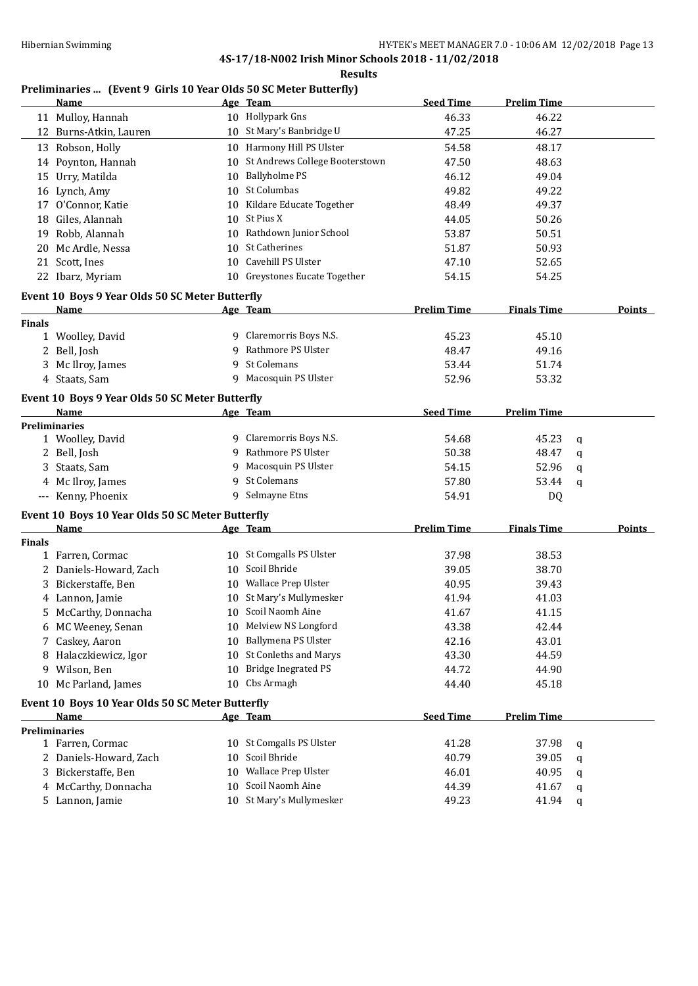**Results**

## **Preliminaries ... (Event 9 Girls 10 Year Olds 50 SC Meter Butterfly)**

|               | <b>Name</b>                                      |    | Age Team                           | <b>Seed Time</b>   | <b>Prelim Time</b> |   |               |
|---------------|--------------------------------------------------|----|------------------------------------|--------------------|--------------------|---|---------------|
|               | 11 Mulloy, Hannah                                |    | 10 Hollypark Gns                   | 46.33              | 46.22              |   |               |
|               | 12 Burns-Atkin, Lauren                           |    | 10 St Mary's Banbridge U           | 47.25              | 46.27              |   |               |
|               | 13 Robson, Holly                                 |    | 10 Harmony Hill PS Ulster          | 54.58              | 48.17              |   |               |
|               | 14 Poynton, Hannah                               | 10 | St Andrews College Booterstown     | 47.50              | 48.63              |   |               |
| 15            | Urry, Matilda                                    | 10 | <b>Ballyholme PS</b>               | 46.12              | 49.04              |   |               |
|               | 16 Lynch, Amy                                    | 10 | St Columbas                        | 49.82              | 49.22              |   |               |
| 17            | O'Connor, Katie                                  | 10 | Kildare Educate Together           | 48.49              | 49.37              |   |               |
|               | 18 Giles, Alannah                                | 10 | St Pius X                          | 44.05              | 50.26              |   |               |
| 19            | Robb, Alannah                                    | 10 | Rathdown Junior School             | 53.87              | 50.51              |   |               |
|               | 20 Mc Ardle, Nessa                               | 10 | St Catherines                      | 51.87              | 50.93              |   |               |
|               | 21 Scott, Ines                                   | 10 | Cavehill PS Ulster                 | 47.10              | 52.65              |   |               |
|               | 22 Ibarz, Myriam                                 |    | 10 Greystones Eucate Together      | 54.15              | 54.25              |   |               |
|               |                                                  |    |                                    |                    |                    |   |               |
|               | Event 10 Boys 9 Year Olds 50 SC Meter Butterfly  |    |                                    |                    |                    |   | Points        |
| <b>Finals</b> | Name                                             |    | Age Team                           | <b>Prelim Time</b> | <b>Finals Time</b> |   |               |
|               | 1 Woolley, David                                 |    | 9 Claremorris Boys N.S.            | 45.23              | 45.10              |   |               |
|               | 2 Bell, Josh                                     | 9  | Rathmore PS Ulster                 | 48.47              | 49.16              |   |               |
|               | 3 Mc Ilroy, James                                | 9  | St Colemans                        | 53.44              | 51.74              |   |               |
|               | 4 Staats, Sam                                    |    | 9 Macosquin PS Ulster              | 52.96              | 53.32              |   |               |
|               |                                                  |    |                                    |                    |                    |   |               |
|               | Event 10 Boys 9 Year Olds 50 SC Meter Butterfly  |    |                                    |                    |                    |   |               |
|               | Name                                             |    | Age Team                           | <b>Seed Time</b>   | <b>Prelim Time</b> |   |               |
|               | <b>Preliminaries</b>                             |    |                                    |                    |                    |   |               |
|               | 1 Woolley, David                                 |    | 9 Claremorris Boys N.S.            | 54.68              | 45.23              | q |               |
|               | 2 Bell, Josh                                     |    | 9 Rathmore PS Ulster               | 50.38              | 48.47              | q |               |
|               | 3 Staats, Sam                                    | 9  | Macosquin PS Ulster<br>St Colemans | 54.15              | 52.96              | q |               |
|               | 4 Mc Ilroy, James                                | 9  | 9 Selmayne Etns                    | 57.80              | 53.44              | q |               |
|               | --- Kenny, Phoenix                               |    |                                    | 54.91              | DQ                 |   |               |
|               | Event 10 Boys 10 Year Olds 50 SC Meter Butterfly |    |                                    |                    |                    |   |               |
|               | Name                                             |    | Age Team                           | <b>Prelim Time</b> | <b>Finals Time</b> |   | <b>Points</b> |
| <b>Finals</b> |                                                  |    |                                    |                    |                    |   |               |
|               | 1 Farren, Cormac                                 |    | 10 St Comgalls PS Ulster           | 37.98              | 38.53              |   |               |
|               | 2 Daniels-Howard, Zach                           | 10 | Scoil Bhride                       | 39.05              | 38.70              |   |               |
|               | 3 Bickerstaffe, Ben                              | 10 | Wallace Prep Ulster                | 40.95              | 39.43              |   |               |
|               | 4 Lannon, Jamie                                  | 10 | St Mary's Mullymesker              | 41.94              | 41.03              |   |               |
|               | 5 McCarthy, Donnacha                             |    | 10 Scoil Naomh Aine                | 41.67              | 41.15              |   |               |
|               | 6 MC Weeney, Senan                               | 10 | Melview NS Longford                | 43.38              | 42.44              |   |               |
|               | Caskey, Aaron                                    | 10 | Ballymena PS Ulster                | 42.16              | 43.01              |   |               |
|               | 8 Halaczkiewicz, Igor                            | 10 | St Conleths and Marys              | 43.30              | 44.59              |   |               |
|               | 9 Wilson, Ben                                    | 10 | <b>Bridge Inegrated PS</b>         | 44.72              | 44.90              |   |               |
|               | 10 Mc Parland, James                             | 10 | Cbs Armagh                         | 44.40              | 45.18              |   |               |
|               | Event 10 Boys 10 Year Olds 50 SC Meter Butterfly |    |                                    |                    |                    |   |               |
|               | Name                                             |    | Age Team                           | <b>Seed Time</b>   | <b>Prelim Time</b> |   |               |
|               | <b>Preliminaries</b>                             |    |                                    |                    |                    |   |               |
|               | 1 Farren, Cormac                                 |    | 10 St Comgalls PS Ulster           | 41.28              | 37.98              | q |               |
|               | 2 Daniels-Howard, Zach                           | 10 | Scoil Bhride                       | 40.79              | 39.05              | q |               |
|               | 3 Bickerstaffe, Ben                              |    | 10 Wallace Prep Ulster             | 46.01              | 40.95              | q |               |
|               | 4 McCarthy, Donnacha                             | 10 | Scoil Naomh Aine                   | 44.39              | 41.67              | q |               |
|               | 5 Lannon, Jamie                                  |    | 10 St Mary's Mullymesker           | 49.23              | 41.94              | q |               |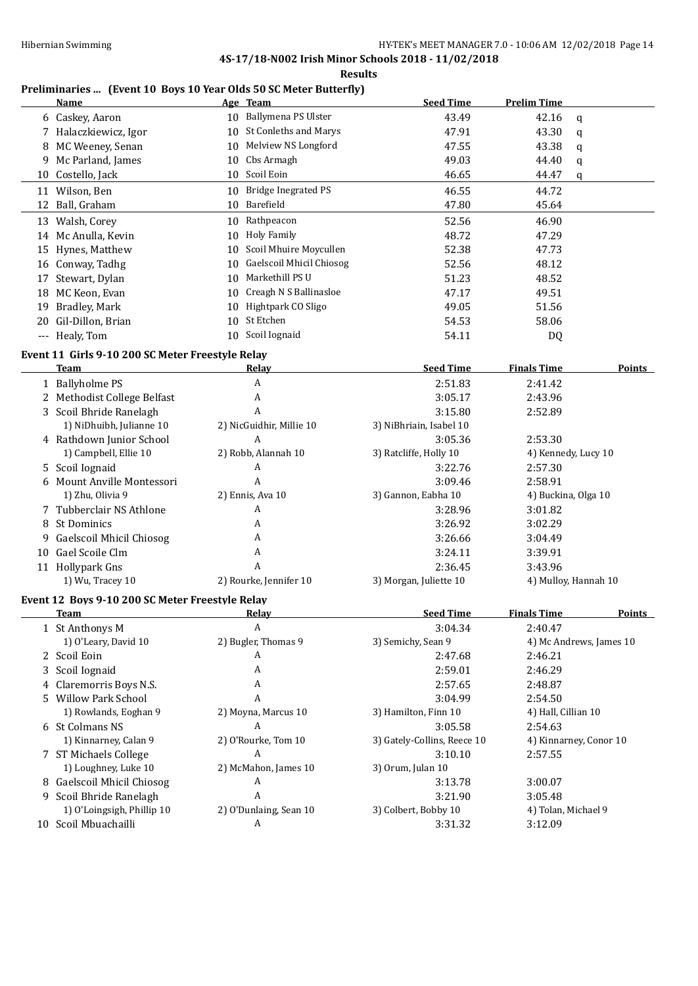#### **Results**

## **Preliminaries ... (Event 10 Boys 10 Year Olds 50 SC Meter Butterfly)**

|    | Name                 |    | Age Team                     | <b>Seed Time</b> | <b>Prelim Time</b> |   |
|----|----------------------|----|------------------------------|------------------|--------------------|---|
|    | 6 Caskey, Aaron      | 10 | Ballymena PS Ulster          | 43.49            | 42.16              | q |
|    | Halaczkiewicz, Igor  | 10 | <b>St Conleths and Marys</b> | 47.91            | 43.30              | a |
|    | 8 MC Weeney, Senan   | 10 | Melview NS Longford          | 47.55            | 43.38              | q |
|    | 9 Mc Parland, James  | 10 | Cbs Armagh                   | 49.03            | 44.40              | a |
|    | 10 Costello, Jack    |    | 10 Scoil Eoin                | 46.65            | 44.47              | q |
| 11 | Wilson, Ben          | 10 | Bridge Inegrated PS          | 46.55            | 44.72              |   |
|    | 12 Ball, Graham      | 10 | Barefield                    | 47.80            | 45.64              |   |
|    | 13 Walsh, Corey      | 10 | Rathpeacon                   | 52.56            | 46.90              |   |
|    | 14 Mc Anulla, Kevin  | 10 | Holy Family                  | 48.72            | 47.29              |   |
|    | 15 Hynes, Matthew    | 10 | Scoil Mhuire Moycullen       | 52.38            | 47.73              |   |
|    | 16 Conway, Tadhg     | 10 | Gaelscoil Mhicil Chiosog     | 52.56            | 48.12              |   |
|    | 17 Stewart, Dylan    | 10 | Markethill PS U              | 51.23            | 48.52              |   |
|    | 18 MC Keon, Evan     | 10 | Creagh N S Ballinasloe       | 47.17            | 49.51              |   |
|    | 19 Bradley, Mark     | 10 | Hightpark CO Sligo           | 49.05            | 51.56              |   |
|    | 20 Gil-Dillon, Brian | 10 | St Etchen                    | 54.53            | 58.06              |   |
|    | --- Healy, Tom       | 10 | Scoil Iognaid                | 54.11            | DQ                 |   |

#### **Event 11 Girls 9-10 200 SC Meter Freestyle Relay**

|    | Team                        | Relay                    | <b>Seed Time</b>        | <b>Finals Time</b><br><b>Points</b> |
|----|-----------------------------|--------------------------|-------------------------|-------------------------------------|
|    | 1 Ballyholme PS             | A                        | 2:51.83                 | 2:41.42                             |
|    | 2 Methodist College Belfast | A                        | 3:05.17                 | 2:43.96                             |
|    | 3 Scoil Bhride Ranelagh     | A                        | 3:15.80                 | 2:52.89                             |
|    | 1) NiDhuibh, Julianne 10    | 2) NicGuidhir, Millie 10 | 3) NiBhriain, Isabel 10 |                                     |
|    | 4 Rathdown Junior School    | A                        | 3:05.36                 | 2:53.30                             |
|    | 1) Campbell, Ellie 10       | 2) Robb, Alannah 10      | 3) Ratcliffe, Holly 10  | 4) Kennedy, Lucy 10                 |
|    | 5 Scoil Iognaid             | A                        | 3:22.76                 | 2:57.30                             |
|    | 6 Mount Anville Montessori  | A                        | 3:09.46                 | 2:58.91                             |
|    | 1) Zhu, Olivia 9            | 2) Ennis, Ava 10         | 3) Gannon, Eabha 10     | 4) Buckina, Olga 10                 |
|    | 7 Tubberclair NS Athlone    | A                        | 3:28.96                 | 3:01.82                             |
|    | 8 St Dominics               | A                        | 3:26.92                 | 3:02.29                             |
|    | 9 Gaelscoil Mhicil Chiosog  | A                        | 3:26.66                 | 3:04.49                             |
| 10 | Gael Scoile Clm             | A                        | 3:24.11                 | 3:39.91                             |
|    | 11 Hollypark Gns            | A                        | 2:36.45                 | 3:43.96                             |
|    | 1) Wu, Tracey 10            | 2) Rourke, Jennifer 10   | 3) Morgan, Juliette 10  | 4) Mulloy, Hannah 10                |

#### **Event 12 Boys 9-10 200 SC Meter Freestyle Relay**

| Team                       | Relay                  | <b>Seed Time</b>            | <b>Finals Time</b><br><b>Points</b> |
|----------------------------|------------------------|-----------------------------|-------------------------------------|
| 1 St Anthonys M            | A                      | 3:04.34                     | 2:40.47                             |
| 1) O'Leary, David 10       | 2) Bugler, Thomas 9    | 3) Semichy, Sean 9          | 4) Mc Andrews, James 10             |
| 2 Scoil Eoin               | A                      | 2:47.68                     | 2:46.21                             |
| 3 Scoil Iognaid            | A                      | 2:59.01                     | 2:46.29                             |
| 4 Claremorris Boys N.S.    | A                      | 2:57.65                     | 2:48.87                             |
| 5 Willow Park School       | A                      | 3:04.99                     | 2:54.50                             |
| 1) Rowlands, Eoghan 9      | 2) Moyna, Marcus 10    | 3) Hamilton, Finn 10        | 4) Hall, Cillian 10                 |
| 6 St Colmans NS            | A                      | 3:05.58                     | 2:54.63                             |
| 1) Kinnarney, Calan 9      | 2) O'Rourke, Tom 10    | 3) Gately-Collins, Reece 10 | 4) Kinnarney, Conor 10              |
| 7 ST Michaels College      | A                      | 3:10.10                     | 2:57.55                             |
| 1) Loughney, Luke 10       | 2) McMahon, James 10   | 3) Orum, Julan 10           |                                     |
| 8 Gaelscoil Mhicil Chiosog | A                      | 3:13.78                     | 3:00.07                             |
| 9 Scoil Bhride Ranelagh    | A                      | 3:21.90                     | 3:05.48                             |
| 1) O'Loingsigh, Phillip 10 | 2) O'Dunlaing, Sean 10 | 3) Colbert, Bobby 10        | 4) Tolan, Michael 9                 |
| 10 Scoil Mbuachailli       | A                      | 3:31.32                     | 3:12.09                             |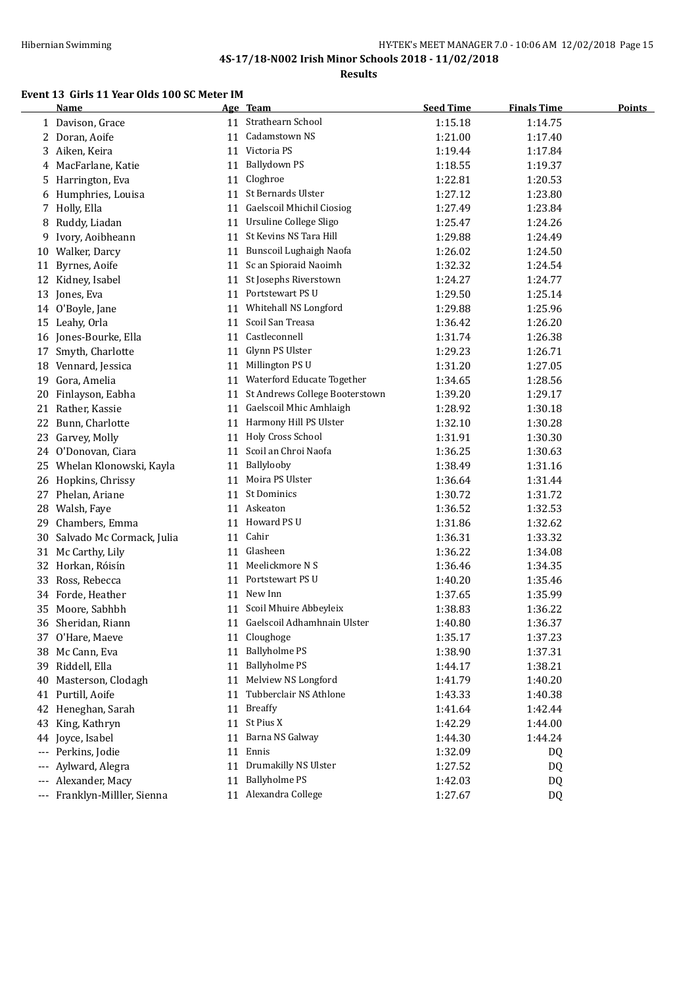#### Hibernian Swimming **HY-TEK's MEET MANAGER 7.0 - 10:06 AM 12/02/2018** Page 15 **4S-17/18-N002 Irish Minor Schools 2018 - 11/02/2018**

**Results**

## **Event 13 Girls 11 Year Olds 100 SC Meter IM**

|     | <b>Name</b>                  |    | Age Team                       | <b>Seed Time</b> | <b>Finals Time</b> | <b>Points</b> |
|-----|------------------------------|----|--------------------------------|------------------|--------------------|---------------|
|     | 1 Davison, Grace             |    | 11 Strathearn School           | 1:15.18          | 1:14.75            |               |
| 2   | Doran, Aoife                 | 11 | Cadamstown NS                  | 1:21.00          | 1:17.40            |               |
| 3   | Aiken, Keira                 |    | 11 Victoria PS                 | 1:19.44          | 1:17.84            |               |
| 4   | MacFarlane, Katie            | 11 | Ballydown PS                   | 1:18.55          | 1:19.37            |               |
| 5   | Harrington, Eva              | 11 | Cloghroe                       | 1:22.81          | 1:20.53            |               |
| 6   | Humphries, Louisa            | 11 | St Bernards Ulster             | 1:27.12          | 1:23.80            |               |
| 7   | Holly, Ella                  | 11 | Gaelscoil Mhichil Ciosiog      | 1:27.49          | 1:23.84            |               |
| 8   | Ruddy, Liadan                |    | 11 Ursuline College Sligo      | 1:25.47          | 1:24.26            |               |
| 9   | Ivory, Aoibheann             | 11 | St Kevins NS Tara Hill         | 1:29.88          | 1:24.49            |               |
| 10  | Walker, Darcy                | 11 | Bunscoil Lughaigh Naofa        | 1:26.02          | 1:24.50            |               |
| 11  | Byrnes, Aoife                | 11 | Sc an Spioraid Naoimh          | 1:32.32          | 1:24.54            |               |
| 12  | Kidney, Isabel               | 11 | St Josephs Riverstown          | 1:24.27          | 1:24.77            |               |
| 13  | Jones, Eva                   | 11 | Portstewart PS U               | 1:29.50          | 1:25.14            |               |
| 14  | O'Boyle, Jane                | 11 | Whitehall NS Longford          | 1:29.88          | 1:25.96            |               |
| 15  | Leahy, Orla                  | 11 | Scoil San Treasa               | 1:36.42          | 1:26.20            |               |
|     | 16 Jones-Bourke, Ella        | 11 | Castleconnell                  | 1:31.74          | 1:26.38            |               |
| 17  | Smyth, Charlotte             | 11 | Glynn PS Ulster                | 1:29.23          | 1:26.71            |               |
| 18  | Vennard, Jessica             | 11 | Millington PS U                | 1:31.20          | 1:27.05            |               |
| 19  | Gora, Amelia                 | 11 | Waterford Educate Together     | 1:34.65          | 1:28.56            |               |
| 20  | Finlayson, Eabha             | 11 | St Andrews College Booterstown | 1:39.20          | 1:29.17            |               |
| 21  | Rather, Kassie               |    | 11 Gaelscoil Mhic Amhlaigh     | 1:28.92          | 1:30.18            |               |
| 22  | Bunn, Charlotte              |    | 11 Harmony Hill PS Ulster      | 1:32.10          | 1:30.28            |               |
| 23  | Garvey, Molly                |    | 11 Holy Cross School           | 1:31.91          | 1:30.30            |               |
|     | 24 O'Donovan, Ciara          | 11 | Scoil an Chroi Naofa           | 1:36.25          | 1:30.63            |               |
|     | 25 Whelan Klonowski, Kayla   | 11 | Ballylooby                     | 1:38.49          | 1:31.16            |               |
| 26  | Hopkins, Chrissy             | 11 | Moira PS Ulster                | 1:36.64          | 1:31.44            |               |
| 27  | Phelan, Ariane               | 11 | <b>St Dominics</b>             | 1:30.72          | 1:31.72            |               |
| 28  | Walsh, Faye                  |    | 11 Askeaton                    | 1:36.52          | 1:32.53            |               |
| 29  | Chambers, Emma               |    | 11 Howard PS U                 | 1:31.86          | 1:32.62            |               |
| 30  | Salvado Mc Cormack, Julia    | 11 | Cahir                          | 1:36.31          | 1:33.32            |               |
| 31  | Mc Carthy, Lily              | 11 | Glasheen                       | 1:36.22          | 1:34.08            |               |
| 32  | Horkan, Róisín               | 11 | Meelickmore N S                | 1:36.46          | 1:34.35            |               |
| 33  | Ross, Rebecca                | 11 | Portstewart PS U               | 1:40.20          | 1:35.46            |               |
| 34  | Forde, Heather               |    | 11 New Inn                     | 1:37.65          | 1:35.99            |               |
| 35  | Moore, Sabhbh                |    | 11 Scoil Mhuire Abbeyleix      | 1:38.83          | 1:36.22            |               |
|     | 36 Sheridan, Riann           |    | 11 Gaelscoil Adhamhnain Ulster | 1:40.80          | 1:36.37            |               |
| 37  | O'Hare, Maeve                |    | 11 Cloughoge                   | 1:35.17          | 1:37.23            |               |
| 38  | Mc Cann, Eva                 | 11 | <b>Ballyholme PS</b>           | 1:38.90          | 1:37.31            |               |
| 39  | Riddell, Ella                | 11 | <b>Ballyholme PS</b>           | 1:44.17          | 1:38.21            |               |
| 40  | Masterson, Clodagh           | 11 | Melview NS Longford            | 1:41.79          | 1:40.20            |               |
| 41  | Purtill, Aoife               | 11 | Tubberclair NS Athlone         | 1:43.33          | 1:40.38            |               |
| 42  | Heneghan, Sarah              | 11 | <b>Breaffy</b>                 | 1:41.64          | 1:42.44            |               |
| 43  | King, Kathryn                | 11 | St Pius X                      | 1:42.29          | 1:44.00            |               |
|     | 44 Joyce, Isabel             | 11 | Barna NS Galway                | 1:44.30          | 1:44.24            |               |
| --- | Perkins, Jodie               | 11 | Ennis                          | 1:32.09          | DQ                 |               |
| --- | Aylward, Alegra              | 11 | Drumakilly NS Ulster           | 1:27.52          | DQ                 |               |
| --- | Alexander, Macy              | 11 | <b>Ballyholme PS</b>           | 1:42.03          | DQ                 |               |
|     | --- Franklyn-Milller, Sienna |    | 11 Alexandra College           | 1:27.67          | DQ                 |               |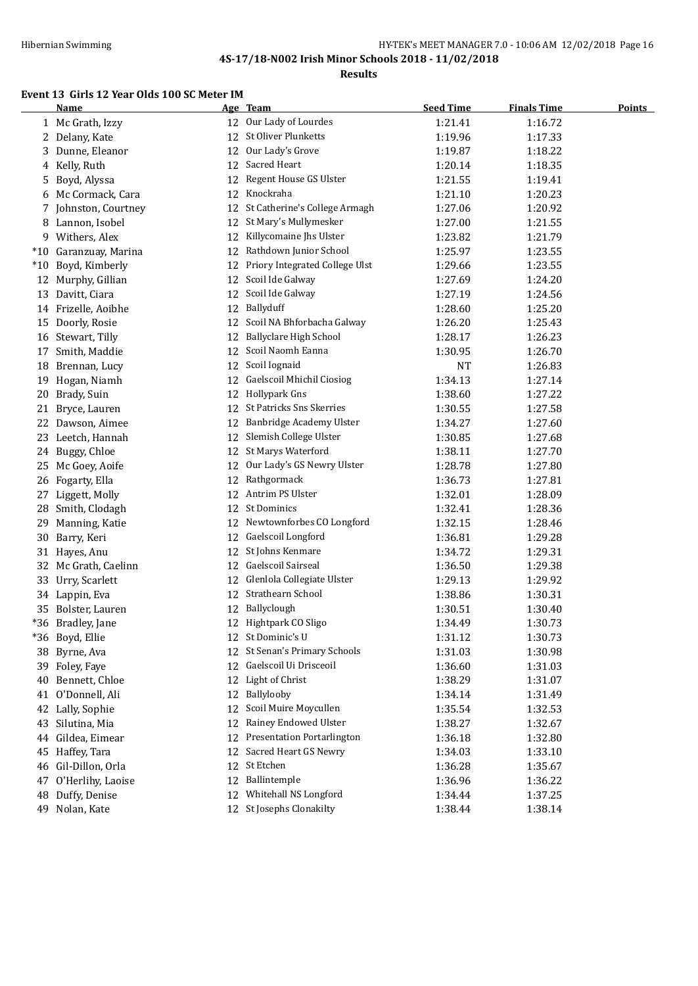#### HY-TEK's MEET MANAGER 7.0 - 10:06 AM 12/02/2018 Page 16 **4S-17/18-N002 Irish Minor Schools 2018 - 11/02/2018**

**Results**

#### **Event 13 Girls 12 Year Olds 100 SC Meter IM**

|       | Name                  |    | Age Team                       | <b>Seed Time</b> | <b>Finals Time</b> | <b>Points</b> |
|-------|-----------------------|----|--------------------------------|------------------|--------------------|---------------|
|       | 1 Mc Grath, Izzy      |    | 12 Our Lady of Lourdes         | 1:21.41          | 1:16.72            |               |
| 2     | Delany, Kate          | 12 | St Oliver Plunketts            | 1:19.96          | 1:17.33            |               |
| 3     | Dunne, Eleanor        | 12 | Our Lady's Grove               | 1:19.87          | 1:18.22            |               |
| 4     | Kelly, Ruth           | 12 | Sacred Heart                   | 1:20.14          | 1:18.35            |               |
| 5     | Boyd, Alyssa          | 12 | Regent House GS Ulster         | 1:21.55          | 1:19.41            |               |
| 6     | Mc Cormack, Cara      | 12 | Knockraha                      | 1:21.10          | 1:20.23            |               |
| 7     | Johnston, Courtney    | 12 | St Catherine's College Armagh  | 1:27.06          | 1:20.92            |               |
|       | 8 Lannon, Isobel      | 12 | St Mary's Mullymesker          | 1:27.00          | 1:21.55            |               |
|       | 9 Withers, Alex       | 12 | Killycomaine Jhs Ulster        | 1:23.82          | 1:21.79            |               |
|       | *10 Garanzuay, Marina | 12 | Rathdown Junior School         | 1:25.97          | 1:23.55            |               |
| $*10$ | Boyd, Kimberly        | 12 | Priory Integrated College Ulst | 1:29.66          | 1:23.55            |               |
| 12    | Murphy, Gillian       | 12 | Scoil Ide Galway               | 1:27.69          | 1:24.20            |               |
| 13    | Davitt, Ciara         | 12 | Scoil Ide Galway               | 1:27.19          | 1:24.56            |               |
|       | 14 Frizelle, Aoibhe   | 12 | Ballyduff                      | 1:28.60          | 1:25.20            |               |
| 15    | Doorly, Rosie         | 12 | Scoil NA Bhforbacha Galway     | 1:26.20          | 1:25.43            |               |
| 16    | Stewart, Tilly        | 12 | <b>Ballyclare High School</b>  | 1:28.17          | 1:26.23            |               |
| 17    | Smith, Maddie         | 12 | Scoil Naomh Eanna              | 1:30.95          | 1:26.70            |               |
| 18    | Brennan, Lucy         | 12 | Scoil Iognaid                  | <b>NT</b>        | 1:26.83            |               |
| 19    | Hogan, Niamh          | 12 | Gaelscoil Mhichil Ciosiog      | 1:34.13          | 1:27.14            |               |
| 20    | Brady, Suin           | 12 | Hollypark Gns                  | 1:38.60          | 1:27.22            |               |
| 21    | Bryce, Lauren         | 12 | St Patricks Sns Skerries       | 1:30.55          | 1:27.58            |               |
|       | 22 Dawson, Aimee      | 12 | Banbridge Academy Ulster       | 1:34.27          | 1:27.60            |               |
|       | 23 Leetch, Hannah     | 12 | Slemish College Ulster         | 1:30.85          | 1:27.68            |               |
|       | 24 Buggy, Chloe       | 12 | St Marys Waterford             | 1:38.11          | 1:27.70            |               |
| 25    | Mc Goey, Aoife        | 12 | Our Lady's GS Newry Ulster     | 1:28.78          | 1:27.80            |               |
| 26    | Fogarty, Ella         | 12 | Rathgormack                    | 1:36.73          | 1:27.81            |               |
| 27    | Liggett, Molly        |    | 12 Antrim PS Ulster            | 1:32.01          | 1:28.09            |               |
| 28    | Smith, Clodagh        | 12 | St Dominics                    | 1:32.41          | 1:28.36            |               |
| 29    | Manning, Katie        | 12 | Newtownforbes CO Longford      | 1:32.15          | 1:28.46            |               |
| 30    | Barry, Keri           | 12 | Gaelscoil Longford             | 1:36.81          | 1:29.28            |               |
| 31    | Hayes, Anu            | 12 | St Johns Kenmare               | 1:34.72          | 1:29.31            |               |
| 32    | Mc Grath, Caelinn     | 12 | <b>Gaelscoil Sairseal</b>      | 1:36.50          | 1:29.38            |               |
| 33    | Urry, Scarlett        | 12 | Glenlola Collegiate Ulster     | 1:29.13          | 1:29.92            |               |
|       | 34 Lappin, Eva        | 12 | Strathearn School              | 1:38.86          | 1:30.31            |               |
| 35    | Bolster, Lauren       | 12 | Ballyclough                    | 1:30.51          | 1:30.40            |               |
|       | *36 Bradley, Jane     | 12 | Hightpark CO Sligo             | 1:34.49          | 1:30.73            |               |
|       | *36 Boyd, Ellie       |    | 12 St Dominic's U              | 1:31.12          | 1:30.73            |               |
|       | 38 Byrne, Ava         | 12 | St Senan's Primary Schools     | 1:31.03          | 1:30.98            |               |
|       | 39 Foley, Faye        | 12 | Gaelscoil Ui Drisceoil         | 1:36.60          | 1:31.03            |               |
|       | 40 Bennett, Chloe     | 12 | Light of Christ                | 1:38.29          | 1:31.07            |               |
|       | 41 O'Donnell, Ali     | 12 | Ballylooby                     | 1:34.14          | 1:31.49            |               |
| 42    | Lally, Sophie         | 12 | Scoil Muire Moycullen          | 1:35.54          | 1:32.53            |               |
| 43    | Silutina, Mia         | 12 | Rainey Endowed Ulster          | 1:38.27          | 1:32.67            |               |
| 44    | Gildea, Eimear        | 12 | Presentation Portarlington     | 1:36.18          | 1:32.80            |               |
| 45    | Haffey, Tara          | 12 | Sacred Heart GS Newry          | 1:34.03          | 1:33.10            |               |
|       | 46 Gil-Dillon, Orla   | 12 | St Etchen                      | 1:36.28          | 1:35.67            |               |
| 47    | O'Herlihy, Laoise     | 12 | Ballintemple                   | 1:36.96          | 1:36.22            |               |
| 48    | Duffy, Denise         | 12 | Whitehall NS Longford          | 1:34.44          | 1:37.25            |               |
|       | 49 Nolan, Kate        | 12 | St Josephs Clonakilty          | 1:38.44          | 1:38.14            |               |
|       |                       |    |                                |                  |                    |               |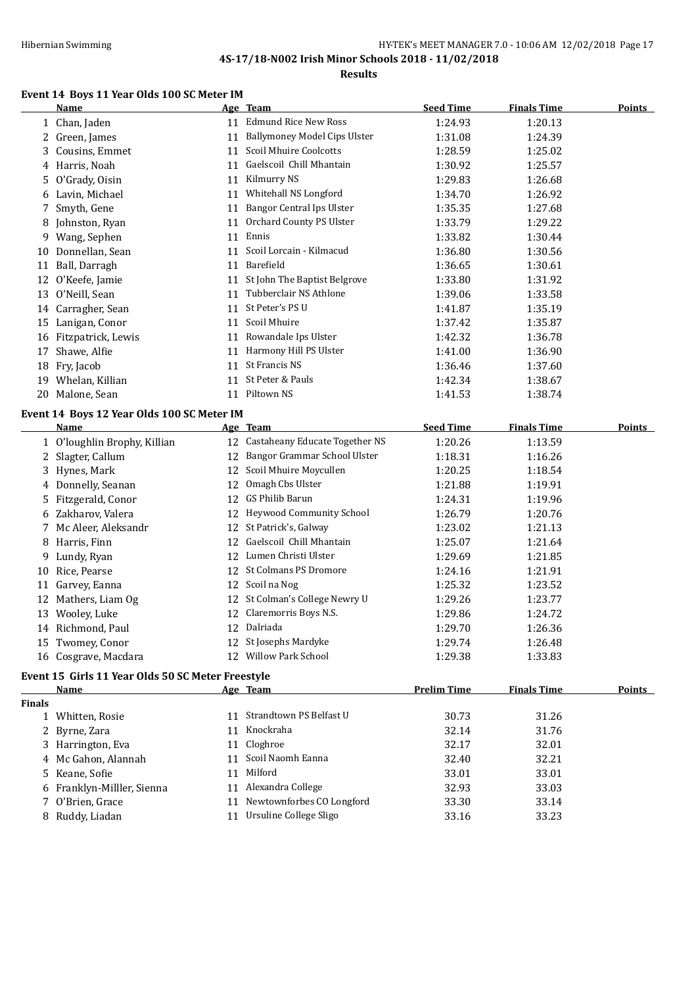**Results**

## **Event 14 Boys 11 Year Olds 100 SC Meter IM**

|               | <b>Name</b>                                       |    | Age Team                            | <b>Seed Time</b>   | <b>Finals Time</b> | <b>Points</b> |
|---------------|---------------------------------------------------|----|-------------------------------------|--------------------|--------------------|---------------|
|               | 1 Chan, Jaden                                     |    | 11 Edmund Rice New Ross             | 1:24.93            | 1:20.13            |               |
|               | 2 Green, James                                    |    | 11 Ballymoney Model Cips Ulster     | 1:31.08            | 1:24.39            |               |
|               | 3 Cousins, Emmet                                  | 11 | Scoil Mhuire Coolcotts              | 1:28.59            | 1:25.02            |               |
|               | 4 Harris, Noah                                    |    | 11 Gaelscoil Chill Mhantain         | 1:30.92            | 1:25.57            |               |
| 5             | O'Grady, Oisin                                    |    | 11 Kilmurry NS                      | 1:29.83            | 1:26.68            |               |
|               | 6 Lavin, Michael                                  |    | 11 Whitehall NS Longford            | 1:34.70            | 1:26.92            |               |
|               | 7 Smyth, Gene                                     | 11 | <b>Bangor Central Ips Ulster</b>    | 1:35.35            | 1:27.68            |               |
| 8             | Johnston, Ryan                                    | 11 | Orchard County PS Ulster            | 1:33.79            | 1:29.22            |               |
|               | 9 Wang, Sephen                                    | 11 | Ennis                               | 1:33.82            | 1:30.44            |               |
|               | 10 Donnellan, Sean                                | 11 | Scoil Lorcain - Kilmacud            | 1:36.80            | 1:30.56            |               |
|               | 11 Ball, Darragh                                  | 11 | Barefield                           | 1:36.65            | 1:30.61            |               |
|               | 12 O'Keefe, Jamie                                 | 11 | St John The Baptist Belgrove        | 1:33.80            | 1:31.92            |               |
|               | 13 O'Neill, Sean                                  | 11 | Tubberclair NS Athlone              | 1:39.06            | 1:33.58            |               |
|               | 14 Carragher, Sean                                | 11 | St Peter's PS U                     | 1:41.87            | 1:35.19            |               |
|               | 15 Lanigan, Conor                                 |    | 11 Scoil Mhuire                     | 1:37.42            | 1:35.87            |               |
|               | 16 Fitzpatrick, Lewis                             | 11 | Rowandale Ips Ulster                | 1:42.32            | 1:36.78            |               |
| 17            | Shawe, Alfie                                      |    | 11 Harmony Hill PS Ulster           | 1:41.00            | 1:36.90            |               |
|               | 18 Fry, Jacob                                     | 11 | St Francis NS                       | 1:36.46            | 1:37.60            |               |
|               | 19 Whelan, Killian                                |    | 11 St Peter & Pauls                 | 1:42.34            | 1:38.67            |               |
|               | 20 Malone, Sean                                   |    | 11 Piltown NS                       | 1:41.53            | 1:38.74            |               |
|               |                                                   |    |                                     |                    |                    |               |
|               | Event 14 Boys 12 Year Olds 100 SC Meter IM        |    | Age Team                            | <b>Seed Time</b>   | <b>Finals Time</b> | <b>Points</b> |
|               | <u>Name</u>                                       |    | Castaheany Educate Together NS      |                    |                    |               |
|               | 1 O'loughlin Brophy, Killian                      | 12 | Bangor Grammar School Ulster        | 1:20.26            | 1:13.59            |               |
|               | 2 Slagter, Callum                                 | 12 | 12 Scoil Mhuire Moycullen           | 1:18.31            | 1:16.26            |               |
|               | 3 Hynes, Mark                                     |    |                                     | 1:20.25            | 1:18.54            |               |
|               | 4 Donnelly, Seanan                                | 12 | Omagh Cbs Ulster<br>GS Philib Barun | 1:21.88            | 1:19.91            |               |
| 5.            | Fitzgerald, Conor                                 | 12 |                                     | 1:24.31            | 1:19.96            |               |
|               | 6 Zakharov, Valera                                |    | 12 Heywood Community School         | 1:26.79            | 1:20.76            |               |
|               | 7 Mc Aleer, Aleksandr                             |    | 12 St Patrick's, Galway             | 1:23.02            | 1:21.13            |               |
|               | 8 Harris, Finn                                    |    | 12 Gaelscoil Chill Mhantain         | 1:25.07            | 1:21.64            |               |
| 9.            | Lundy, Ryan                                       |    | 12 Lumen Christi Ulster             | 1:29.69            | 1:21.85            |               |
|               | 10 Rice, Pearse                                   |    | 12 St Colmans PS Dromore            | 1:24.16            | 1:21.91            |               |
|               | 11 Garvey, Eanna                                  |    | 12 Scoil na Nog                     | 1:25.32            | 1:23.52            |               |
|               | 12 Mathers, Liam Og                               |    | 12 St Colman's College Newry U      | 1:29.26            | 1:23.77            |               |
|               | 13 Wooley, Luke                                   |    | 12 Claremorris Boys N.S.            | 1:29.86            | 1:24.72            |               |
|               | 14 Richmond, Paul                                 |    | 12 Dalriada                         | 1:29.70            | 1:26.36            |               |
|               | 15 Twomey, Conor                                  |    | 12 St Josephs Mardyke               | 1:29.74            | 1:26.48            |               |
|               | 16 Cosgrave, Macdara                              |    | 12 Willow Park School               | 1:29.38            | 1:33.83            |               |
|               | Event 15 Girls 11 Year Olds 50 SC Meter Freestyle |    |                                     |                    |                    |               |
|               | Name                                              |    | Age Team                            | <b>Prelim Time</b> | <b>Finals Time</b> | <b>Points</b> |
| <b>Finals</b> |                                                   |    |                                     |                    |                    |               |
|               | 1 Whitten, Rosie                                  |    | 11 Strandtown PS Belfast U          | 30.73              | 31.26              |               |
|               | 2 Byrne, Zara                                     |    | 11 Knockraha                        | 32.14              | 31.76              |               |
|               | 3 Harrington, Eva                                 | 11 | Cloghroe                            | 32.17              | 32.01              |               |
|               | 4 Mc Gahon, Alannah                               |    | 11 Scoil Naomh Eanna                | 32.40              | 32.21              |               |
|               | 5 Keane, Sofie                                    | 11 | Milford                             | 33.01              | 33.01              |               |
|               | 6 Franklyn-Milller, Sienna                        |    | 11 Alexandra College                | 32.93              | 33.03              |               |
|               | 7 O'Brien, Grace                                  |    | 11 Newtownforbes CO Longford        | 33.30              | 33.14              |               |
|               | 8 Ruddy, Liadan                                   |    | 11 Ursuline College Sligo           | 33.16              | 33.23              |               |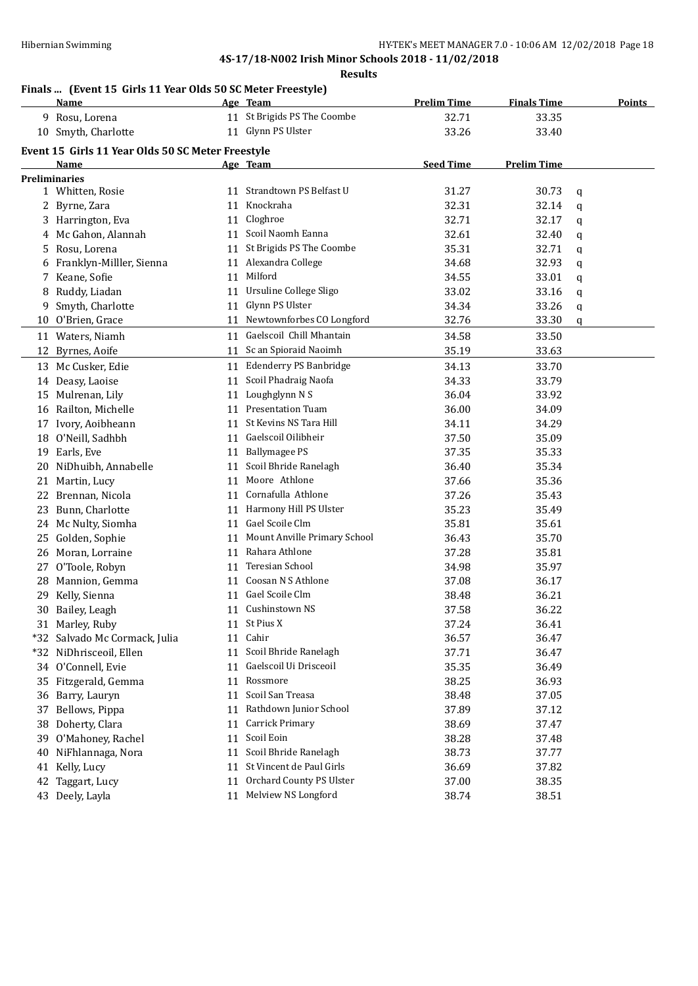#### **Results**

## **Finals ... (Event 15 Girls 11 Year Olds 50 SC Meter Freestyle)**

|                      | Name                                              |    | Age Team                        | <b>Prelim Time</b> | <b>Finals Time</b> | <b>Points</b> |
|----------------------|---------------------------------------------------|----|---------------------------------|--------------------|--------------------|---------------|
|                      | 9 Rosu, Lorena                                    |    | 11 St Brigids PS The Coombe     | 32.71              | 33.35              |               |
|                      | 10 Smyth, Charlotte                               |    | 11 Glynn PS Ulster              | 33.26              | 33.40              |               |
|                      | Event 15 Girls 11 Year Olds 50 SC Meter Freestyle |    |                                 |                    |                    |               |
|                      | <b>Name</b>                                       |    | Age Team                        | <b>Seed Time</b>   | <b>Prelim Time</b> |               |
| <b>Preliminaries</b> |                                                   |    |                                 |                    |                    |               |
|                      | 1 Whitten, Rosie                                  |    | 11 Strandtown PS Belfast U      | 31.27              | 30.73              | q             |
|                      | 2 Byrne, Zara                                     |    | 11 Knockraha                    | 32.31              | 32.14              | q             |
|                      | 3 Harrington, Eva                                 |    | 11 Cloghroe                     | 32.71              | 32.17              | q             |
| 4                    | Mc Gahon, Alannah                                 |    | 11 Scoil Naomh Eanna            | 32.61              | 32.40              | q             |
| 5.                   | Rosu, Lorena                                      |    | 11 St Brigids PS The Coombe     | 35.31              | 32.71              | q             |
| 6                    | Franklyn-Milller, Sienna                          |    | 11 Alexandra College            | 34.68              | 32.93              | q             |
| 7                    | Keane, Sofie                                      |    | 11 Milford                      | 34.55              | 33.01              | q             |
| 8                    | Ruddy, Liadan                                     |    | 11 Ursuline College Sligo       | 33.02              | 33.16              | q             |
|                      | 9 Smyth, Charlotte                                |    | 11 Glynn PS Ulster              | 34.34              | 33.26              | q             |
|                      | 10 O'Brien, Grace                                 |    | 11 Newtownforbes CO Longford    | 32.76              | 33.30              | q             |
|                      | 11 Waters, Niamh                                  |    | 11 Gaelscoil Chill Mhantain     | 34.58              | 33.50              |               |
| 12                   | Byrnes, Aoife                                     |    | 11 Sc an Spioraid Naoimh        | 35.19              | 33.63              |               |
|                      |                                                   |    |                                 |                    |                    |               |
|                      | 13 Mc Cusker, Edie                                |    | 11 Edenderry PS Banbridge       | 34.13              | 33.70              |               |
|                      | 14 Deasy, Laoise                                  | 11 | Scoil Phadraig Naofa            | 34.33              | 33.79              |               |
|                      | 15 Mulrenan, Lily                                 | 11 | Loughglynn N S                  | 36.04              | 33.92              |               |
|                      | 16 Railton, Michelle                              |    | 11 Presentation Tuam            | 36.00              | 34.09              |               |
|                      | 17 Ivory, Aoibheann                               | 11 | St Kevins NS Tara Hill          | 34.11              | 34.29              |               |
|                      | 18 O'Neill, Sadhbh                                |    | 11 Gaelscoil Oilibheir          | 37.50              | 35.09              |               |
|                      | 19 Earls, Eve                                     | 11 | <b>Ballymagee PS</b>            | 37.35              | 35.33              |               |
| 20                   | NiDhuibh, Annabelle                               | 11 | Scoil Bhride Ranelagh           | 36.40              | 35.34              |               |
|                      | 21 Martin, Lucy                                   |    | 11 Moore Athlone                | 37.66              | 35.36              |               |
|                      | 22 Brennan, Nicola                                |    | 11 Cornafulla Athlone           | 37.26              | 35.43              |               |
|                      | 23 Bunn, Charlotte                                |    | 11 Harmony Hill PS Ulster       | 35.23              | 35.49              |               |
|                      | 24 Mc Nulty, Siomha                               |    | 11 Gael Scoile Clm              | 35.81              | 35.61              |               |
|                      | 25 Golden, Sophie                                 |    | 11 Mount Anville Primary School | 36.43              | 35.70              |               |
|                      | 26 Moran, Lorraine                                |    | 11 Rahara Athlone               | 37.28              | 35.81              |               |
|                      | 27 O'Toole, Robyn                                 |    | 11 Teresian School              | 34.98              | 35.97              |               |
|                      | 28 Mannion, Gemma                                 |    | 11 Coosan N S Athlone           | 37.08              | 36.17              |               |
|                      | 29 Kelly, Sienna                                  |    | 11 Gael Scoile Clm              | 38.48              | 36.21              |               |
|                      | 30 Bailey, Leagh                                  |    | 11 Cushinstown NS               | 37.58              | 36.22              |               |
|                      | 31 Marley, Ruby                                   |    | 11 St Pius X                    | 37.24              | 36.41              |               |
|                      | *32 Salvado Mc Cormack, Julia                     | 11 | Cahir                           | 36.57              | 36.47              |               |
|                      | *32 NiDhrisceoil, Ellen                           | 11 | Scoil Bhride Ranelagh           | 37.71              | 36.47              |               |
|                      | 34 O'Connell, Evie                                | 11 | Gaelscoil Ui Drisceoil          | 35.35              | 36.49              |               |
| 35                   | Fitzgerald, Gemma                                 | 11 | Rossmore                        | 38.25              | 36.93              |               |
|                      | 36 Barry, Lauryn                                  | 11 | Scoil San Treasa                | 38.48              | 37.05              |               |
| 37                   | Bellows, Pippa                                    | 11 | Rathdown Junior School          | 37.89              | 37.12              |               |
| 38                   | Doherty, Clara                                    | 11 | <b>Carrick Primary</b>          | 38.69              | 37.47              |               |
| 39                   | O'Mahoney, Rachel                                 | 11 | Scoil Eoin                      | 38.28              | 37.48              |               |
| 40                   | NiFhlannaga, Nora                                 | 11 | Scoil Bhride Ranelagh           | 38.73              | 37.77              |               |
| 41                   | Kelly, Lucy                                       | 11 | St Vincent de Paul Girls        | 36.69              | 37.82              |               |
| 42                   | Taggart, Lucy                                     | 11 | Orchard County PS Ulster        | 37.00              | 38.35              |               |
|                      | 43 Deely, Layla                                   | 11 | Melview NS Longford             | 38.74              | 38.51              |               |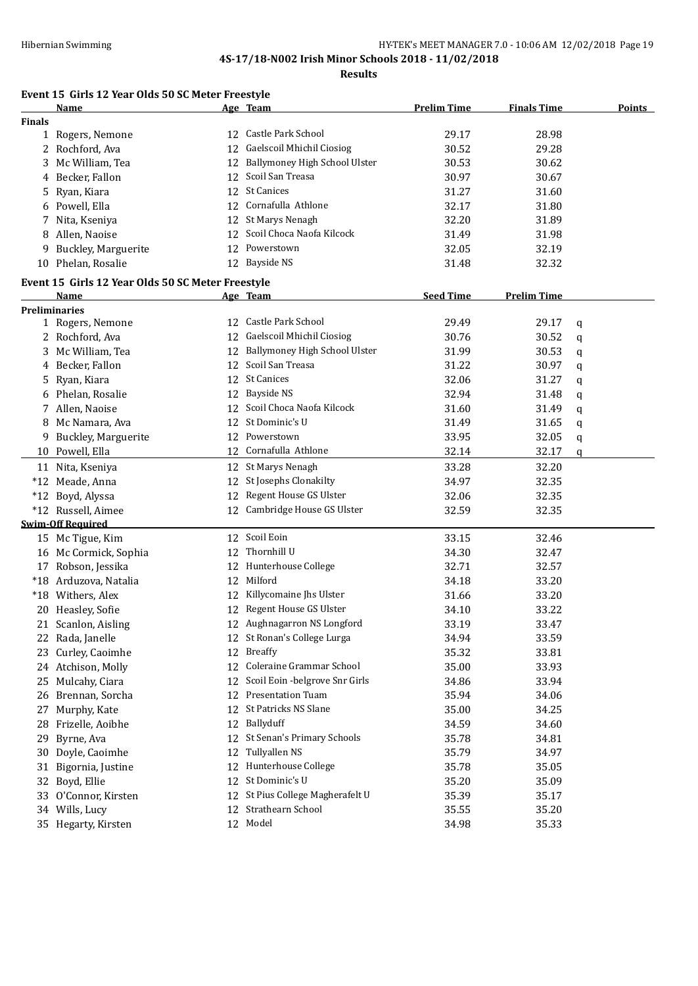**Results**

## **Event 15 Girls 12 Year Olds 50 SC Meter Freestyle**

|               | Name                                              |    | Age Team                         | <b>Prelim Time</b> | <b>Finals Time</b> | <b>Points</b> |
|---------------|---------------------------------------------------|----|----------------------------------|--------------------|--------------------|---------------|
| <b>Finals</b> |                                                   |    |                                  |                    |                    |               |
|               | 1 Rogers, Nemone                                  |    | 12 Castle Park School            | 29.17              | 28.98              |               |
|               | 2 Rochford, Ava                                   |    | 12 Gaelscoil Mhichil Ciosiog     | 30.52              | 29.28              |               |
|               | 3 Mc William, Tea                                 |    | 12 Ballymoney High School Ulster | 30.53              | 30.62              |               |
|               | 4 Becker, Fallon                                  |    | 12 Scoil San Treasa              | 30.97              | 30.67              |               |
| 5             | Ryan, Kiara                                       |    | 12 St Canices                    | 31.27              | 31.60              |               |
|               | 6 Powell, Ella                                    |    | 12 Cornafulla Athlone            | 32.17              | 31.80              |               |
| 7             | Nita, Kseniya                                     |    | 12 St Marys Nenagh               | 32.20              | 31.89              |               |
|               | 8 Allen, Naoise                                   |    | 12 Scoil Choca Naofa Kilcock     | 31.49              | 31.98              |               |
| 9             | Buckley, Marguerite                               |    | 12 Powerstown                    | 32.05              | 32.19              |               |
|               | 10 Phelan, Rosalie                                |    | 12 Bayside NS                    | 31.48              | 32.32              |               |
|               | Event 15 Girls 12 Year Olds 50 SC Meter Freestyle |    |                                  |                    |                    |               |
|               | Name                                              |    | <u>Age Team</u>                  | <b>Seed Time</b>   | <b>Prelim Time</b> |               |
|               | <b>Preliminaries</b>                              |    |                                  |                    |                    |               |
|               | 1 Rogers, Nemone                                  | 12 | Castle Park School               | 29.49              | 29.17              | q             |
|               | 2 Rochford, Ava                                   | 12 | Gaelscoil Mhichil Ciosiog        | 30.76              | 30.52              | q             |
|               | 3 Mc William, Tea                                 | 12 | Ballymoney High School Ulster    | 31.99              | 30.53              | q             |
|               | 4 Becker, Fallon                                  | 12 | Scoil San Treasa                 | 31.22              | 30.97              | q             |
|               | 5 Ryan, Kiara                                     | 12 | <b>St Canices</b>                | 32.06              | 31.27              | q             |
|               | 6 Phelan, Rosalie                                 | 12 | <b>Bayside NS</b>                | 32.94              | 31.48              | q             |
|               | 7 Allen, Naoise                                   | 12 | Scoil Choca Naofa Kilcock        | 31.60              | 31.49              | q             |
|               | 8 Mc Namara, Ava                                  | 12 | St Dominic's U                   | 31.49              | 31.65              | q             |
| 9.            | <b>Buckley, Marguerite</b>                        | 12 | Powerstown                       | 33.95              | 32.05              | q             |
|               | 10 Powell, Ella                                   |    | 12 Cornafulla Athlone            | 32.14              | 32.17              | q             |
|               |                                                   |    |                                  |                    |                    |               |
|               | 11 Nita, Kseniya                                  | 12 | St Marys Nenagh                  | 33.28              | 32.20              |               |
|               | *12 Meade, Anna                                   | 12 | St Josephs Clonakilty            | 34.97              | 32.35              |               |
|               | *12 Boyd, Alyssa                                  | 12 | Regent House GS Ulster           | 32.06              | 32.35              |               |
|               | *12 Russell, Aimee                                | 12 | Cambridge House GS Ulster        | 32.59              | 32.35              |               |
|               | <b>Swim-Off Required</b>                          |    | Scoil Eoin                       |                    |                    |               |
|               | 15 Mc Tigue, Kim                                  | 12 | Thornhill U                      | 33.15              | 32.46              |               |
|               | 16 Mc Cormick, Sophia                             | 12 |                                  | 34.30              | 32.47              |               |
|               | 17 Robson, Jessika                                | 12 | Hunterhouse College<br>Milford   | 32.71              | 32.57              |               |
|               | *18 Arduzova, Natalia                             | 12 |                                  | 34.18              | 33.20              |               |
|               | *18 Withers, Alex                                 | 12 | Killycomaine Jhs Ulster          | 31.66              | 33.20              |               |
|               | 20 Heasley, Sofie                                 | 12 | Regent House GS Ulster           | 34.10              | 33.22              |               |
|               | 21 Scanlon, Aisling                               |    | 12 Aughnagarron NS Longford      | 33.19              | 33.47              |               |
|               | 22 Rada, Janelle                                  |    | 12 St Ronan's College Lurga      | 34.94              | 33.59              |               |
|               | 23 Curley, Caoimhe                                |    | 12 Breaffy                       | 35.32              | 33.81              |               |
|               | 24 Atchison, Molly                                | 12 | Coleraine Grammar School         | 35.00              | 33.93              |               |
| 25            | Mulcahy, Ciara                                    | 12 | Scoil Eoin -belgrove Snr Girls   | 34.86              | 33.94              |               |
|               | 26 Brennan, Sorcha                                | 12 | Presentation Tuam                | 35.94              | 34.06              |               |
| 27            | Murphy, Kate                                      | 12 | St Patricks NS Slane             | 35.00              | 34.25              |               |
|               | 28 Frizelle, Aoibhe                               | 12 | Ballyduff                        | 34.59              | 34.60              |               |
| 29            | Byrne, Ava                                        | 12 | St Senan's Primary Schools       | 35.78              | 34.81              |               |
| 30            | Doyle, Caoimhe                                    | 12 | Tullyallen NS                    | 35.79              | 34.97              |               |
| 31            | Bigornia, Justine                                 | 12 | Hunterhouse College              | 35.78              | 35.05              |               |
| 32            | Boyd, Ellie                                       | 12 | St Dominic's U                   | 35.20              | 35.09              |               |
|               | 33 O'Connor, Kirsten                              | 12 | St Pius College Magherafelt U    | 35.39              | 35.17              |               |
|               | 34 Wills, Lucy                                    |    | 12 Strathearn School             | 35.55              | 35.20              |               |
|               | 35 Hegarty, Kirsten                               |    | 12 Model                         | 34.98              | 35.33              |               |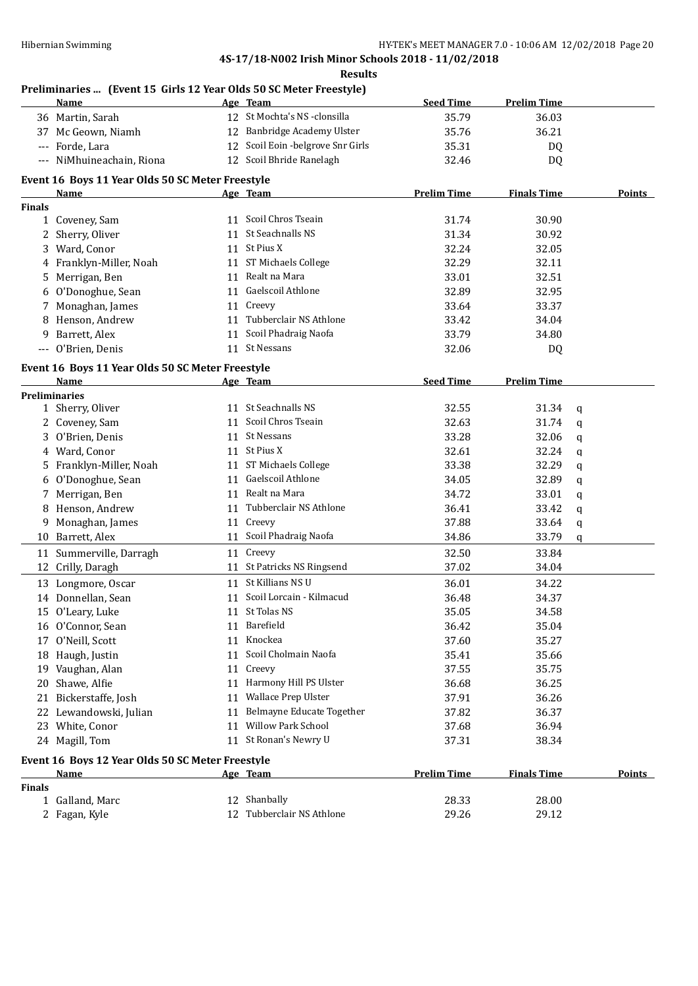**Results**

## **Preliminaries ... (Event 15 Girls 12 Year Olds 50 SC Meter Freestyle)**

|               | <b>Name</b>                                      |    | Age Team                           | <b>Seed Time</b>   | <b>Prelim Time</b> |             |               |
|---------------|--------------------------------------------------|----|------------------------------------|--------------------|--------------------|-------------|---------------|
|               | 36 Martin, Sarah                                 |    | 12 St Mochta's NS -clonsilla       | 35.79              | 36.03              |             |               |
|               | 37 Mc Geown, Niamh                               |    | 12 Banbridge Academy Ulster        | 35.76              | 36.21              |             |               |
|               | Forde, Lara                                      |    | 12 Scoil Eoin - belgrove Snr Girls | 35.31              | DQ                 |             |               |
|               | --- NiMhuineachain, Riona                        |    | 12 Scoil Bhride Ranelagh           | 32.46              | DQ                 |             |               |
|               | Event 16 Boys 11 Year Olds 50 SC Meter Freestyle |    |                                    |                    |                    |             |               |
|               | Name                                             |    | Age Team                           | <b>Prelim Time</b> | <b>Finals Time</b> |             | <b>Points</b> |
| <b>Finals</b> |                                                  |    |                                    |                    |                    |             |               |
|               | 1 Coveney, Sam                                   |    | 11 Scoil Chros Tseain              | 31.74              | 30.90              |             |               |
|               | 2 Sherry, Oliver                                 |    | 11 St Seachnalls NS                | 31.34              | 30.92              |             |               |
|               | 3 Ward, Conor                                    |    | 11 St Pius X                       | 32.24              | 32.05              |             |               |
|               | 4 Franklyn-Miller, Noah                          |    | 11 ST Michaels College             | 32.29              | 32.11              |             |               |
|               | 5 Merrigan, Ben                                  |    | 11 Realt na Mara                   | 33.01              | 32.51              |             |               |
|               | 6 O'Donoghue, Sean                               |    | 11 Gaelscoil Athlone               | 32.89              | 32.95              |             |               |
|               | 7 Monaghan, James                                |    | 11 Creevy                          | 33.64              | 33.37              |             |               |
|               | 8 Henson, Andrew                                 |    | 11 Tubberclair NS Athlone          | 33.42              | 34.04              |             |               |
|               | 9 Barrett, Alex                                  |    | 11 Scoil Phadraig Naofa            | 33.79              | 34.80              |             |               |
|               | --- O'Brien, Denis                               |    | 11 St Nessans                      | 32.06              | DQ                 |             |               |
|               |                                                  |    |                                    |                    |                    |             |               |
|               | Event 16 Boys 11 Year Olds 50 SC Meter Freestyle |    |                                    |                    |                    |             |               |
|               | Name                                             |    | Age Team                           | <b>Seed Time</b>   | <b>Prelim Time</b> |             |               |
|               | <b>Preliminaries</b>                             |    | 11 St Seachnalls NS                |                    |                    |             |               |
|               | 1 Sherry, Oliver                                 |    | 11 Scoil Chros Tseain              | 32.55              | 31.34              | q           |               |
|               | 2 Coveney, Sam                                   |    | 11 St Nessans                      | 32.63              | 31.74              | q           |               |
|               | 3 O'Brien, Denis                                 |    |                                    | 33.28              | 32.06              | q           |               |
|               | 4 Ward, Conor                                    |    | 11 St Pius X                       | 32.61              | 32.24              | q           |               |
|               | 5 Franklyn-Miller, Noah                          |    | 11 ST Michaels College             | 33.38              | 32.29              | q           |               |
|               | 6 O'Donoghue, Sean                               | 11 | Gaelscoil Athlone                  | 34.05              | 32.89              | $\mathbf q$ |               |
|               | 7 Merrigan, Ben                                  |    | 11 Realt na Mara                   | 34.72              | 33.01              | $\mathbf q$ |               |
|               | 8 Henson, Andrew                                 |    | 11 Tubberclair NS Athlone          | 36.41              | 33.42              | $\mathbf q$ |               |
|               | 9 Monaghan, James                                |    | 11 Creevy                          | 37.88              | 33.64              | q           |               |
|               | 10 Barrett, Alex                                 |    | 11 Scoil Phadraig Naofa            | 34.86              | 33.79              | q           |               |
| 11            | Summerville, Darragh                             |    | 11 Creevy                          | 32.50              | 33.84              |             |               |
| 12            | Crilly, Daragh                                   |    | 11 St Patricks NS Ringsend         | 37.02              | 34.04              |             |               |
|               | 13 Longmore, Oscar                               |    | 11 St Killians NS U                | 36.01              | 34.22              |             |               |
|               | 14 Donnellan, Sean                               |    | 11 Scoil Lorcain - Kilmacud        | 36.48              | 34.37              |             |               |
|               | 15 O'Leary, Luke                                 |    | 11 St Tolas NS                     | 35.05              | 34.58              |             |               |
|               | 16 O'Connor, Sean                                |    | 11 Barefield                       | 36.42              | 35.04              |             |               |
|               | 17 O'Neill, Scott                                | 11 | Knockea                            | 37.60              | 35.27              |             |               |
|               | 18 Haugh, Justin                                 | 11 | Scoil Cholmain Naofa               | 35.41              | 35.66              |             |               |
|               | 19 Vaughan, Alan                                 | 11 | Creevy                             | 37.55              | 35.75              |             |               |
|               | 20 Shawe, Alfie                                  | 11 | Harmony Hill PS Ulster             | 36.68              | 36.25              |             |               |
| 21            | Bickerstaffe, Josh                               | 11 | Wallace Prep Ulster                | 37.91              | 36.26              |             |               |
|               | 22 Lewandowski, Julian                           | 11 | Belmayne Educate Together          | 37.82              | 36.37              |             |               |
|               | 23 White, Conor                                  | 11 | <b>Willow Park School</b>          | 37.68              | 36.94              |             |               |
|               | 24 Magill, Tom                                   |    | 11 St Ronan's Newry U              | 37.31              | 38.34              |             |               |
|               | Event 16 Boys 12 Year Olds 50 SC Meter Freestyle |    |                                    |                    |                    |             |               |
|               | <u>Name</u>                                      |    | Age Team                           | <b>Prelim Time</b> | <b>Finals Time</b> |             | <b>Points</b> |
| <b>Finals</b> |                                                  |    |                                    |                    |                    |             |               |
|               | 1 Galland, Marc                                  |    | 12 Shanbally                       | 28.33              | 28.00              |             |               |
|               | 2 Fagan, Kyle                                    |    | 12 Tubberclair NS Athlone          | 29.26              | 29.12              |             |               |
|               |                                                  |    |                                    |                    |                    |             |               |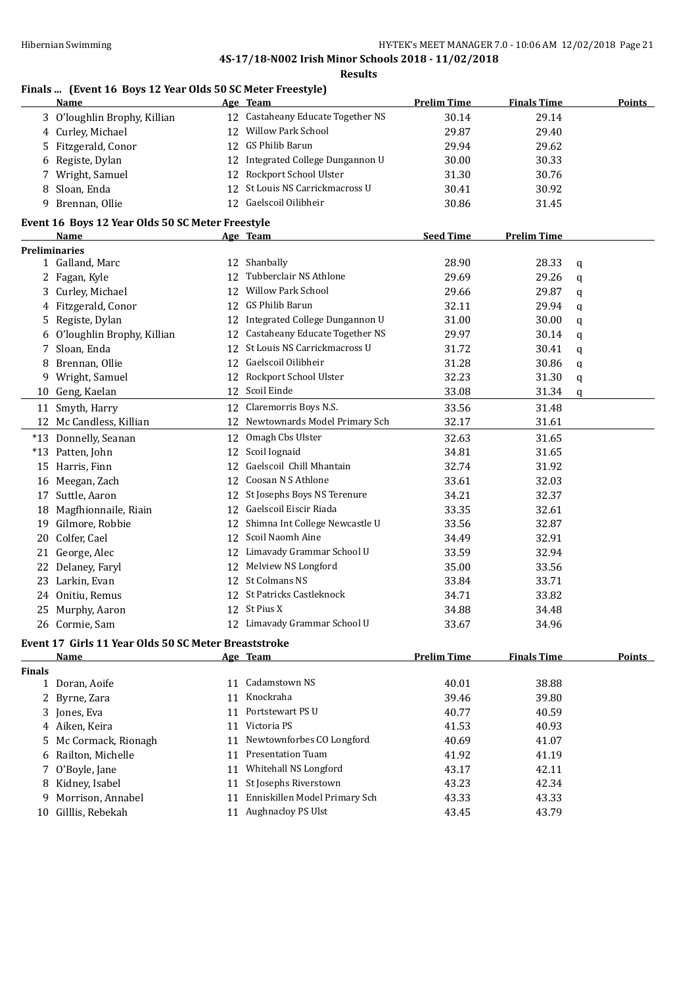#### **Results**

## **Finals ... (Event 16 Boys 12 Year Olds 50 SC Meter Freestyle)**

|               | Name                                                 |    | Age Team                          | <b>Prelim Time</b> | <b>Finals Time</b> |   | <b>Points</b> |
|---------------|------------------------------------------------------|----|-----------------------------------|--------------------|--------------------|---|---------------|
|               | 3 O'loughlin Brophy, Killian                         |    | 12 Castaheany Educate Together NS | 30.14              | 29.14              |   |               |
|               | 4 Curley, Michael                                    |    | 12 Willow Park School             | 29.87              | 29.40              |   |               |
| 5.            | Fitzgerald, Conor                                    |    | 12 GS Philib Barun                | 29.94              | 29.62              |   |               |
| 6             | Registe, Dylan                                       |    | 12 Integrated College Dungannon U | 30.00              | 30.33              |   |               |
| 7             | Wright, Samuel                                       |    | 12 Rockport School Ulster         | 31.30              | 30.76              |   |               |
| 8             | Sloan, Enda                                          | 12 | St Louis NS Carrickmacross U      | 30.41              | 30.92              |   |               |
| 9             | Brennan, Ollie                                       |    | 12 Gaelscoil Oilibheir            | 30.86              | 31.45              |   |               |
|               | Event 16 Boys 12 Year Olds 50 SC Meter Freestyle     |    |                                   |                    |                    |   |               |
|               | Name                                                 |    | Age Team                          | <b>Seed Time</b>   | <b>Prelim Time</b> |   |               |
|               | <b>Preliminaries</b>                                 |    |                                   |                    |                    |   |               |
|               | 1 Galland, Marc                                      |    | 12 Shanbally                      | 28.90              | 28.33              | q |               |
|               | 2 Fagan, Kyle                                        | 12 | Tubberclair NS Athlone            | 29.69              | 29.26              | q |               |
|               | 3 Curley, Michael                                    |    | 12 Willow Park School             | 29.66              | 29.87              | q |               |
|               | 4 Fitzgerald, Conor                                  |    | 12 GS Philib Barun                | 32.11              | 29.94              | q |               |
|               | 5 Registe, Dylan                                     |    | 12 Integrated College Dungannon U | 31.00              | 30.00              | q |               |
| 6             | O'loughlin Brophy, Killian                           |    | 12 Castaheany Educate Together NS | 29.97              | 30.14              | q |               |
| 7             | Sloan, Enda                                          |    | 12 St Louis NS Carrickmacross U   | 31.72              | 30.41              | q |               |
| 8             | Brennan, Ollie                                       |    | 12 Gaelscoil Oilibheir            | 31.28              | 30.86              | q |               |
|               | 9 Wright, Samuel                                     |    | 12 Rockport School Ulster         | 32.23              | 31.30              | q |               |
|               | 10 Geng, Kaelan                                      |    | 12 Scoil Einde                    | 33.08              | 31.34              | q |               |
|               | 11 Smyth, Harry                                      |    | 12 Claremorris Boys N.S.          | 33.56              | 31.48              |   |               |
|               | 12 Mc Candless, Killian                              |    | 12 Newtownards Model Primary Sch  | 32.17              | 31.61              |   |               |
|               | *13 Donnelly, Seanan                                 |    | 12 Omagh Cbs Ulster               | 32.63              | 31.65              |   |               |
|               | *13 Patten, John                                     |    | 12 Scoil Iognaid                  | 34.81              | 31.65              |   |               |
|               | 15 Harris, Finn                                      | 12 | Gaelscoil Chill Mhantain          | 32.74              | 31.92              |   |               |
|               | 16 Meegan, Zach                                      | 12 | Coosan N S Athlone                | 33.61              | 32.03              |   |               |
|               | 17 Suttle, Aaron                                     |    | 12 St Josephs Boys NS Terenure    | 34.21              | 32.37              |   |               |
|               | 18 Magfhionnaile, Riain                              |    | 12 Gaelscoil Eiscir Riada         | 33.35              | 32.61              |   |               |
| 19            | Gilmore, Robbie                                      |    | 12 Shimna Int College Newcastle U | 33.56              | 32.87              |   |               |
|               | Colfer, Cael                                         |    | 12 Scoil Naomh Aine               | 34.49              | 32.91              |   |               |
| 20            |                                                      |    | 12 Limavady Grammar School U      | 33.59              | 32.94              |   |               |
| 21            | George, Alec                                         |    | 12 Melview NS Longford            | 35.00              |                    |   |               |
|               | 22 Delaney, Faryl                                    |    | 12 St Colmans NS                  |                    | 33.56              |   |               |
|               | 23 Larkin, Evan                                      |    | 12 St Patricks Castleknock        | 33.84              | 33.71              |   |               |
|               | 24 Onitiu, Remus                                     |    | 12 St Pius X                      | 34.71<br>34.88     | 33.82              |   |               |
|               | 25 Murphy, Aaron                                     |    |                                   |                    | 34.48              |   |               |
|               | 26 Cormie, Sam                                       |    | 12 Limavady Grammar School U      | 33.67              | 34.96              |   |               |
|               | Event 17 Girls 11 Year Olds 50 SC Meter Breaststroke |    |                                   |                    |                    |   |               |
|               | <b>Name</b>                                          |    | Age Team                          | <b>Prelim Time</b> | <b>Finals Time</b> |   | <b>Points</b> |
| <b>Finals</b> |                                                      |    |                                   |                    |                    |   |               |
|               | 1 Doran, Aoife                                       |    | 11 Cadamstown NS                  | 40.01              | 38.88              |   |               |
| 2             | Byrne, Zara                                          | 11 | Knockraha                         | 39.46              | 39.80              |   |               |
|               | 3 Jones, Eva                                         | 11 | Portstewart PS U                  | 40.77              | 40.59              |   |               |
|               | 4 Aiken, Keira                                       |    | 11 Victoria PS                    | 41.53              | 40.93              |   |               |
| 5.            | Mc Cormack, Rionagh                                  | 11 | Newtownforbes CO Longford         | 40.69              | 41.07              |   |               |
| 6             | Railton, Michelle                                    | 11 | <b>Presentation Tuam</b>          | 41.92              | 41.19              |   |               |
| 7             | O'Boyle, Jane                                        |    | 11 Whitehall NS Longford          | 43.17              | 42.11              |   |               |
|               | 8 Kidney, Isabel                                     |    | 11 St Josephs Riverstown          | 43.23              | 42.34              |   |               |
| 9.            | Morrison, Annabel                                    |    | 11 Enniskillen Model Primary Sch  | 43.33              | 43.33              |   |               |
| 10            | Gilllis, Rebekah                                     |    | 11 Aughnacloy PS Ulst             | 43.45              | 43.79              |   |               |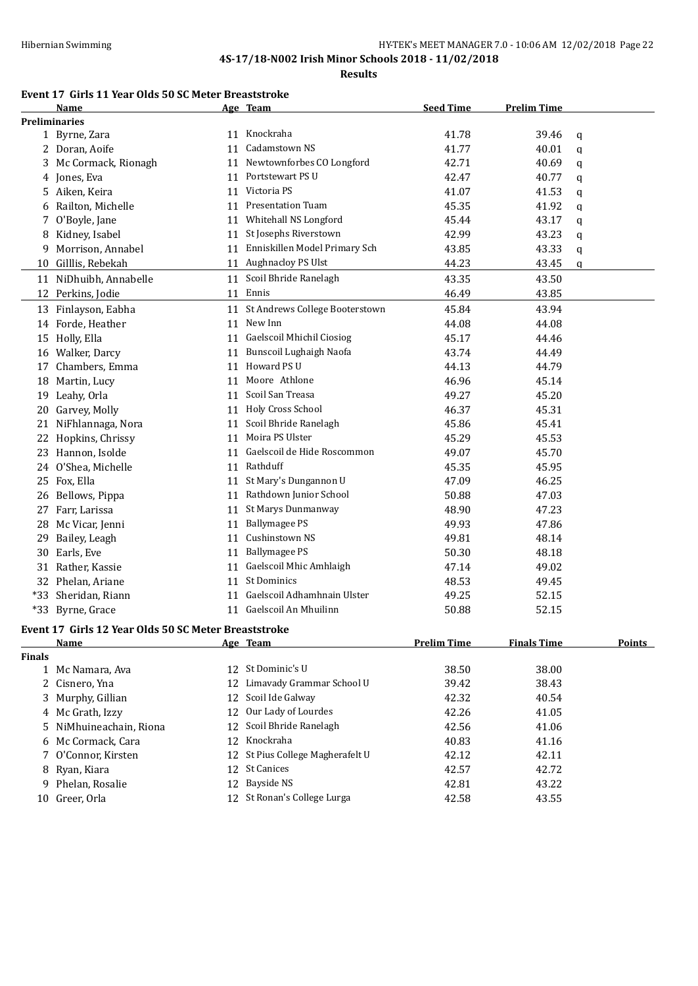**Results**

## **Event 17 Girls 11 Year Olds 50 SC Meter Breaststroke**

|               | Name                                                 |    | Age Team                          | <b>Seed Time</b>   | <b>Prelim Time</b> |               |
|---------------|------------------------------------------------------|----|-----------------------------------|--------------------|--------------------|---------------|
|               | <b>Preliminaries</b>                                 |    |                                   |                    |                    |               |
|               | 1 Byrne, Zara                                        |    | 11 Knockraha                      | 41.78              | 39.46              | q             |
|               | 2 Doran, Aoife                                       |    | 11 Cadamstown NS                  | 41.77              | 40.01              | q             |
|               | 3 Mc Cormack, Rionagh                                |    | 11 Newtownforbes CO Longford      | 42.71              | 40.69              | q             |
|               | 4 Jones, Eva                                         |    | 11 Portstewart PS U               | 42.47              | 40.77              | q             |
|               | 5 Aiken, Keira                                       |    | 11 Victoria PS                    | 41.07              | 41.53              | q             |
| 6             | Railton, Michelle                                    |    | 11 Presentation Tuam              | 45.35              | 41.92              | q             |
| 7             | O'Boyle, Jane                                        | 11 | Whitehall NS Longford             | 45.44              | 43.17              | q             |
| 8             | Kidney, Isabel                                       | 11 | St Josephs Riverstown             | 42.99              | 43.23              | q             |
| 9             | Morrison, Annabel                                    | 11 | Enniskillen Model Primary Sch     | 43.85              | 43.33              | q             |
| 10            | Gilllis, Rebekah                                     |    | 11 Aughnacloy PS Ulst             | 44.23              | 43.45              | q             |
|               | 11 NiDhuibh, Annabelle                               |    | 11 Scoil Bhride Ranelagh          | 43.35              | 43.50              |               |
|               | 12 Perkins, Jodie                                    |    | 11 Ennis                          | 46.49              | 43.85              |               |
|               | 13 Finlayson, Eabha                                  |    | 11 St Andrews College Booterstown | 45.84              | 43.94              |               |
|               | 14 Forde, Heather                                    | 11 | New Inn                           | 44.08              | 44.08              |               |
|               | 15 Holly, Ella                                       | 11 | Gaelscoil Mhichil Ciosiog         | 45.17              | 44.46              |               |
|               | 16 Walker, Darcy                                     | 11 | Bunscoil Lughaigh Naofa           | 43.74              | 44.49              |               |
|               | 17 Chambers, Emma                                    |    | 11 Howard PS U                    | 44.13              | 44.79              |               |
|               |                                                      |    | Moore Athlone                     | 46.96              | 45.14              |               |
|               | 18 Martin, Lucy                                      | 11 | 11 Scoil San Treasa               | 49.27              |                    |               |
|               | 19 Leahy, Orla                                       |    | 11 Holy Cross School              |                    | 45.20              |               |
| 20            | Garvey, Molly                                        |    | Scoil Bhride Ranelagh             | 46.37              | 45.31              |               |
|               | 21 NiFhlannaga, Nora                                 | 11 | Moira PS Ulster                   | 45.86              | 45.41              |               |
|               | 22 Hopkins, Chrissy                                  | 11 |                                   | 45.29              | 45.53              |               |
|               | 23 Hannon, Isolde                                    |    | 11 Gaelscoil de Hide Roscommon    | 49.07              | 45.70              |               |
|               | 24 O'Shea, Michelle                                  |    | 11 Rathduff                       | 45.35              | 45.95              |               |
|               | 25 Fox, Ella                                         |    | 11 St Mary's Dungannon U          | 47.09              | 46.25              |               |
|               | 26 Bellows, Pippa                                    |    | 11 Rathdown Junior School         | 50.88              | 47.03              |               |
|               | 27 Farr, Larissa                                     | 11 | St Marys Dunmanway                | 48.90              | 47.23              |               |
| 28            | Mc Vicar, Jenni                                      | 11 | <b>Ballymagee PS</b>              | 49.93              | 47.86              |               |
| 29            | Bailey, Leagh                                        |    | 11 Cushinstown NS                 | 49.81              | 48.14              |               |
|               | 30 Earls, Eve                                        | 11 | <b>Ballymagee PS</b>              | 50.30              | 48.18              |               |
|               | 31 Rather, Kassie                                    | 11 | Gaelscoil Mhic Amhlaigh           | 47.14              | 49.02              |               |
|               | 32 Phelan, Ariane                                    |    | 11 St Dominics                    | 48.53              | 49.45              |               |
|               | *33 Sheridan, Riann                                  |    | 11 Gaelscoil Adhamhnain Ulster    | 49.25              | 52.15              |               |
|               | *33 Byrne, Grace                                     |    | 11 Gaelscoil An Mhuilinn          | 50.88              | 52.15              |               |
|               | Event 17 Girls 12 Year Olds 50 SC Meter Breaststroke |    |                                   |                    |                    |               |
|               | Name                                                 |    | Age Team                          | <b>Prelim Time</b> | <b>Finals Time</b> | <b>Points</b> |
| <b>Finals</b> |                                                      |    |                                   |                    |                    |               |
|               | 1 Mc Namara, Ava                                     |    | 12 St Dominic's U                 | 38.50              | 38.00              |               |
|               | 2 Cisnero, Yna                                       |    | 12 Limavady Grammar School U      | 39.42              | 38.43              |               |
|               | 3 Murphy, Gillian                                    |    | 12 Scoil Ide Galway               | 42.32              | 40.54              |               |
|               | 4 Mc Grath, Izzy                                     |    | 12 Our Lady of Lourdes            | 42.26              | 41.05              |               |
|               | 5 NiMhuineachain, Riona                              | 12 | Scoil Bhride Ranelagh             | 42.56              | 41.06              |               |
|               | 6 Mc Cormack, Cara                                   |    | 12 Knockraha                      | 40.83              | 41.16              |               |
|               | 7 O'Connor, Kirsten                                  |    | 12 St Pius College Magherafelt U  | 42.12              | 42.11              |               |
|               | 8 Ryan, Kiara                                        |    | 12 St Canices                     | 42.57              | 42.72              |               |
| 9.            | Phelan, Rosalie                                      | 12 | <b>Bayside NS</b>                 | 42.81              | 43.22              |               |
|               | 10 Greer, Orla                                       |    | 12 St Ronan's College Lurga       | 42.58              | 43.55              |               |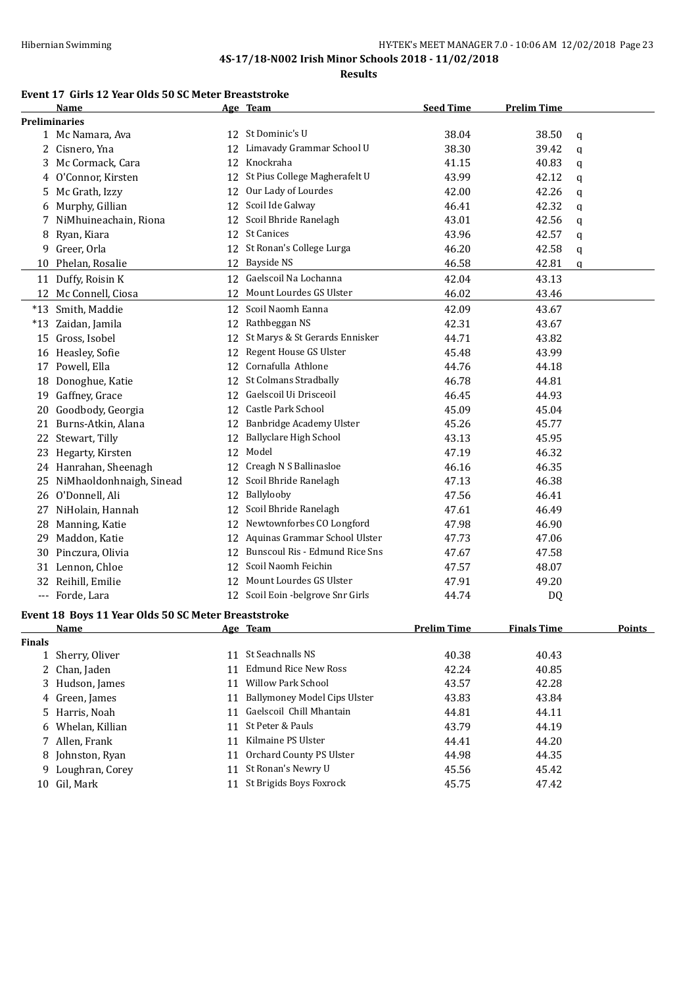**Results**

## **Event 17 Girls 12 Year Olds 50 SC Meter Breaststroke**

|               | Name                                                |    | Age Team                            | <b>Seed Time</b>   | <b>Prelim Time</b> |               |
|---------------|-----------------------------------------------------|----|-------------------------------------|--------------------|--------------------|---------------|
|               | <b>Preliminaries</b>                                |    |                                     |                    |                    |               |
|               | 1 Mc Namara, Ava                                    |    | 12 St Dominic's U                   | 38.04              | 38.50              | q             |
|               | 2 Cisnero, Yna                                      |    | 12 Limavady Grammar School U        | 38.30              | 39.42              | q             |
|               | 3 Mc Cormack, Cara                                  |    | 12 Knockraha                        | 41.15              | 40.83              | q             |
|               | 4 O'Connor, Kirsten                                 |    | 12 St Pius College Magherafelt U    | 43.99              | 42.12              | q             |
| 5.            | Mc Grath, Izzy                                      | 12 | Our Lady of Lourdes                 | 42.00              | 42.26              | q             |
| 6             | Murphy, Gillian                                     | 12 | Scoil Ide Galway                    | 46.41              | 42.32              | q             |
| 7             | NiMhuineachain, Riona                               | 12 | Scoil Bhride Ranelagh               | 43.01              | 42.56              | q             |
| 8             | Ryan, Kiara                                         |    | 12 St Canices                       | 43.96              | 42.57              | q             |
| 9.            | Greer, Orla                                         |    | 12 St Ronan's College Lurga         | 46.20              | 42.58              | q             |
|               | 10 Phelan, Rosalie                                  |    | 12 Bayside NS                       | 46.58              | 42.81              | q             |
|               | 11 Duffy, Roisin K                                  |    | 12 Gaelscoil Na Lochanna            | 42.04              | 43.13              |               |
|               | 12 Mc Connell, Ciosa                                | 12 | Mount Lourdes GS Ulster             | 46.02              | 43.46              |               |
|               | *13 Smith, Maddie                                   |    | 12 Scoil Naomh Eanna                | 42.09              | 43.67              |               |
|               | *13 Zaidan, Jamila                                  |    | 12 Rathbeggan NS                    | 42.31              | 43.67              |               |
|               | 15 Gross, Isobel                                    |    | 12 St Marys & St Gerards Ennisker   | 44.71              | 43.82              |               |
|               | 16 Heasley, Sofie                                   | 12 | Regent House GS Ulster              | 45.48              | 43.99              |               |
|               | 17 Powell, Ella                                     |    | 12 Cornafulla Athlone               | 44.76              | 44.18              |               |
|               | 18 Donoghue, Katie                                  |    | 12 St Colmans Stradbally            | 46.78              | 44.81              |               |
|               | 19 Gaffney, Grace                                   |    | 12 Gaelscoil Ui Drisceoil           | 46.45              | 44.93              |               |
|               |                                                     |    | 12 Castle Park School               |                    |                    |               |
| 20            | Goodbody, Georgia                                   |    | 12 Banbridge Academy Ulster         | 45.09              | 45.04              |               |
|               | 21 Burns-Atkin, Alana                               |    | <b>Ballyclare High School</b>       | 45.26              | 45.77              |               |
|               | 22 Stewart, Tilly                                   | 12 |                                     | 43.13              | 45.95              |               |
|               | 23 Hegarty, Kirsten                                 |    | 12 Model                            | 47.19              | 46.32              |               |
|               | 24 Hanrahan, Sheenagh                               |    | 12 Creagh N S Ballinasloe           | 46.16              | 46.35              |               |
|               | 25 NiMhaoldonhnaigh, Sinead                         | 12 | Scoil Bhride Ranelagh               | 47.13              | 46.38              |               |
|               | 26 O'Donnell, Ali                                   |    | 12 Ballylooby                       | 47.56              | 46.41              |               |
|               | 27 NiHolain, Hannah                                 | 12 | Scoil Bhride Ranelagh               | 47.61              | 46.49              |               |
|               | 28 Manning, Katie                                   | 12 | Newtownforbes CO Longford           | 47.98              | 46.90              |               |
|               | 29 Maddon, Katie                                    |    | 12 Aquinas Grammar School Ulster    | 47.73              | 47.06              |               |
|               | 30 Pinczura, Olivia                                 |    | 12 Bunscoul Ris - Edmund Rice Sns   | 47.67              | 47.58              |               |
|               | 31 Lennon, Chloe                                    |    | 12 Scoil Naomh Feichin              | 47.57              | 48.07              |               |
|               | 32 Reihill, Emilie                                  |    | 12 Mount Lourdes GS Ulster          | 47.91              | 49.20              |               |
|               | --- Forde, Lara                                     |    | 12 Scoil Eoin - belgrove Snr Girls  | 44.74              | DQ                 |               |
|               | Event 18 Boys 11 Year Olds 50 SC Meter Breaststroke |    |                                     |                    |                    |               |
|               | Name                                                |    | $A_{\alpha\alpha}$ Toam             | <b>Prelim Time</b> | <b>Finals Time</b> | <b>Points</b> |
| <b>Finals</b> |                                                     |    |                                     |                    |                    |               |
|               | 1 Sherry, Oliver                                    |    | 11 St Seachnalls NS                 | 40.38              | 40.43              |               |
|               | 2 Chan, Jaden                                       | 11 | <b>Edmund Rice New Ross</b>         | 42.24              | 40.85              |               |
|               | 3 Hudson, James                                     | 11 | <b>Willow Park School</b>           | 43.57              | 42.28              |               |
|               | 4 Green, James                                      | 11 | <b>Ballymoney Model Cips Ulster</b> | 43.83              | 43.84              |               |
|               | 5 Harris, Noah                                      |    | 11 Gaelscoil Chill Mhantain         | 44.81              | 44.11              |               |
| 6             | Whelan, Killian                                     | 11 | St Peter & Pauls                    | 43.79              | 44.19              |               |
|               | 7 Allen, Frank                                      |    | 11 Kilmaine PS Ulster               | 44.41              | 44.20              |               |
| 8             | Johnston, Ryan                                      |    | 11 Orchard County PS Ulster         | 44.98              | 44.35              |               |
| 9.            | Loughran, Corey                                     | 11 | St Ronan's Newry U                  | 45.56              | 45.42              |               |
|               | 10 Gil, Mark                                        |    | 11 St Brigids Boys Foxrock          | 45.75              | 47.42              |               |
|               |                                                     |    |                                     |                    |                    |               |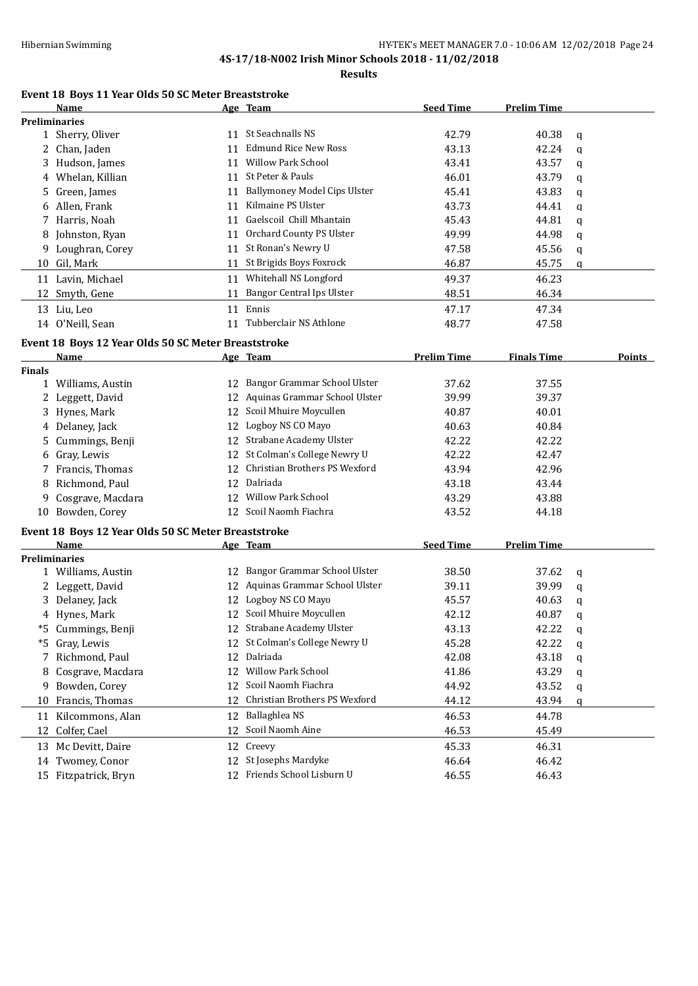**Results**

#### **Event 18 Boys 11 Year Olds 50 SC Meter Breaststroke**

|               | Name                                                |    | Age Team                            | <b>Seed Time</b>   | <b>Prelim Time</b> |              |               |
|---------------|-----------------------------------------------------|----|-------------------------------------|--------------------|--------------------|--------------|---------------|
|               | <b>Preliminaries</b>                                |    |                                     |                    |                    |              |               |
|               | 1 Sherry, Oliver                                    |    | 11 St Seachnalls NS                 | 42.79              | 40.38              | q            |               |
|               | 2 Chan, Jaden                                       | 11 | Edmund Rice New Ross                | 43.13              | 42.24              | q            |               |
|               | 3 Hudson, James                                     |    | 11 Willow Park School               | 43.41              | 43.57              | q            |               |
|               | 4 Whelan, Killian                                   |    | 11 St Peter & Pauls                 | 46.01              | 43.79              | q            |               |
| 5.            | Green, James                                        | 11 | <b>Ballymoney Model Cips Ulster</b> | 45.41              | 43.83              | $\mathbf q$  |               |
|               | 6 Allen, Frank                                      |    | 11 Kilmaine PS Ulster               | 43.73              | 44.41              | q            |               |
|               | 7 Harris, Noah                                      | 11 | Gaelscoil Chill Mhantain            | 45.43              | 44.81              | q            |               |
| 8             | Johnston, Ryan                                      | 11 | Orchard County PS Ulster            | 49.99              | 44.98              | q            |               |
| 9             | Loughran, Corey                                     | 11 | St Ronan's Newry U                  | 47.58              | 45.56              | q            |               |
|               | 10 Gil, Mark                                        |    | 11 St Brigids Boys Foxrock          | 46.87              | 45.75              | q            |               |
|               |                                                     |    |                                     |                    |                    |              |               |
|               | 11 Lavin, Michael                                   | 11 | Whitehall NS Longford               | 49.37              | 46.23              |              |               |
|               | 12 Smyth, Gene                                      |    | 11 Bangor Central Ips Ulster        | 48.51              | 46.34              |              |               |
|               | 13 Liu, Leo                                         |    | 11 Ennis                            | 47.17              | 47.34              |              |               |
|               | 14 O'Neill, Sean                                    |    | 11 Tubberclair NS Athlone           | 48.77              | 47.58              |              |               |
|               | Event 18 Boys 12 Year Olds 50 SC Meter Breaststroke |    |                                     |                    |                    |              |               |
|               | Name                                                |    | Age Team                            | <b>Prelim Time</b> | <b>Finals Time</b> |              | <b>Points</b> |
| <b>Finals</b> |                                                     |    |                                     |                    |                    |              |               |
|               | 1 Williams, Austin                                  | 12 | Bangor Grammar School Ulster        | 37.62              | 37.55              |              |               |
|               | 2 Leggett, David                                    |    | 12 Aquinas Grammar School Ulster    | 39.99              | 39.37              |              |               |
|               | 3 Hynes, Mark                                       | 12 | Scoil Mhuire Moycullen              | 40.87              | 40.01              |              |               |
|               | 4 Delaney, Jack                                     |    | 12 Logboy NS CO Mayo                | 40.63              | 40.84              |              |               |
| 5             | Cummings, Benji                                     | 12 | Strabane Academy Ulster             | 42.22              | 42.22              |              |               |
| 6             | Gray, Lewis                                         | 12 | St Colman's College Newry U         | 42.22              | 42.47              |              |               |
|               | 7 Francis, Thomas                                   | 12 | Christian Brothers PS Wexford       | 43.94              | 42.96              |              |               |
|               | Richmond, Paul                                      | 12 | Dalriada                            | 43.18              | 43.44              |              |               |
| 8             |                                                     |    | 12 Willow Park School               |                    |                    |              |               |
| 9             | Cosgrave, Macdara                                   |    | Scoil Naomh Fiachra                 | 43.29              | 43.88              |              |               |
|               | 10 Bowden, Corey                                    | 12 |                                     | 43.52              | 44.18              |              |               |
|               | Event 18 Boys 12 Year Olds 50 SC Meter Breaststroke |    |                                     |                    |                    |              |               |
|               | <b>Name</b>                                         |    | Age Team                            | <b>Seed Time</b>   | <b>Prelim Time</b> |              |               |
|               | <b>Preliminaries</b>                                |    |                                     |                    |                    |              |               |
|               | 1 Williams, Austin                                  |    | 12 Bangor Grammar School Ulster     | 38.50              | 37.62              | q            |               |
|               | 2 Leggett, David                                    |    | 12 Aquinas Grammar School Ulster    | 39.11              | 39.99              | $\mathsf{q}$ |               |
|               | 3 Delaney, Jack                                     |    | 12 Logboy NS CO Mayo                | 45.57              | 40.63              | q            |               |
|               | 4 Hynes, Mark                                       |    | 12 Scoil Mhuire Moycullen           | 42.12              | 40.87              | q            |               |
|               | *5 Cummings, Benji                                  |    | 12 Strabane Academy Ulster          | 43.13              | 42.22              | q            |               |
|               | *5 Gray, Lewis                                      |    | 12 St Colman's College Newry U      | 45.28              | 42.22              | q            |               |
| 7             | Richmond, Paul                                      | 12 | Dalriada                            | 42.08              | 43.18              | q            |               |
| 8             | Cosgrave, Macdara                                   | 12 | Willow Park School                  | 41.86              | 43.29              | q            |               |
| 9             | Bowden, Corey                                       | 12 | Scoil Naomh Fiachra                 | 44.92              | 43.52              | q            |               |
| 10            | Francis, Thomas                                     | 12 | Christian Brothers PS Wexford       | 44.12              | 43.94              | q            |               |
|               | 11 Kilcommons, Alan                                 |    | 12 Ballaghlea NS                    | 46.53              | 44.78              |              |               |
| 12            | Colfer, Cael                                        | 12 | Scoil Naomh Aine                    | 46.53              | 45.49              |              |               |
|               |                                                     |    |                                     |                    |                    |              |               |
|               | 13 Mc Devitt, Daire                                 |    | 12 Creevy                           | 45.33              | 46.31              |              |               |
|               | 14 Twomey, Conor                                    | 12 | St Josephs Mardyke                  | 46.64              | 46.42              |              |               |
|               | 15 Fitzpatrick, Bryn                                |    | 12 Friends School Lisburn U         | 46.55              | 46.43              |              |               |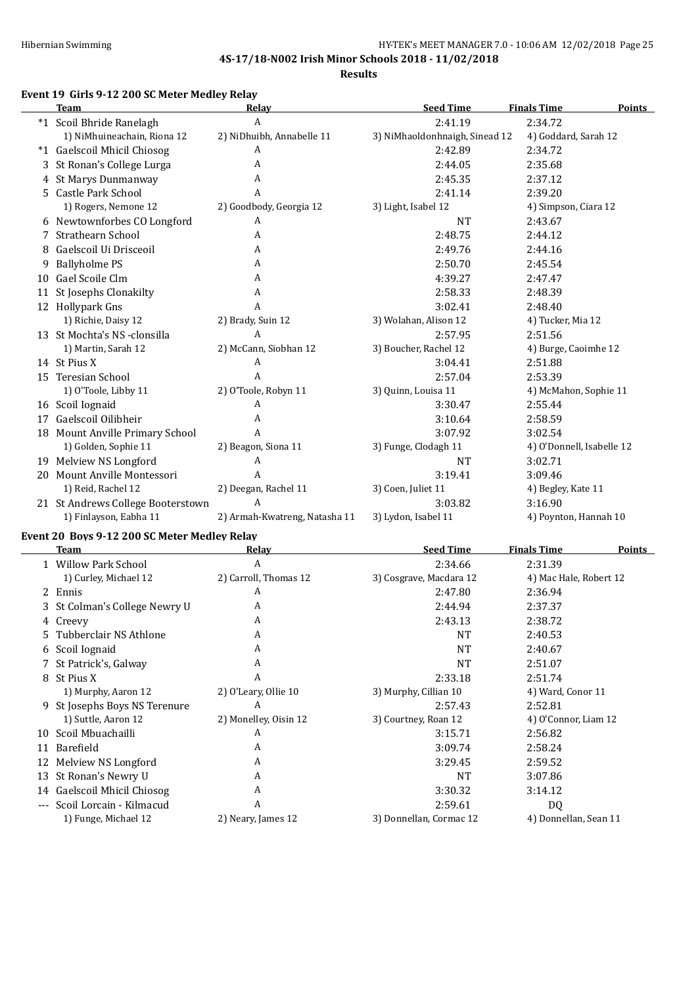$\overline{a}$ 

**4S-17/18-N002 Irish Minor Schools 2018 - 11/02/2018**

**Results**

#### **Event 19 Girls 9-12 200 SC Meter Medley Relay**

|   | <b>Team</b>                                  | Relay                         | <b>Seed Time</b>                 | <b>Finals Time</b><br><b>Points</b> |
|---|----------------------------------------------|-------------------------------|----------------------------------|-------------------------------------|
|   | *1 Scoil Bhride Ranelagh                     | $\boldsymbol{A}$              | 2:41.19                          | 2:34.72                             |
|   | 1) NiMhuineachain, Riona 12                  | 2) NiDhuibh, Annabelle 11     | 3) NiMhaoldonhnaigh, Sinead 12   | 4) Goddard, Sarah 12                |
|   | *1 Gaelscoil Mhicil Chiosog                  | A                             | 2:42.89                          | 2:34.72                             |
| 3 | St Ronan's College Lurga                     | A                             | 2:44.05                          | 2:35.68                             |
| 4 | St Marys Dunmanway                           | A                             | 2:45.35                          | 2:37.12                             |
|   | 5 Castle Park School                         | A                             | 2:41.14                          | 2:39.20                             |
|   | 1) Rogers, Nemone 12                         | 2) Goodbody, Georgia 12       | 3) Light, Isabel 12              | 4) Simpson, Ciara 12                |
|   | 6 Newtownforbes CO Longford                  | A                             | NT                               | 2:43.67                             |
| 7 | Strathearn School                            | A                             | 2:48.75                          | 2:44.12                             |
| 8 | Gaelscoil Ui Drisceoil                       | A                             | 2:49.76                          | 2:44.16                             |
| 9 | <b>Ballyholme PS</b>                         | A                             | 2:50.70                          | 2:45.54                             |
|   | 10 Gael Scoile Clm                           | A                             | 4:39.27                          | 2:47.47                             |
|   | 11 St Josephs Clonakilty                     | A                             | 2:58.33                          | 2:48.39                             |
|   | 12 Hollypark Gns                             | A                             | 3:02.41                          | 2:48.40                             |
|   | 1) Richie, Daisy 12                          | 2) Brady, Suin 12             |                                  |                                     |
|   | 13 St Mochta's NS -clonsilla                 | A                             | 3) Wolahan, Alison 12<br>2:57.95 | 4) Tucker, Mia 12                   |
|   |                                              |                               |                                  | 2:51.56                             |
|   | 1) Martin, Sarah 12                          | 2) McCann, Siobhan 12         | 3) Boucher, Rachel 12            | 4) Burge, Caoimhe 12                |
|   | 14 St Pius X                                 | $\boldsymbol{A}$              | 3:04.41                          | 2:51.88                             |
|   | 15 Teresian School                           | A                             | 2:57.04                          | 2:53.39                             |
|   | 1) O'Toole, Libby 11                         | 2) O'Toole, Robyn 11          | 3) Quinn, Louisa 11              | 4) McMahon, Sophie 11               |
|   | 16 Scoil Iognaid                             | A                             | 3:30.47                          | 2:55.44                             |
|   | 17 Gaelscoil Oilibheir                       | A                             | 3:10.64                          | 2:58.59                             |
|   | 18 Mount Anville Primary School              | A                             | 3:07.92                          | 3:02.54                             |
|   | 1) Golden, Sophie 11                         | 2) Beagon, Siona 11           | 3) Funge, Clodagh 11             | 4) O'Donnell, Isabelle 12           |
|   | 19 Melview NS Longford                       | A                             | NT                               | 3:02.71                             |
|   | 20 Mount Anville Montessori                  | $\overline{A}$                | 3:19.41                          | 3:09.46                             |
|   | 1) Reid, Rachel 12                           | 2) Deegan, Rachel 11          | 3) Coen, Juliet 11               | 4) Begley, Kate 11                  |
|   | 21 St Andrews College Booterstown            | A                             | 3:03.82                          | 3:16.90                             |
|   | 1) Finlayson, Eabha 11                       | 2) Armah-Kwatreng, Natasha 11 | 3) Lydon, Isabel 11              | 4) Poynton, Hannah 10               |
|   | Event 20 Boys 9-12 200 SC Meter Medley Relay |                               |                                  |                                     |
|   | <b>Team</b>                                  | <b>Relay</b>                  | <b>Seed Time</b>                 | <b>Finals Time</b><br><b>Points</b> |
|   | 1 Willow Park School                         | A                             | 2:34.66                          | 2:31.39                             |
|   | 1) Curley, Michael 12                        | 2) Carroll, Thomas 12         | 3) Cosgrave, Macdara 12          | 4) Mac Hale, Robert 12              |
|   | 2 Ennis                                      | A                             | 2:47.80                          | 2:36.94                             |
|   | 3 St Colman's College Newry U                | A                             | 2:44.94                          | 2:37.37                             |
|   | 4 Creevy                                     | A                             | 2:43.13                          | 2:38.72                             |
| 5 | Tubberclair NS Athlone                       | A                             | <b>NT</b>                        | 2:40.53                             |
|   | 6 Scoil Iognaid                              | A                             | <b>NT</b>                        | 2:40.67                             |
|   | 7 St Patrick's, Galway                       | A                             | <b>NT</b>                        | 2:51.07                             |
|   | 8 St Pius X                                  | Α                             | 2:33.18                          | 2:51.74                             |
|   | 1) Murphy, Aaron 12                          | 2) O'Leary, Ollie 10          | 3) Murphy, Cillian 10            | 4) Ward, Conor 11                   |
|   | 9 St Josephs Boys NS Terenure                | A                             | 2:57.43                          | 2:52.81                             |
|   | 1) Suttle, Aaron 12                          | 2) Monelley, Oisin 12         | 3) Courtney, Roan 12             | 4) O'Connor, Liam 12                |
|   | 10 Scoil Mbuachailli                         | A                             | 3:15.71                          | 2:56.82                             |
|   | 11 Barefield                                 | A                             | 3:09.74                          | 2:58.24                             |
|   | 12 Melview NS Longford                       | A                             | 3:29.45                          | 2:59.52                             |
|   | 13 St Ronan's Newry U                        | A                             | $\rm{NT}$                        | 3:07.86                             |
|   | 14 Gaelscoil Mhicil Chiosog                  | A                             | 3:30.32                          | 3:14.12                             |
|   | --- Scoil Lorcain - Kilmacud                 | A                             | 2:59.61                          | <b>DQ</b>                           |
|   | 1) Funge, Michael 12                         | 2) Neary, James 12            | 3) Donnellan, Cormac 12          | 4) Donnellan, Sean 11               |
|   |                                              |                               |                                  |                                     |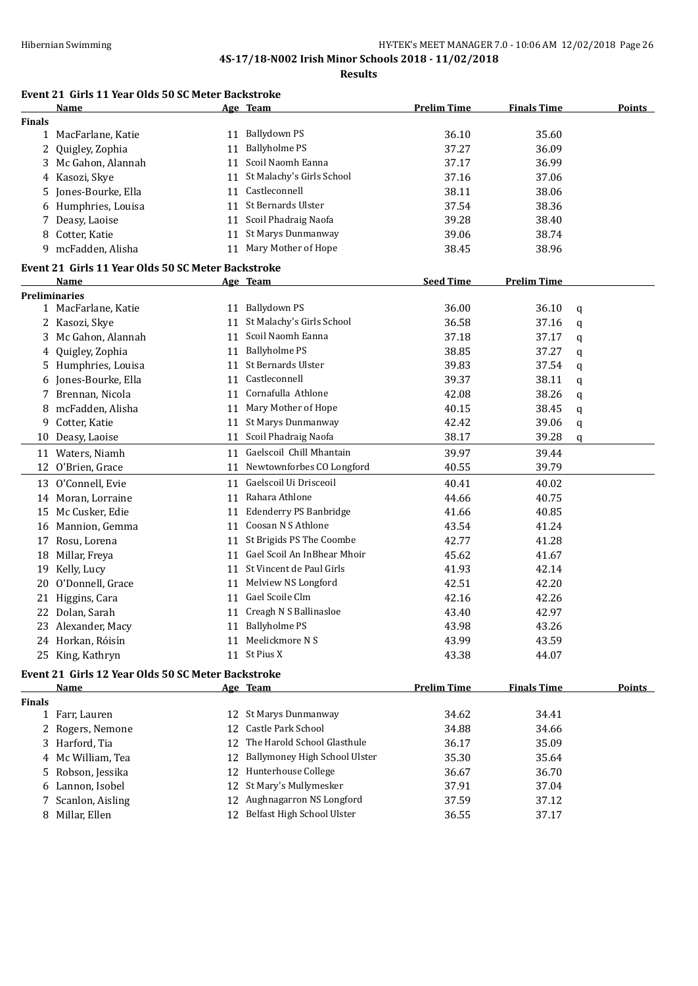**Results**

## **Event 21 Girls 11 Year Olds 50 SC Meter Backstroke**

|               | Name                                               |    | Age Team                      | <b>Prelim Time</b> | <b>Finals Time</b> |   | <b>Points</b> |
|---------------|----------------------------------------------------|----|-------------------------------|--------------------|--------------------|---|---------------|
| <b>Finals</b> |                                                    |    |                               |                    |                    |   |               |
|               | 1 MacFarlane, Katie                                |    | 11 Ballydown PS               | 36.10              | 35.60              |   |               |
| 2             | Quigley, Zophia                                    | 11 | <b>Ballyholme PS</b>          | 37.27              | 36.09              |   |               |
|               | 3 Mc Gahon, Alannah                                | 11 | Scoil Naomh Eanna             | 37.17              | 36.99              |   |               |
|               | 4 Kasozi, Skye                                     |    | 11 St Malachy's Girls School  | 37.16              | 37.06              |   |               |
| 5.            | Jones-Bourke, Ella                                 | 11 | Castleconnell                 | 38.11              | 38.06              |   |               |
| 6             | Humphries, Louisa                                  |    | 11 St Bernards Ulster         | 37.54              | 38.36              |   |               |
| 7             | Deasy, Laoise                                      | 11 | Scoil Phadraig Naofa          | 39.28              | 38.40              |   |               |
| 8             | Cotter, Katie                                      | 11 | St Marys Dunmanway            | 39.06              | 38.74              |   |               |
| 9             | mcFadden, Alisha                                   | 11 | Mary Mother of Hope           | 38.45              | 38.96              |   |               |
|               | Event 21 Girls 11 Year Olds 50 SC Meter Backstroke |    |                               |                    |                    |   |               |
|               | Name                                               |    | Age Team                      | <b>Seed Time</b>   | <b>Prelim Time</b> |   |               |
|               | <b>Preliminaries</b>                               |    |                               |                    |                    |   |               |
|               | 1 MacFarlane, Katie                                |    | 11 Ballydown PS               | 36.00              | 36.10              | q |               |
|               | 2 Kasozi, Skye                                     | 11 | St Malachy's Girls School     | 36.58              | 37.16              | q |               |
|               | 3 Mc Gahon, Alannah                                | 11 | Scoil Naomh Eanna             | 37.18              | 37.17              | q |               |
|               | Quigley, Zophia                                    | 11 | <b>Ballyholme PS</b>          | 38.85              | 37.27              | q |               |
|               | 5 Humphries, Louisa                                | 11 | St Bernards Ulster            | 39.83              | 37.54              | q |               |
|               | Jones-Bourke, Ella                                 | 11 | Castleconnell                 | 39.37              | 38.11              | q |               |
| 7             | Brennan, Nicola                                    | 11 | Cornafulla Athlone            | 42.08              | 38.26              | q |               |
| 8             | mcFadden, Alisha                                   | 11 | Mary Mother of Hope           | 40.15              | 38.45              | q |               |
| 9             | Cotter, Katie                                      | 11 | St Marys Dunmanway            | 42.42              | 39.06              | q |               |
|               | 10 Deasy, Laoise                                   | 11 | Scoil Phadraig Naofa          | 38.17              | 39.28              | q |               |
|               | 11 Waters, Niamh                                   | 11 | Gaelscoil Chill Mhantain      | 39.97              | 39.44              |   |               |
|               | 12 O'Brien, Grace                                  | 11 | Newtownforbes CO Longford     | 40.55              | 39.79              |   |               |
|               | 13 O'Connell, Evie                                 |    | 11 Gaelscoil Ui Drisceoil     | 40.41              | 40.02              |   |               |
|               | 14 Moran, Lorraine                                 |    | 11 Rahara Athlone             | 44.66              | 40.75              |   |               |
|               | 15 Mc Cusker, Edie                                 | 11 | Edenderry PS Banbridge        | 41.66              | 40.85              |   |               |
|               | 16 Mannion, Gemma                                  | 11 | Coosan N S Athlone            | 43.54              | 41.24              |   |               |
|               | 17 Rosu, Lorena                                    | 11 | St Brigids PS The Coombe      | 42.77              | 41.28              |   |               |
|               | 18 Millar, Freya                                   | 11 | Gael Scoil An InBhear Mhoir   | 45.62              | 41.67              |   |               |
| 19            | Kelly, Lucy                                        | 11 | St Vincent de Paul Girls      | 41.93              | 42.14              |   |               |
| 20            | O'Donnell, Grace                                   | 11 | Melview NS Longford           | 42.51              | 42.20              |   |               |
|               | 21 Higgins, Cara                                   | 11 | Gael Scoile Clm               | 42.16              | 42.26              |   |               |
|               | 22 Dolan, Sarah                                    | 11 | Creagh N S Ballinasloe        | 43.40              | 42.97              |   |               |
|               | 23 Alexander, Macy                                 | 11 | <b>Ballyholme PS</b>          | 43.98              | 43.26              |   |               |
|               | 24 Horkan, Róisín                                  |    | 11 Meelickmore N S            | 43.99              | 43.59              |   |               |
|               | 25 King, Kathryn                                   |    | 11 St Pius X                  | 43.38              | 44.07              |   |               |
|               |                                                    |    |                               |                    |                    |   |               |
|               | Event 21 Girls 12 Year Olds 50 SC Meter Backstroke |    |                               |                    |                    |   |               |
|               | <u>Name</u>                                        |    | Age Team                      | <b>Prelim Time</b> | <b>Finals Time</b> |   | <b>Points</b> |
| <b>Finals</b> |                                                    |    |                               |                    |                    |   |               |
|               | 1 Farr, Lauren                                     |    | 12 St Marys Dunmanway         | 34.62              | 34.41              |   |               |
|               | 2 Rogers, Nemone                                   | 12 | Castle Park School            | 34.88              | 34.66              |   |               |
|               | 3 Harford, Tia                                     | 12 | The Harold School Glasthule   | 36.17              | 35.09              |   |               |
|               | 4 Mc William, Tea                                  | 12 | Ballymoney High School Ulster | 35.30              | 35.64              |   |               |
| 5             | Robson, Jessika                                    | 12 | Hunterhouse College           | 36.67              | 36.70              |   |               |
| 6             | Lannon, Isobel                                     | 12 | St Mary's Mullymesker         | 37.91              | 37.04              |   |               |
| 7             | Scanlon, Aisling                                   |    | 12 Aughnagarron NS Longford   | 37.59              | 37.12              |   |               |
|               | 8 Millar, Ellen                                    |    | 12 Belfast High School Ulster | 36.55              | 37.17              |   |               |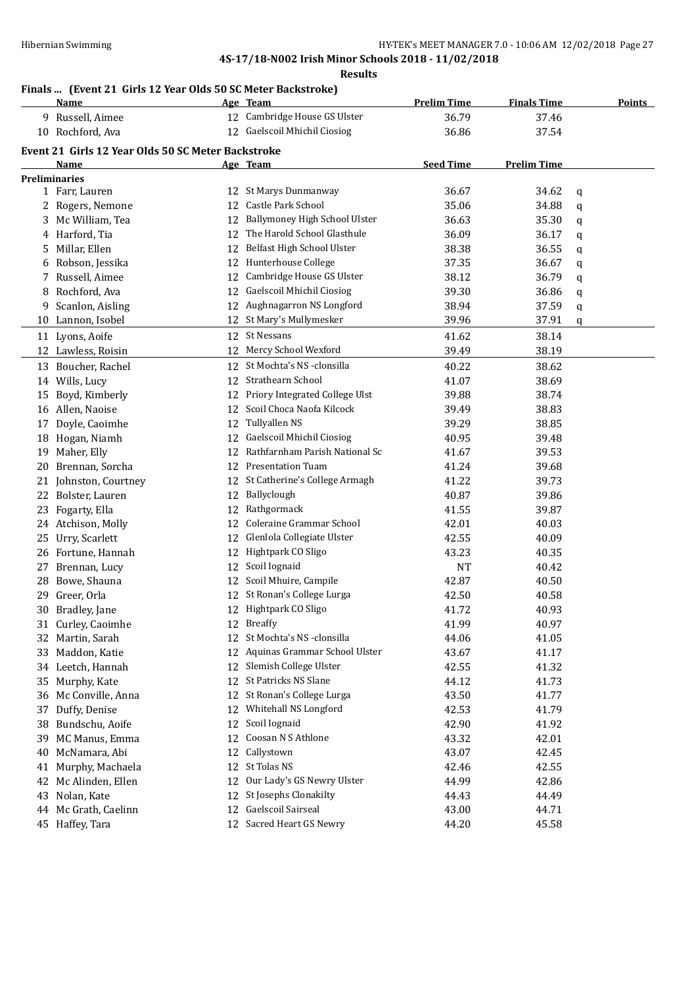#### **Results**

## **Finals ... (Event 21 Girls 12 Year Olds 50 SC Meter Backstroke)**

|                      | <b>Name</b>                                        |    | Age Team                         | <b>Prelim Time</b> | <b>Finals Time</b> |   | <b>Points</b> |
|----------------------|----------------------------------------------------|----|----------------------------------|--------------------|--------------------|---|---------------|
|                      | 9 Russell, Aimee                                   | 12 | Cambridge House GS Ulster        | 36.79              | 37.46              |   |               |
|                      | 10 Rochford, Ava                                   | 12 | <b>Gaelscoil Mhichil Ciosiog</b> | 36.86              | 37.54              |   |               |
|                      | Event 21 Girls 12 Year Olds 50 SC Meter Backstroke |    |                                  |                    |                    |   |               |
|                      | Name                                               |    | Age Team                         | <b>Seed Time</b>   | <b>Prelim Time</b> |   |               |
| <b>Preliminaries</b> |                                                    |    |                                  |                    |                    |   |               |
|                      | 1 Farr, Lauren                                     |    | 12 St Marys Dunmanway            | 36.67              | 34.62              | q |               |
|                      | 2 Rogers, Nemone                                   | 12 | Castle Park School               | 35.06              | 34.88              | q |               |
| 3                    | Mc William, Tea                                    | 12 | Ballymoney High School Ulster    | 36.63              | 35.30              | q |               |
|                      | 4 Harford, Tia                                     | 12 | The Harold School Glasthule      | 36.09              | 36.17              | q |               |
| 5.                   | Millar, Ellen                                      | 12 | Belfast High School Ulster       | 38.38              | 36.55              | q |               |
| 6                    | Robson, Jessika                                    | 12 | Hunterhouse College              | 37.35              | 36.67              | q |               |
| 7                    | Russell, Aimee                                     | 12 | Cambridge House GS Ulster        | 38.12              | 36.79              | q |               |
| 8                    | Rochford, Ava                                      | 12 | Gaelscoil Mhichil Ciosiog        | 39.30              | 36.86              | q |               |
| 9                    | Scanlon, Aisling                                   |    | 12 Aughnagarron NS Longford      | 38.94              | 37.59              | q |               |
|                      | 10 Lannon, Isobel                                  |    | 12 St Mary's Mullymesker         | 39.96              | 37.91              | q |               |
|                      | 11 Lyons, Aoife                                    |    | 12 St Nessans                    | 41.62              | 38.14              |   |               |
|                      | 12 Lawless, Roisin                                 | 12 | Mercy School Wexford             | 39.49              | 38.19              |   |               |
| 13                   | Boucher, Rachel                                    |    | 12 St Mochta's NS -clonsilla     | 40.22              | 38.62              |   |               |
|                      | 14 Wills, Lucy                                     | 12 | <b>Strathearn School</b>         | 41.07              | 38.69              |   |               |
| 15                   | Boyd, Kimberly                                     | 12 | Priory Integrated College Ulst   | 39.88              | 38.74              |   |               |
|                      | 16 Allen, Naoise                                   | 12 | Scoil Choca Naofa Kilcock        | 39.49              | 38.83              |   |               |
| 17                   | Doyle, Caoimhe                                     | 12 | Tullyallen NS                    | 39.29              | 38.85              |   |               |
|                      | 18 Hogan, Niamh                                    | 12 | Gaelscoil Mhichil Ciosiog        | 40.95              | 39.48              |   |               |
| 19                   | Maher, Elly                                        | 12 | Rathfarnham Parish National Sc   | 41.67              | 39.53              |   |               |
| 20                   | Brennan, Sorcha                                    | 12 | <b>Presentation Tuam</b>         | 41.24              | 39.68              |   |               |
|                      | 21 Johnston, Courtney                              | 12 | St Catherine's College Armagh    | 41.22              | 39.73              |   |               |
|                      | 22 Bolster, Lauren                                 | 12 | Ballyclough                      | 40.87              | 39.86              |   |               |
|                      | 23 Fogarty, Ella                                   | 12 | Rathgormack                      | 41.55              | 39.87              |   |               |
|                      | 24 Atchison, Molly                                 | 12 | Coleraine Grammar School         | 42.01              | 40.03              |   |               |
| 25                   | Urry, Scarlett                                     | 12 | Glenlola Collegiate Ulster       | 42.55              | 40.09              |   |               |
|                      | 26 Fortune, Hannah                                 |    | 12 Hightpark CO Sligo            | 43.23              | 40.35              |   |               |
| 27                   | Brennan, Lucy                                      | 12 | Scoil Iognaid                    | <b>NT</b>          | 40.42              |   |               |
| 28                   | Bowe, Shauna                                       | 12 | Scoil Mhuire, Campile            | 42.87              | 40.50              |   |               |
|                      | 29 Greer, Orla                                     | 12 | St Ronan's College Lurga         | 42.50              | 40.58              |   |               |
|                      | 30 Bradley, Jane                                   |    | 12 Hightpark CO Sligo            | 41.72              | 40.93              |   |               |
|                      | 31 Curley, Caoimhe                                 |    | 12 Breaffy                       | 41.99              | 40.97              |   |               |
|                      | 32 Martin, Sarah                                   | 12 | St Mochta's NS -clonsilla        | 44.06              | 41.05              |   |               |
| 33                   | Maddon, Katie                                      | 12 | Aquinas Grammar School Ulster    | 43.67              | 41.17              |   |               |
|                      | 34 Leetch, Hannah                                  | 12 | Slemish College Ulster           | 42.55              | 41.32              |   |               |
| 35                   | Murphy, Kate                                       | 12 | St Patricks NS Slane             | 44.12              | 41.73              |   |               |
| 36                   | Mc Conville, Anna                                  | 12 | St Ronan's College Lurga         | 43.50              | 41.77              |   |               |
| 37                   | Duffy, Denise                                      | 12 | Whitehall NS Longford            | 42.53              | 41.79              |   |               |
| 38                   | Bundschu, Aoife                                    | 12 | Scoil Iognaid                    | 42.90              | 41.92              |   |               |
| 39                   | MC Manus, Emma                                     | 12 | Coosan N S Athlone               | 43.32              | 42.01              |   |               |
| 40                   | McNamara, Abi                                      | 12 | Callystown                       | 43.07              | 42.45              |   |               |
| 41                   | Murphy, Machaela                                   | 12 | St Tolas NS                      | 42.46              | 42.55              |   |               |
| 42                   | Mc Alinden, Ellen                                  | 12 | Our Lady's GS Newry Ulster       | 44.99              | 42.86              |   |               |
| 43                   | Nolan, Kate                                        | 12 | St Josephs Clonakilty            | 44.43              | 44.49              |   |               |
| 44                   | Mc Grath, Caelinn                                  | 12 | Gaelscoil Sairseal               | 43.00              | 44.71              |   |               |
|                      | 45 Haffey, Tara                                    | 12 | Sacred Heart GS Newry            | 44.20              | 45.58              |   |               |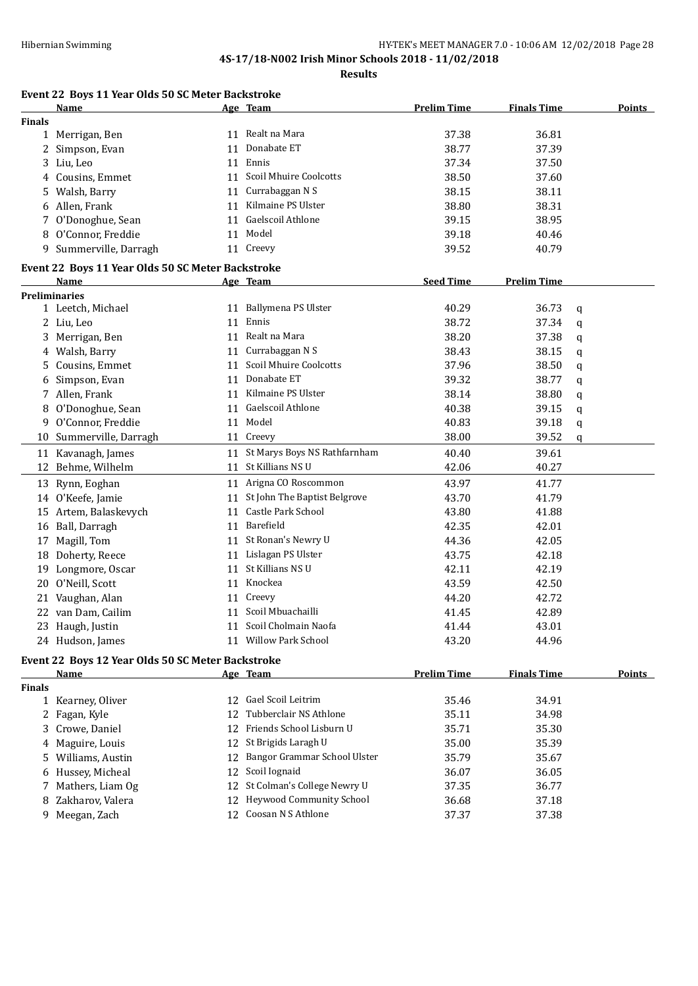**Results**

## **Event 22 Boys 11 Year Olds 50 SC Meter Backstroke**

|               | <b>Name</b>                                       |    | Age Team                        | <b>Prelim Time</b> | <b>Finals Time</b> |             | <u>Points</u> |
|---------------|---------------------------------------------------|----|---------------------------------|--------------------|--------------------|-------------|---------------|
| <b>Finals</b> |                                                   |    |                                 |                    |                    |             |               |
|               | 1 Merrigan, Ben                                   |    | 11 Realt na Mara                | 37.38              | 36.81              |             |               |
|               | 2 Simpson, Evan                                   |    | 11 Donabate ET                  | 38.77              | 37.39              |             |               |
|               | 3 Liu, Leo                                        |    | 11 Ennis                        | 37.34              | 37.50              |             |               |
|               | 4 Cousins, Emmet                                  |    | 11 Scoil Mhuire Coolcotts       | 38.50              | 37.60              |             |               |
|               | 5 Walsh, Barry                                    | 11 | Currabaggan N S                 | 38.15              | 38.11              |             |               |
|               | 6 Allen, Frank                                    |    | 11 Kilmaine PS Ulster           | 38.80              | 38.31              |             |               |
|               | 7 O'Donoghue, Sean                                |    | 11 Gaelscoil Athlone            | 39.15              | 38.95              |             |               |
|               | 8 O'Connor, Freddie                               |    | 11 Model                        | 39.18              | 40.46              |             |               |
|               | 9 Summerville, Darragh                            |    | 11 Creevy                       | 39.52              | 40.79              |             |               |
|               | Event 22 Boys 11 Year Olds 50 SC Meter Backstroke |    |                                 |                    |                    |             |               |
|               | <b>Name</b>                                       |    | Age Team                        | <b>Seed Time</b>   | <b>Prelim Time</b> |             |               |
|               | <b>Preliminaries</b>                              |    |                                 |                    |                    |             |               |
|               | 1 Leetch, Michael                                 |    | 11 Ballymena PS Ulster          | 40.29              | 36.73              | q           |               |
|               | 2 Liu, Leo                                        |    | 11 Ennis                        | 38.72              | 37.34              | $\mathbf q$ |               |
|               | 3 Merrigan, Ben                                   |    | 11 Realt na Mara                | 38.20              | 37.38              | $\mathbf q$ |               |
|               | 4 Walsh, Barry                                    |    | 11 Currabaggan N S              | 38.43              | 38.15              | q           |               |
| 5.            | Cousins, Emmet                                    |    | 11 Scoil Mhuire Coolcotts       | 37.96              | 38.50              | q           |               |
| 6             | Simpson, Evan                                     | 11 | Donabate ET                     | 39.32              | 38.77              | q           |               |
|               | 7 Allen, Frank                                    |    | 11 Kilmaine PS Ulster           | 38.14              | 38.80              | q           |               |
| 8             | O'Donoghue, Sean                                  |    | 11 Gaelscoil Athlone            | 40.38              | 39.15              | q           |               |
| 9             | O'Connor, Freddie                                 |    | 11 Model                        | 40.83              | 39.18              | q           |               |
|               | 10 Summerville, Darragh                           |    | 11 Creevy                       | 38.00              | 39.52              | q           |               |
|               | 11 Kavanagh, James                                |    | 11 St Marys Boys NS Rathfarnham | 40.40              | 39.61              |             |               |
|               | 12 Behme, Wilhelm                                 |    | 11 St Killians NS U             | 42.06              | 40.27              |             |               |
|               | 13 Rynn, Eoghan                                   |    | 11 Arigna CO Roscommon          | 43.97              | 41.77              |             |               |
|               | 14 O'Keefe, Jamie                                 |    | 11 St John The Baptist Belgrove | 43.70              | 41.79              |             |               |
|               | 15 Artem, Balaskevych                             |    | 11 Castle Park School           | 43.80              | 41.88              |             |               |
|               | 16 Ball, Darragh                                  |    | 11 Barefield                    | 42.35              | 42.01              |             |               |
|               | 17 Magill, Tom                                    |    | 11 St Ronan's Newry U           | 44.36              | 42.05              |             |               |
|               | 18 Doherty, Reece                                 |    | 11 Lislagan PS Ulster           | 43.75              | 42.18              |             |               |
|               | 19 Longmore, Oscar                                | 11 | St Killians NS U                | 42.11              | 42.19              |             |               |
| 20            | O'Neill, Scott                                    | 11 | Knockea                         | 43.59              | 42.50              |             |               |
|               | 21 Vaughan, Alan                                  |    | 11 Creevy                       | 44.20              | 42.72              |             |               |
|               | 22 van Dam, Cailim                                |    | 11 Scoil Mbuachailli            | 41.45              | 42.89              |             |               |
|               | 23 Haugh, Justin                                  |    | 11 Scoil Cholmain Naofa         | 41.44              | 43.01              |             |               |
|               | 24 Hudson, James                                  |    | 11 Willow Park School           | 43.20              | 44.96              |             |               |
|               | Event 22 Boys 12 Year Olds 50 SC Meter Backstroke |    |                                 |                    |                    |             |               |
|               | Name                                              |    | Age Team                        | <b>Prelim Time</b> | <b>Finals Time</b> |             | Points        |
| <b>Finals</b> |                                                   |    |                                 |                    |                    |             |               |

| ∙mals |                    |    |                                 |       |       |
|-------|--------------------|----|---------------------------------|-------|-------|
|       | Kearney, Oliver    | 12 | Gael Scoil Leitrim              | 35.46 | 34.91 |
|       | 2 Fagan, Kyle      | 12 | Tubberclair NS Athlone          | 35.11 | 34.98 |
|       | 3 Crowe, Daniel    |    | 12 Friends School Lisburn U     | 35.71 | 35.30 |
|       | 4 Maguire, Louis   |    | 12 St Brigids Laragh U          | 35.00 | 35.39 |
|       | 5 Williams, Austin |    | 12 Bangor Grammar School Ulster | 35.79 | 35.67 |
|       | 6 Hussey, Micheal  |    | 12 Scoil Iognaid                | 36.07 | 36.05 |
|       | Mathers, Liam Og   |    | 12 St Colman's College Newry U  | 37.35 | 36.77 |
|       | 8 Zakharov, Valera |    | 12 Heywood Community School     | 36.68 | 37.18 |
| 9     | Meegan, Zach       |    | 12 Coosan N S Athlone           | 37.37 | 37.38 |
|       |                    |    |                                 |       |       |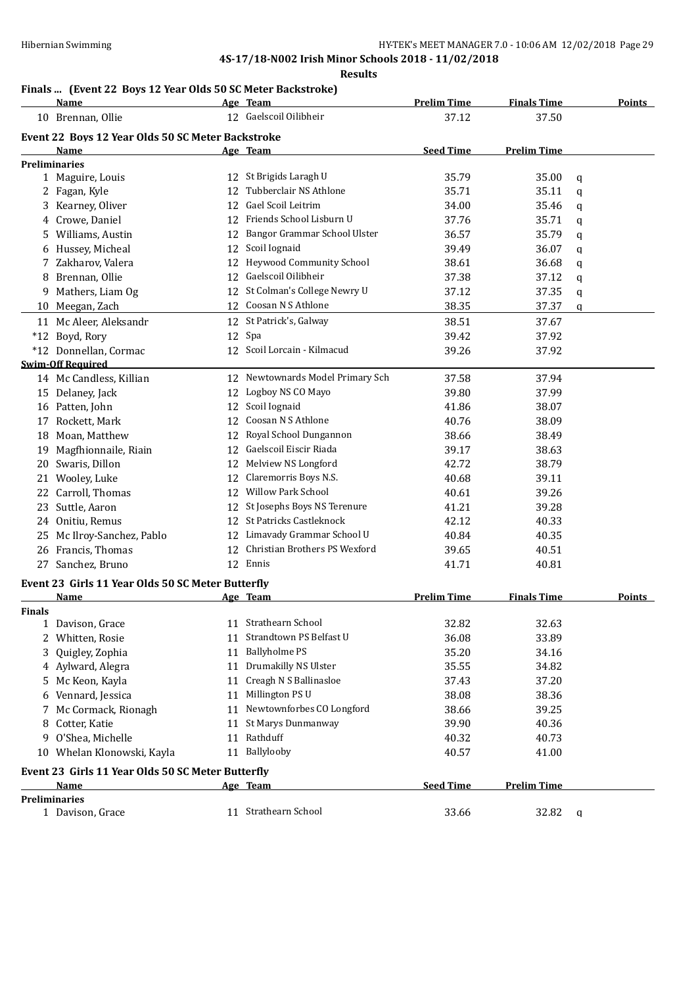#### **Results**

## **Finals ... (Event 22 Boys 12 Year Olds 50 SC Meter Backstroke)**

|               | <b>Name</b>                                       |    | Age Team                         | <b>Prelim Time</b> | <b>Finals Time</b> | <b>Points</b> |  |
|---------------|---------------------------------------------------|----|----------------------------------|--------------------|--------------------|---------------|--|
|               | 10 Brennan, Ollie                                 |    | 12 Gaelscoil Oilibheir           | 37.12              | 37.50              |               |  |
|               | Event 22 Boys 12 Year Olds 50 SC Meter Backstroke |    |                                  |                    |                    |               |  |
|               | Name                                              |    | Age Team                         | <b>Seed Time</b>   | <b>Prelim Time</b> |               |  |
|               | <b>Preliminaries</b>                              |    |                                  |                    |                    |               |  |
|               | 1 Maguire, Louis                                  |    | 12 St Brigids Laragh U           | 35.79              | 35.00              | q             |  |
|               | 2 Fagan, Kyle                                     | 12 | Tubberclair NS Athlone           | 35.71              | 35.11              | q             |  |
|               | 3 Kearney, Oliver                                 | 12 | Gael Scoil Leitrim               | 34.00              | 35.46              | q             |  |
|               | 4 Crowe, Daniel                                   |    | 12 Friends School Lisburn U      | 37.76              | 35.71              | q             |  |
|               | 5 Williams, Austin                                | 12 | Bangor Grammar School Ulster     | 36.57              | 35.79              | q             |  |
|               | 6 Hussey, Micheal                                 | 12 | Scoil Iognaid                    | 39.49              | 36.07              | q             |  |
|               | 7 Zakharov, Valera                                | 12 | <b>Heywood Community School</b>  | 38.61              | 36.68              | q             |  |
|               | 8 Brennan, Ollie                                  |    | 12 Gaelscoil Oilibheir           | 37.38              | 37.12              | q             |  |
|               | 9 Mathers, Liam Og                                | 12 | St Colman's College Newry U      | 37.12              | 37.35              | q             |  |
|               | 10 Meegan, Zach                                   |    | 12 Coosan N S Athlone            | 38.35              | 37.37              | q             |  |
|               | 11 Mc Aleer, Aleksandr                            |    | 12 St Patrick's, Galway          | 38.51              | 37.67              |               |  |
|               | *12 Boyd, Rory                                    |    | 12 Spa                           | 39.42              | 37.92              |               |  |
|               | *12 Donnellan, Cormac                             |    | 12 Scoil Lorcain - Kilmacud      | 39.26              | 37.92              |               |  |
|               | <b>Swim-Off Required</b>                          |    |                                  |                    |                    |               |  |
|               | 14 Mc Candless, Killian                           |    | 12 Newtownards Model Primary Sch | 37.58              | 37.94              |               |  |
|               | 15 Delaney, Jack                                  | 12 | Logboy NS CO Mayo                | 39.80              | 37.99              |               |  |
|               | 16 Patten, John                                   | 12 | Scoil Iognaid                    | 41.86              | 38.07              |               |  |
| 17            | Rockett, Mark                                     | 12 | Coosan N S Athlone               | 40.76              | 38.09              |               |  |
|               | 18 Moan, Matthew                                  | 12 | Royal School Dungannon           | 38.66              | 38.49              |               |  |
|               | 19 Magfhionnaile, Riain                           |    | 12 Gaelscoil Eiscir Riada        | 39.17              | 38.63              |               |  |
|               | 20 Swaris, Dillon                                 |    | 12 Melview NS Longford           | 42.72              | 38.79              |               |  |
|               |                                                   | 12 | Claremorris Boys N.S.            | 40.68              | 39.11              |               |  |
|               | 21 Wooley, Luke                                   |    | 12 Willow Park School            |                    |                    |               |  |
|               | 22 Carroll, Thomas                                |    |                                  | 40.61              | 39.26              |               |  |
|               | 23 Suttle, Aaron                                  |    | 12 St Josephs Boys NS Terenure   | 41.21              | 39.28              |               |  |
|               | 24 Onitiu, Remus                                  |    | 12 St Patricks Castleknock       | 42.12              | 40.33              |               |  |
|               | 25 Mc Ilroy-Sanchez, Pablo                        |    | 12 Limavady Grammar School U     | 40.84              | 40.35              |               |  |
|               | 26 Francis, Thomas                                | 12 | Christian Brothers PS Wexford    | 39.65              | 40.51              |               |  |
|               | 27 Sanchez, Bruno                                 |    | 12 Ennis                         | 41.71              | 40.81              |               |  |
|               | Event 23 Girls 11 Year Olds 50 SC Meter Butterfly |    |                                  |                    |                    |               |  |
|               | Name                                              |    | Age Team                         | <b>Prelim Time</b> | <b>Finals Time</b> | Points        |  |
| <b>Finals</b> |                                                   |    |                                  |                    |                    |               |  |
|               | 1 Davison, Grace                                  |    | 11 Strathearn School             | 32.82              | 32.63              |               |  |
|               | 2 Whitten, Rosie                                  | 11 | Strandtown PS Belfast U          | 36.08              | 33.89              |               |  |
| 3.            | Quigley, Zophia                                   | 11 | <b>Ballyholme PS</b>             | 35.20              | 34.16              |               |  |
|               | 4 Aylward, Alegra                                 | 11 | Drumakilly NS Ulster             | 35.55              | 34.82              |               |  |
|               | 5 Mc Keon, Kayla                                  | 11 | Creagh N S Ballinasloe           | 37.43              | 37.20              |               |  |
|               | 6 Vennard, Jessica                                | 11 | Millington PS U                  | 38.08              | 38.36              |               |  |
| 7             | Mc Cormack, Rionagh                               | 11 | Newtownforbes CO Longford        | 38.66              | 39.25              |               |  |
| 8             | Cotter, Katie                                     | 11 | St Marys Dunmanway               | 39.90              | 40.36              |               |  |
|               | 9 O'Shea, Michelle                                |    | 11 Rathduff                      | 40.32              | 40.73              |               |  |
|               | 10 Whelan Klonowski, Kayla                        |    | 11 Ballylooby                    | 40.57              | 41.00              |               |  |
|               | Event 23 Girls 11 Year Olds 50 SC Meter Butterfly |    |                                  |                    |                    |               |  |
|               | Name                                              |    | Age Team                         | <b>Seed Time</b>   | <b>Prelim Time</b> |               |  |
|               | <b>Preliminaries</b>                              |    |                                  |                    |                    |               |  |
|               | 1 Davison, Grace                                  |    | 11 Strathearn School             | 33.66              | 32.82              | $\mathbf{q}$  |  |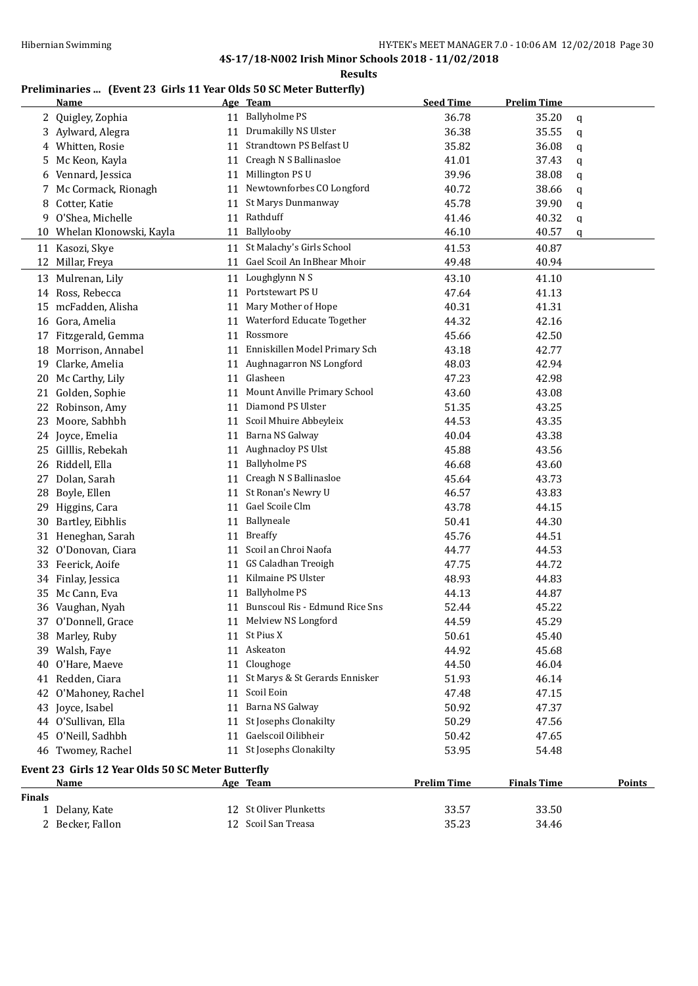**Results**

## **Preliminaries ... (Event 23 Girls 11 Year Olds 50 SC Meter Butterfly)**

|          | <b>Name</b>                                       |    | Age Team                          | <b>Seed Time</b>   | <b>Prelim Time</b> |               |
|----------|---------------------------------------------------|----|-----------------------------------|--------------------|--------------------|---------------|
| 2        | Quigley, Zophia                                   |    | 11 Ballyholme PS                  | 36.78              | 35.20              | q             |
| 3        | Aylward, Alegra                                   |    | 11 Drumakilly NS Ulster           | 36.38              | 35.55              | q             |
| 4        | Whitten, Rosie                                    |    | 11 Strandtown PS Belfast U        | 35.82              | 36.08              | q             |
| 5        | Mc Keon, Kayla                                    |    | 11 Creagh N S Ballinasloe         | 41.01              | 37.43              | q             |
| 6        | Vennard, Jessica                                  |    | 11 Millington PS U                | 39.96              | 38.08              | q             |
| 7        | Mc Cormack, Rionagh                               |    | 11 Newtownforbes CO Longford      | 40.72              | 38.66              | q             |
| 8        | Cotter, Katie                                     |    | 11 St Marys Dunmanway             | 45.78              | 39.90              | q             |
| 9        | O'Shea, Michelle                                  |    | 11 Rathduff                       | 41.46              | 40.32              | q             |
|          | 10 Whelan Klonowski, Kayla                        |    | 11 Ballylooby                     | 46.10              | 40.57              | q             |
| 11       | Kasozi, Skye                                      | 11 | St Malachy's Girls School         | 41.53              | 40.87              |               |
| 12       | Millar, Freya                                     |    | 11 Gael Scoil An InBhear Mhoir    | 49.48              | 40.94              |               |
|          | 13 Mulrenan, Lily                                 |    | 11 Loughglynn N S                 | 43.10              | 41.10              |               |
| 14       | Ross, Rebecca                                     |    | 11 Portstewart PS U               | 47.64              | 41.13              |               |
|          | 15 mcFadden, Alisha                               | 11 | Mary Mother of Hope               | 40.31              | 41.31              |               |
|          | Gora, Amelia                                      | 11 | Waterford Educate Together        | 44.32              | 42.16              |               |
| 16<br>17 | Fitzgerald, Gemma                                 | 11 | Rossmore                          | 45.66              | 42.50              |               |
|          | Morrison, Annabel                                 | 11 | Enniskillen Model Primary Sch     | 43.18              | 42.77              |               |
| 18       | Clarke, Amelia                                    |    | 11 Aughnagarron NS Longford       | 48.03              | 42.94              |               |
| 19       |                                                   |    | 11 Glasheen                       |                    |                    |               |
| 20       | Mc Carthy, Lily                                   |    | 11 Mount Anville Primary School   | 47.23              | 42.98              |               |
| 21       | Golden, Sophie                                    |    | 11 Diamond PS Ulster              | 43.60              | 43.08              |               |
| 22       | Robinson, Amy                                     |    |                                   | 51.35              | 43.25              |               |
| 23       | Moore, Sabhbh                                     |    | 11 Scoil Mhuire Abbeyleix         | 44.53              | 43.35              |               |
|          | 24 Joyce, Emelia                                  |    | 11 Barna NS Galway                | 40.04              | 43.38              |               |
|          | 25 Gilllis, Rebekah                               |    | 11 Aughnacloy PS Ulst             | 45.88              | 43.56              |               |
| 26       | Riddell, Ella                                     |    | 11 Ballyholme PS                  | 46.68              | 43.60              |               |
| 27       | Dolan, Sarah                                      |    | 11 Creagh N S Ballinasloe         | 45.64              | 43.73              |               |
| 28       | Boyle, Ellen                                      |    | 11 St Ronan's Newry U             | 46.57              | 43.83              |               |
| 29       | Higgins, Cara                                     |    | 11 Gael Scoile Clm                | 43.78              | 44.15              |               |
| 30       | Bartley, Eibhlis                                  |    | 11 Ballyneale                     | 50.41              | 44.30              |               |
| 31       | Heneghan, Sarah                                   | 11 | <b>Breaffy</b>                    | 45.76              | 44.51              |               |
| 32       | O'Donovan, Ciara                                  |    | 11 Scoil an Chroi Naofa           | 44.77              | 44.53              |               |
| 33       | Feerick, Aoife                                    |    | 11 GS Caladhan Treoigh            | 47.75              | 44.72              |               |
| 34       | Finlay, Jessica                                   |    | 11 Kilmaine PS Ulster             | 48.93              | 44.83              |               |
| 35       | Mc Cann, Eva                                      | 11 | <b>Ballyholme PS</b>              | 44.13              | 44.87              |               |
|          | 36 Vaughan, Nyah                                  |    | 11 Bunscoul Ris - Edmund Rice Sns | 52.44              | 45.22              |               |
|          | 37 O'Donnell, Grace                               |    | 11 Melview NS Longford            | 44.59              | 45.29              |               |
|          | 38 Marley, Ruby                                   |    | 11 St Pius X                      | 50.61              | 45.40              |               |
|          | 39 Walsh, Faye                                    |    | 11 Askeaton                       | 44.92              | 45.68              |               |
|          | 40 O'Hare, Maeve                                  |    | 11 Cloughoge                      | 44.50              | 46.04              |               |
|          | 41 Redden, Ciara                                  |    | 11 St Marys & St Gerards Ennisker | 51.93              | 46.14              |               |
|          | 42 O'Mahoney, Rachel                              |    | 11 Scoil Eoin                     | 47.48              | 47.15              |               |
|          | 43 Joyce, Isabel                                  |    | 11 Barna NS Galway                | 50.92              | 47.37              |               |
|          | 44 O'Sullivan, Ella                               |    | 11 St Josephs Clonakilty          | 50.29              | 47.56              |               |
|          | 45 O'Neill, Sadhbh                                |    | 11 Gaelscoil Oilibheir            | 50.42              | 47.65              |               |
|          | 46 Twomey, Rachel                                 |    | 11 St Josephs Clonakilty          | 53.95              | 54.48              |               |
|          | Event 23 Girls 12 Year Olds 50 SC Meter Butterfly |    |                                   |                    |                    |               |
|          | Name                                              |    | Age Team                          | <b>Prelim Time</b> | <b>Finals Time</b> | <b>Points</b> |
| Finals   |                                                   |    |                                   |                    |                    |               |
|          | 1 Delany, Kate                                    |    | 12 St Oliver Plunketts            | 33.57              | 33.50              |               |
|          | 2 Becker, Fallon                                  |    | 12 Scoil San Treasa               | 35.23              | 34.46              |               |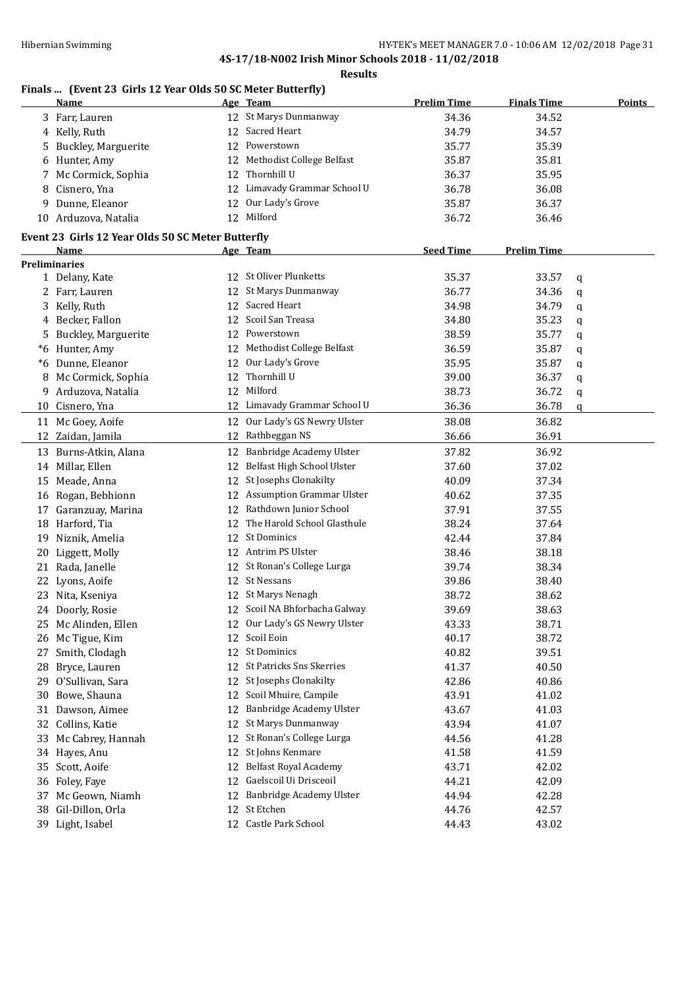#### **Results**

## **Finals ... (Event 23 Girls 12 Year Olds 50 SC Meter Butterfly)**

|    | <b>Name</b>                                       |    | Age Team                         | <b>Prelim Time</b> | <b>Finals Time</b> | <b>Points</b> |
|----|---------------------------------------------------|----|----------------------------------|--------------------|--------------------|---------------|
|    | 3 Farr, Lauren                                    |    | 12 St Marys Dunmanway            | 34.36              | 34.52              |               |
|    | 4 Kelly, Ruth                                     | 12 | Sacred Heart                     | 34.79              | 34.57              |               |
| 5. | Buckley, Marguerite                               | 12 | Powerstown                       | 35.77              | 35.39              |               |
| 6  | Hunter, Amy                                       | 12 | Methodist College Belfast        | 35.87              | 35.81              |               |
| 7  | Mc Cormick, Sophia                                | 12 | Thornhill U                      | 36.37              | 35.95              |               |
| 8  | Cisnero, Yna                                      | 12 | Limavady Grammar School U        | 36.78              | 36.08              |               |
| 9  | Dunne, Eleanor                                    | 12 | Our Lady's Grove                 | 35.87              | 36.37              |               |
|    | 10 Arduzova, Natalia                              |    | 12 Milford                       | 36.72              | 36.46              |               |
|    | Event 23 Girls 12 Year Olds 50 SC Meter Butterfly |    |                                  |                    |                    |               |
|    | Name                                              |    | Age Team                         | <b>Seed Time</b>   | <b>Prelim Time</b> |               |
|    | <b>Preliminaries</b>                              |    |                                  |                    |                    |               |
|    | 1 Delany, Kate                                    |    | 12 St Oliver Plunketts           | 35.37              | 33.57              | q             |
|    | 2 Farr, Lauren                                    |    | 12 St Marys Dunmanway            | 36.77              | 34.36              | q             |
|    | 3 Kelly, Ruth                                     |    | 12 Sacred Heart                  | 34.98              | 34.79              | q             |
|    | 4 Becker, Fallon                                  | 12 | Scoil San Treasa                 | 34.80              | 35.23              | q             |
|    | 5 Buckley, Marguerite                             |    | 12 Powerstown                    | 38.59              | 35.77              | q             |
|    | *6 Hunter, Amy                                    | 12 | Methodist College Belfast        | 36.59              | 35.87              | q             |
|    | *6 Dunne, Eleanor                                 | 12 | Our Lady's Grove                 | 35.95              | 35.87              | q             |
| 8  | Mc Cormick, Sophia                                | 12 | Thornhill U                      | 39.00              | 36.37              | q             |
| 9  | Arduzova, Natalia                                 | 12 | Milford                          | 38.73              | 36.72              | q             |
|    | 10 Cisnero, Yna                                   |    | 12 Limavady Grammar School U     | 36.36              | 36.78              | q             |
|    | 11 Mc Goey, Aoife                                 | 12 | Our Lady's GS Newry Ulster       | 38.08              | 36.82              |               |
|    | 12 Zaidan, Jamila                                 |    | 12 Rathbeggan NS                 | 36.66              | 36.91              |               |
|    | 13 Burns-Atkin, Alana                             | 12 | Banbridge Academy Ulster         | 37.82              | 36.92              |               |
|    | 14 Millar, Ellen                                  | 12 | Belfast High School Ulster       | 37.60              | 37.02              |               |
| 15 | Meade, Anna                                       | 12 | St Josephs Clonakilty            | 40.09              | 37.34              |               |
|    | 16 Rogan, Bebhionn                                | 12 | <b>Assumption Grammar Ulster</b> | 40.62              | 37.35              |               |
|    | 17 Garanzuay, Marina                              | 12 | Rathdown Junior School           | 37.91              | 37.55              |               |
|    | 18 Harford, Tia                                   |    | 12 The Harold School Glasthule   | 38.24              | 37.64              |               |
|    | 19 Niznik, Amelia                                 | 12 | <b>St Dominics</b>               | 42.44              | 37.84              |               |
|    | 20 Liggett, Molly                                 |    | 12 Antrim PS Ulster              | 38.46              | 38.18              |               |
|    | 21 Rada, Janelle                                  |    | 12 St Ronan's College Lurga      | 39.74              | 38.34              |               |
|    | 22 Lyons, Aoife                                   |    | 12 St Nessans                    | 39.86              | 38.40              |               |
|    | 23 Nita, Kseniya                                  |    | 12 St Marys Nenagh               | 38.72              | 38.62              |               |
|    | 24 Doorly, Rosie                                  |    | 12 Scoil NA Bhforbacha Galway    | 39.69              | 38.63              |               |
|    | 25 Mc Alinden, Ellen                              |    | 12 Our Lady's GS Newry Ulster    | 43.33              | 38.71              |               |
|    | 26 Mc Tigue, Kim                                  | 12 | Scoil Eoin                       | 40.17              | 38.72              |               |
| 27 | Smith, Clodagh                                    | 12 | <b>St Dominics</b>               | 40.82              | 39.51              |               |
| 28 | Bryce, Lauren                                     | 12 | St Patricks Sns Skerries         | 41.37              | 40.50              |               |
| 29 | O'Sullivan, Sara                                  | 12 | St Josephs Clonakilty            | 42.86              | 40.86              |               |
| 30 | Bowe, Shauna                                      | 12 | Scoil Mhuire, Campile            | 43.91              | 41.02              |               |
| 31 | Dawson, Aimee                                     | 12 | Banbridge Academy Ulster         | 43.67              | 41.03              |               |
| 32 | Collins, Katie                                    | 12 | St Marys Dunmanway               | 43.94              | 41.07              |               |
| 33 | Mc Cabrey, Hannah                                 | 12 | St Ronan's College Lurga         | 44.56              | 41.28              |               |
|    | 34 Hayes, Anu                                     | 12 | St Johns Kenmare                 | 41.58              | 41.59              |               |
| 35 | Scott, Aoife                                      | 12 | <b>Belfast Royal Academy</b>     | 43.71              | 42.02              |               |
|    | 36 Foley, Faye                                    | 12 | Gaelscoil Ui Drisceoil           | 44.21              | 42.09              |               |
| 37 | Mc Geown, Niamh                                   | 12 | Banbridge Academy Ulster         | 44.94              | 42.28              |               |
| 38 | Gil-Dillon, Orla                                  | 12 | St Etchen                        | 44.76              | 42.57              |               |
| 39 | Light, Isabel                                     |    | 12 Castle Park School            | 44.43              | 43.02              |               |
|    |                                                   |    |                                  |                    |                    |               |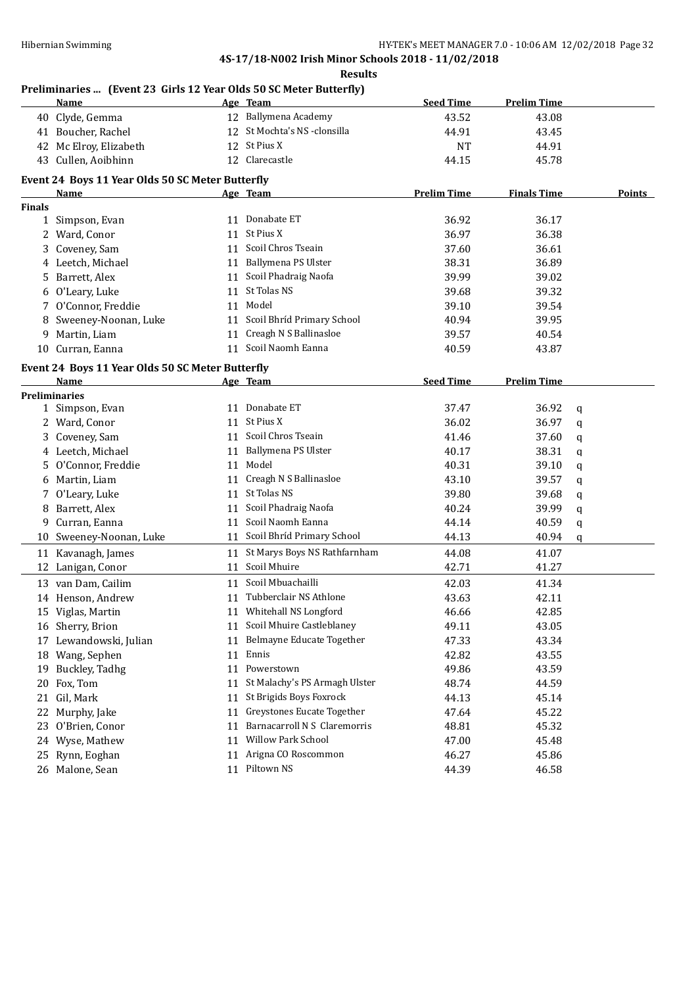**Results**

#### **Preliminaries ... (Event 23 Girls 12 Year Olds 50 SC Meter Butterfly)**

| 12 Ballymena Academy<br>40 Clyde, Gemma<br>43.52<br>43.08<br>12 St Mochta's NS -clonsilla<br>41 Boucher, Rachel<br>44.91<br>43.45<br>12 St Pius X<br>42 Mc Elroy, Elizabeth<br><b>NT</b><br>44.91<br>12 Clarecastle<br>43 Cullen, Aoibhinn<br>44.15<br>45.78<br>Event 24 Boys 11 Year Olds 50 SC Meter Butterfly<br><b>Prelim Time</b><br><b>Finals Time</b><br>Age Team<br>Name<br><b>Finals</b><br>11 Donabate ET<br>36.92<br>36.17<br>1 Simpson, Evan<br>11 St Pius X<br>36.38<br>2 Ward, Conor<br>36.97<br>11 Scoil Chros Tseain<br>3 Coveney, Sam<br>37.60<br>36.61<br>11 Ballymena PS Ulster<br>36.89<br>4 Leetch, Michael<br>38.31<br>5 Barrett, Alex<br>11 Scoil Phadraig Naofa<br>39.99<br>39.02<br>11 St Tolas NS<br>6 O'Leary, Luke<br>39.68<br>39.32<br>11 Model<br>7 O'Connor, Freddie<br>39.10<br>39.54<br>11 Scoil Bhríd Primary School<br>8 Sweeney-Noonan, Luke<br>40.94<br>39.95<br>11 Creagh N S Ballinasloe<br>9 Martin, Liam<br>40.54<br>39.57<br>11 Scoil Naomh Eanna<br>10 Curran, Eanna<br>43.87<br>40.59<br>Event 24 Boys 11 Year Olds 50 SC Meter Butterfly<br><b>Seed Time</b><br><b>Prelim Time</b><br>Name<br>Age Team<br><b>Preliminaries</b><br>11 Donabate ET<br>37.47<br>36.92<br>1 Simpson, Evan<br>q<br>11 St Pius X<br>36.02<br>36.97<br>2 Ward, Conor<br>$\mathbf q$<br>11 Scoil Chros Tseain<br>3 Coveney, Sam<br>41.46<br>37.60<br>q<br>11 Ballymena PS Ulster<br>38.31<br>4 Leetch, Michael<br>40.17<br>q<br>11 Model<br>O'Connor, Freddie<br>40.31<br>39.10<br>5.<br>q<br>11 Creagh N S Ballinasloe<br>6 Martin, Liam<br>43.10<br>39.57<br>q<br>11 St Tolas NS<br>7 O'Leary, Luke<br>39.80<br>39.68<br>q<br>Scoil Phadraig Naofa<br>8 Barrett, Alex<br>40.24<br>39.99<br>11<br>q<br>Scoil Naomh Eanna<br>9 Curran, Eanna<br>44.14<br>40.59<br>11<br>q<br>11 Scoil Bhríd Primary School<br>10 Sweeney-Noonan, Luke<br>44.13<br>40.94<br>q<br>11 St Marys Boys NS Rathfarnham<br>44.08<br>11 Kavanagh, James<br>41.07<br>11 Scoil Mhuire<br>42.71<br>41.27<br>12 Lanigan, Conor<br>11 Scoil Mbuachailli<br>13 van Dam, Cailim<br>42.03<br>41.34<br>11 Tubberclair NS Athlone<br>14 Henson, Andrew<br>43.63<br>42.11<br>11 Whitehall NS Longford<br>15 Viglas, Martin<br>42.85<br>46.66<br>11 Scoil Mhuire Castleblaney<br>43.05<br>16 Sherry, Brion<br>49.11<br>Belmayne Educate Together<br>17 Lewandowski, Julian<br>47.33<br>43.34<br>11<br>18 Wang, Sephen<br>Ennis<br>42.82<br>43.55<br>11<br>Powerstown<br>49.86<br>43.59<br>19 Buckley, Tadhg<br>11<br>St Malachy's PS Armagh Ulster<br>Fox, Tom<br>48.74<br>44.59<br>20<br>11<br>St Brigids Boys Foxrock<br>Gil, Mark<br>44.13<br>45.14<br>21<br>11<br>Greystones Eucate Together<br>22 Murphy, Jake<br>47.64<br>45.22<br>11<br>Barnacarroll N S Claremorris<br>48.81<br>45.32<br>23 O'Brien, Conor<br>11<br>Willow Park School<br>24 Wyse, Mathew<br>47.00<br>45.48<br>11<br>Arigna CO Roscommon<br>25 Rynn, Eoghan<br>46.27<br>45.86<br>11<br>11 Piltown NS<br>26 Malone, Sean | Name | Age Team | <b>Seed Time</b> | <b>Prelim Time</b> |               |
|---------------------------------------------------------------------------------------------------------------------------------------------------------------------------------------------------------------------------------------------------------------------------------------------------------------------------------------------------------------------------------------------------------------------------------------------------------------------------------------------------------------------------------------------------------------------------------------------------------------------------------------------------------------------------------------------------------------------------------------------------------------------------------------------------------------------------------------------------------------------------------------------------------------------------------------------------------------------------------------------------------------------------------------------------------------------------------------------------------------------------------------------------------------------------------------------------------------------------------------------------------------------------------------------------------------------------------------------------------------------------------------------------------------------------------------------------------------------------------------------------------------------------------------------------------------------------------------------------------------------------------------------------------------------------------------------------------------------------------------------------------------------------------------------------------------------------------------------------------------------------------------------------------------------------------------------------------------------------------------------------------------------------------------------------------------------------------------------------------------------------------------------------------------------------------------------------------------------------------------------------------------------------------------------------------------------------------------------------------------------------------------------------------------------------------------------------------------------------------------------------------------------------------------------------------------------------------------------------------------------------------------------------------------------------------------------------------------------------------------------------------------------------------------------------------------------------------------------------------------------------------------------------------------------------------------------------------------------------------|------|----------|------------------|--------------------|---------------|
|                                                                                                                                                                                                                                                                                                                                                                                                                                                                                                                                                                                                                                                                                                                                                                                                                                                                                                                                                                                                                                                                                                                                                                                                                                                                                                                                                                                                                                                                                                                                                                                                                                                                                                                                                                                                                                                                                                                                                                                                                                                                                                                                                                                                                                                                                                                                                                                                                                                                                                                                                                                                                                                                                                                                                                                                                                                                                                                                                                                 |      |          |                  |                    |               |
|                                                                                                                                                                                                                                                                                                                                                                                                                                                                                                                                                                                                                                                                                                                                                                                                                                                                                                                                                                                                                                                                                                                                                                                                                                                                                                                                                                                                                                                                                                                                                                                                                                                                                                                                                                                                                                                                                                                                                                                                                                                                                                                                                                                                                                                                                                                                                                                                                                                                                                                                                                                                                                                                                                                                                                                                                                                                                                                                                                                 |      |          |                  |                    |               |
|                                                                                                                                                                                                                                                                                                                                                                                                                                                                                                                                                                                                                                                                                                                                                                                                                                                                                                                                                                                                                                                                                                                                                                                                                                                                                                                                                                                                                                                                                                                                                                                                                                                                                                                                                                                                                                                                                                                                                                                                                                                                                                                                                                                                                                                                                                                                                                                                                                                                                                                                                                                                                                                                                                                                                                                                                                                                                                                                                                                 |      |          |                  |                    |               |
|                                                                                                                                                                                                                                                                                                                                                                                                                                                                                                                                                                                                                                                                                                                                                                                                                                                                                                                                                                                                                                                                                                                                                                                                                                                                                                                                                                                                                                                                                                                                                                                                                                                                                                                                                                                                                                                                                                                                                                                                                                                                                                                                                                                                                                                                                                                                                                                                                                                                                                                                                                                                                                                                                                                                                                                                                                                                                                                                                                                 |      |          |                  |                    |               |
|                                                                                                                                                                                                                                                                                                                                                                                                                                                                                                                                                                                                                                                                                                                                                                                                                                                                                                                                                                                                                                                                                                                                                                                                                                                                                                                                                                                                                                                                                                                                                                                                                                                                                                                                                                                                                                                                                                                                                                                                                                                                                                                                                                                                                                                                                                                                                                                                                                                                                                                                                                                                                                                                                                                                                                                                                                                                                                                                                                                 |      |          |                  |                    |               |
|                                                                                                                                                                                                                                                                                                                                                                                                                                                                                                                                                                                                                                                                                                                                                                                                                                                                                                                                                                                                                                                                                                                                                                                                                                                                                                                                                                                                                                                                                                                                                                                                                                                                                                                                                                                                                                                                                                                                                                                                                                                                                                                                                                                                                                                                                                                                                                                                                                                                                                                                                                                                                                                                                                                                                                                                                                                                                                                                                                                 |      |          |                  |                    | <b>Points</b> |
|                                                                                                                                                                                                                                                                                                                                                                                                                                                                                                                                                                                                                                                                                                                                                                                                                                                                                                                                                                                                                                                                                                                                                                                                                                                                                                                                                                                                                                                                                                                                                                                                                                                                                                                                                                                                                                                                                                                                                                                                                                                                                                                                                                                                                                                                                                                                                                                                                                                                                                                                                                                                                                                                                                                                                                                                                                                                                                                                                                                 |      |          |                  |                    |               |
|                                                                                                                                                                                                                                                                                                                                                                                                                                                                                                                                                                                                                                                                                                                                                                                                                                                                                                                                                                                                                                                                                                                                                                                                                                                                                                                                                                                                                                                                                                                                                                                                                                                                                                                                                                                                                                                                                                                                                                                                                                                                                                                                                                                                                                                                                                                                                                                                                                                                                                                                                                                                                                                                                                                                                                                                                                                                                                                                                                                 |      |          |                  |                    |               |
|                                                                                                                                                                                                                                                                                                                                                                                                                                                                                                                                                                                                                                                                                                                                                                                                                                                                                                                                                                                                                                                                                                                                                                                                                                                                                                                                                                                                                                                                                                                                                                                                                                                                                                                                                                                                                                                                                                                                                                                                                                                                                                                                                                                                                                                                                                                                                                                                                                                                                                                                                                                                                                                                                                                                                                                                                                                                                                                                                                                 |      |          |                  |                    |               |
|                                                                                                                                                                                                                                                                                                                                                                                                                                                                                                                                                                                                                                                                                                                                                                                                                                                                                                                                                                                                                                                                                                                                                                                                                                                                                                                                                                                                                                                                                                                                                                                                                                                                                                                                                                                                                                                                                                                                                                                                                                                                                                                                                                                                                                                                                                                                                                                                                                                                                                                                                                                                                                                                                                                                                                                                                                                                                                                                                                                 |      |          |                  |                    |               |
|                                                                                                                                                                                                                                                                                                                                                                                                                                                                                                                                                                                                                                                                                                                                                                                                                                                                                                                                                                                                                                                                                                                                                                                                                                                                                                                                                                                                                                                                                                                                                                                                                                                                                                                                                                                                                                                                                                                                                                                                                                                                                                                                                                                                                                                                                                                                                                                                                                                                                                                                                                                                                                                                                                                                                                                                                                                                                                                                                                                 |      |          |                  |                    |               |
|                                                                                                                                                                                                                                                                                                                                                                                                                                                                                                                                                                                                                                                                                                                                                                                                                                                                                                                                                                                                                                                                                                                                                                                                                                                                                                                                                                                                                                                                                                                                                                                                                                                                                                                                                                                                                                                                                                                                                                                                                                                                                                                                                                                                                                                                                                                                                                                                                                                                                                                                                                                                                                                                                                                                                                                                                                                                                                                                                                                 |      |          |                  |                    |               |
|                                                                                                                                                                                                                                                                                                                                                                                                                                                                                                                                                                                                                                                                                                                                                                                                                                                                                                                                                                                                                                                                                                                                                                                                                                                                                                                                                                                                                                                                                                                                                                                                                                                                                                                                                                                                                                                                                                                                                                                                                                                                                                                                                                                                                                                                                                                                                                                                                                                                                                                                                                                                                                                                                                                                                                                                                                                                                                                                                                                 |      |          |                  |                    |               |
|                                                                                                                                                                                                                                                                                                                                                                                                                                                                                                                                                                                                                                                                                                                                                                                                                                                                                                                                                                                                                                                                                                                                                                                                                                                                                                                                                                                                                                                                                                                                                                                                                                                                                                                                                                                                                                                                                                                                                                                                                                                                                                                                                                                                                                                                                                                                                                                                                                                                                                                                                                                                                                                                                                                                                                                                                                                                                                                                                                                 |      |          |                  |                    |               |
|                                                                                                                                                                                                                                                                                                                                                                                                                                                                                                                                                                                                                                                                                                                                                                                                                                                                                                                                                                                                                                                                                                                                                                                                                                                                                                                                                                                                                                                                                                                                                                                                                                                                                                                                                                                                                                                                                                                                                                                                                                                                                                                                                                                                                                                                                                                                                                                                                                                                                                                                                                                                                                                                                                                                                                                                                                                                                                                                                                                 |      |          |                  |                    |               |
|                                                                                                                                                                                                                                                                                                                                                                                                                                                                                                                                                                                                                                                                                                                                                                                                                                                                                                                                                                                                                                                                                                                                                                                                                                                                                                                                                                                                                                                                                                                                                                                                                                                                                                                                                                                                                                                                                                                                                                                                                                                                                                                                                                                                                                                                                                                                                                                                                                                                                                                                                                                                                                                                                                                                                                                                                                                                                                                                                                                 |      |          |                  |                    |               |
|                                                                                                                                                                                                                                                                                                                                                                                                                                                                                                                                                                                                                                                                                                                                                                                                                                                                                                                                                                                                                                                                                                                                                                                                                                                                                                                                                                                                                                                                                                                                                                                                                                                                                                                                                                                                                                                                                                                                                                                                                                                                                                                                                                                                                                                                                                                                                                                                                                                                                                                                                                                                                                                                                                                                                                                                                                                                                                                                                                                 |      |          |                  |                    |               |
|                                                                                                                                                                                                                                                                                                                                                                                                                                                                                                                                                                                                                                                                                                                                                                                                                                                                                                                                                                                                                                                                                                                                                                                                                                                                                                                                                                                                                                                                                                                                                                                                                                                                                                                                                                                                                                                                                                                                                                                                                                                                                                                                                                                                                                                                                                                                                                                                                                                                                                                                                                                                                                                                                                                                                                                                                                                                                                                                                                                 |      |          |                  |                    |               |
|                                                                                                                                                                                                                                                                                                                                                                                                                                                                                                                                                                                                                                                                                                                                                                                                                                                                                                                                                                                                                                                                                                                                                                                                                                                                                                                                                                                                                                                                                                                                                                                                                                                                                                                                                                                                                                                                                                                                                                                                                                                                                                                                                                                                                                                                                                                                                                                                                                                                                                                                                                                                                                                                                                                                                                                                                                                                                                                                                                                 |      |          |                  |                    |               |
|                                                                                                                                                                                                                                                                                                                                                                                                                                                                                                                                                                                                                                                                                                                                                                                                                                                                                                                                                                                                                                                                                                                                                                                                                                                                                                                                                                                                                                                                                                                                                                                                                                                                                                                                                                                                                                                                                                                                                                                                                                                                                                                                                                                                                                                                                                                                                                                                                                                                                                                                                                                                                                                                                                                                                                                                                                                                                                                                                                                 |      |          |                  |                    |               |
|                                                                                                                                                                                                                                                                                                                                                                                                                                                                                                                                                                                                                                                                                                                                                                                                                                                                                                                                                                                                                                                                                                                                                                                                                                                                                                                                                                                                                                                                                                                                                                                                                                                                                                                                                                                                                                                                                                                                                                                                                                                                                                                                                                                                                                                                                                                                                                                                                                                                                                                                                                                                                                                                                                                                                                                                                                                                                                                                                                                 |      |          |                  |                    |               |
|                                                                                                                                                                                                                                                                                                                                                                                                                                                                                                                                                                                                                                                                                                                                                                                                                                                                                                                                                                                                                                                                                                                                                                                                                                                                                                                                                                                                                                                                                                                                                                                                                                                                                                                                                                                                                                                                                                                                                                                                                                                                                                                                                                                                                                                                                                                                                                                                                                                                                                                                                                                                                                                                                                                                                                                                                                                                                                                                                                                 |      |          |                  |                    |               |
|                                                                                                                                                                                                                                                                                                                                                                                                                                                                                                                                                                                                                                                                                                                                                                                                                                                                                                                                                                                                                                                                                                                                                                                                                                                                                                                                                                                                                                                                                                                                                                                                                                                                                                                                                                                                                                                                                                                                                                                                                                                                                                                                                                                                                                                                                                                                                                                                                                                                                                                                                                                                                                                                                                                                                                                                                                                                                                                                                                                 |      |          |                  |                    |               |
|                                                                                                                                                                                                                                                                                                                                                                                                                                                                                                                                                                                                                                                                                                                                                                                                                                                                                                                                                                                                                                                                                                                                                                                                                                                                                                                                                                                                                                                                                                                                                                                                                                                                                                                                                                                                                                                                                                                                                                                                                                                                                                                                                                                                                                                                                                                                                                                                                                                                                                                                                                                                                                                                                                                                                                                                                                                                                                                                                                                 |      |          |                  |                    |               |
|                                                                                                                                                                                                                                                                                                                                                                                                                                                                                                                                                                                                                                                                                                                                                                                                                                                                                                                                                                                                                                                                                                                                                                                                                                                                                                                                                                                                                                                                                                                                                                                                                                                                                                                                                                                                                                                                                                                                                                                                                                                                                                                                                                                                                                                                                                                                                                                                                                                                                                                                                                                                                                                                                                                                                                                                                                                                                                                                                                                 |      |          |                  |                    |               |
|                                                                                                                                                                                                                                                                                                                                                                                                                                                                                                                                                                                                                                                                                                                                                                                                                                                                                                                                                                                                                                                                                                                                                                                                                                                                                                                                                                                                                                                                                                                                                                                                                                                                                                                                                                                                                                                                                                                                                                                                                                                                                                                                                                                                                                                                                                                                                                                                                                                                                                                                                                                                                                                                                                                                                                                                                                                                                                                                                                                 |      |          |                  |                    |               |
|                                                                                                                                                                                                                                                                                                                                                                                                                                                                                                                                                                                                                                                                                                                                                                                                                                                                                                                                                                                                                                                                                                                                                                                                                                                                                                                                                                                                                                                                                                                                                                                                                                                                                                                                                                                                                                                                                                                                                                                                                                                                                                                                                                                                                                                                                                                                                                                                                                                                                                                                                                                                                                                                                                                                                                                                                                                                                                                                                                                 |      |          |                  |                    |               |
|                                                                                                                                                                                                                                                                                                                                                                                                                                                                                                                                                                                                                                                                                                                                                                                                                                                                                                                                                                                                                                                                                                                                                                                                                                                                                                                                                                                                                                                                                                                                                                                                                                                                                                                                                                                                                                                                                                                                                                                                                                                                                                                                                                                                                                                                                                                                                                                                                                                                                                                                                                                                                                                                                                                                                                                                                                                                                                                                                                                 |      |          |                  |                    |               |
|                                                                                                                                                                                                                                                                                                                                                                                                                                                                                                                                                                                                                                                                                                                                                                                                                                                                                                                                                                                                                                                                                                                                                                                                                                                                                                                                                                                                                                                                                                                                                                                                                                                                                                                                                                                                                                                                                                                                                                                                                                                                                                                                                                                                                                                                                                                                                                                                                                                                                                                                                                                                                                                                                                                                                                                                                                                                                                                                                                                 |      |          |                  |                    |               |
|                                                                                                                                                                                                                                                                                                                                                                                                                                                                                                                                                                                                                                                                                                                                                                                                                                                                                                                                                                                                                                                                                                                                                                                                                                                                                                                                                                                                                                                                                                                                                                                                                                                                                                                                                                                                                                                                                                                                                                                                                                                                                                                                                                                                                                                                                                                                                                                                                                                                                                                                                                                                                                                                                                                                                                                                                                                                                                                                                                                 |      |          |                  |                    |               |
|                                                                                                                                                                                                                                                                                                                                                                                                                                                                                                                                                                                                                                                                                                                                                                                                                                                                                                                                                                                                                                                                                                                                                                                                                                                                                                                                                                                                                                                                                                                                                                                                                                                                                                                                                                                                                                                                                                                                                                                                                                                                                                                                                                                                                                                                                                                                                                                                                                                                                                                                                                                                                                                                                                                                                                                                                                                                                                                                                                                 |      |          |                  |                    |               |
|                                                                                                                                                                                                                                                                                                                                                                                                                                                                                                                                                                                                                                                                                                                                                                                                                                                                                                                                                                                                                                                                                                                                                                                                                                                                                                                                                                                                                                                                                                                                                                                                                                                                                                                                                                                                                                                                                                                                                                                                                                                                                                                                                                                                                                                                                                                                                                                                                                                                                                                                                                                                                                                                                                                                                                                                                                                                                                                                                                                 |      |          |                  |                    |               |
|                                                                                                                                                                                                                                                                                                                                                                                                                                                                                                                                                                                                                                                                                                                                                                                                                                                                                                                                                                                                                                                                                                                                                                                                                                                                                                                                                                                                                                                                                                                                                                                                                                                                                                                                                                                                                                                                                                                                                                                                                                                                                                                                                                                                                                                                                                                                                                                                                                                                                                                                                                                                                                                                                                                                                                                                                                                                                                                                                                                 |      |          |                  |                    |               |
|                                                                                                                                                                                                                                                                                                                                                                                                                                                                                                                                                                                                                                                                                                                                                                                                                                                                                                                                                                                                                                                                                                                                                                                                                                                                                                                                                                                                                                                                                                                                                                                                                                                                                                                                                                                                                                                                                                                                                                                                                                                                                                                                                                                                                                                                                                                                                                                                                                                                                                                                                                                                                                                                                                                                                                                                                                                                                                                                                                                 |      |          |                  |                    |               |
|                                                                                                                                                                                                                                                                                                                                                                                                                                                                                                                                                                                                                                                                                                                                                                                                                                                                                                                                                                                                                                                                                                                                                                                                                                                                                                                                                                                                                                                                                                                                                                                                                                                                                                                                                                                                                                                                                                                                                                                                                                                                                                                                                                                                                                                                                                                                                                                                                                                                                                                                                                                                                                                                                                                                                                                                                                                                                                                                                                                 |      |          |                  |                    |               |
|                                                                                                                                                                                                                                                                                                                                                                                                                                                                                                                                                                                                                                                                                                                                                                                                                                                                                                                                                                                                                                                                                                                                                                                                                                                                                                                                                                                                                                                                                                                                                                                                                                                                                                                                                                                                                                                                                                                                                                                                                                                                                                                                                                                                                                                                                                                                                                                                                                                                                                                                                                                                                                                                                                                                                                                                                                                                                                                                                                                 |      |          |                  |                    |               |
|                                                                                                                                                                                                                                                                                                                                                                                                                                                                                                                                                                                                                                                                                                                                                                                                                                                                                                                                                                                                                                                                                                                                                                                                                                                                                                                                                                                                                                                                                                                                                                                                                                                                                                                                                                                                                                                                                                                                                                                                                                                                                                                                                                                                                                                                                                                                                                                                                                                                                                                                                                                                                                                                                                                                                                                                                                                                                                                                                                                 |      |          |                  |                    |               |
|                                                                                                                                                                                                                                                                                                                                                                                                                                                                                                                                                                                                                                                                                                                                                                                                                                                                                                                                                                                                                                                                                                                                                                                                                                                                                                                                                                                                                                                                                                                                                                                                                                                                                                                                                                                                                                                                                                                                                                                                                                                                                                                                                                                                                                                                                                                                                                                                                                                                                                                                                                                                                                                                                                                                                                                                                                                                                                                                                                                 |      |          |                  |                    |               |
|                                                                                                                                                                                                                                                                                                                                                                                                                                                                                                                                                                                                                                                                                                                                                                                                                                                                                                                                                                                                                                                                                                                                                                                                                                                                                                                                                                                                                                                                                                                                                                                                                                                                                                                                                                                                                                                                                                                                                                                                                                                                                                                                                                                                                                                                                                                                                                                                                                                                                                                                                                                                                                                                                                                                                                                                                                                                                                                                                                                 |      |          |                  |                    |               |
|                                                                                                                                                                                                                                                                                                                                                                                                                                                                                                                                                                                                                                                                                                                                                                                                                                                                                                                                                                                                                                                                                                                                                                                                                                                                                                                                                                                                                                                                                                                                                                                                                                                                                                                                                                                                                                                                                                                                                                                                                                                                                                                                                                                                                                                                                                                                                                                                                                                                                                                                                                                                                                                                                                                                                                                                                                                                                                                                                                                 |      |          |                  |                    |               |
|                                                                                                                                                                                                                                                                                                                                                                                                                                                                                                                                                                                                                                                                                                                                                                                                                                                                                                                                                                                                                                                                                                                                                                                                                                                                                                                                                                                                                                                                                                                                                                                                                                                                                                                                                                                                                                                                                                                                                                                                                                                                                                                                                                                                                                                                                                                                                                                                                                                                                                                                                                                                                                                                                                                                                                                                                                                                                                                                                                                 |      |          |                  |                    |               |
|                                                                                                                                                                                                                                                                                                                                                                                                                                                                                                                                                                                                                                                                                                                                                                                                                                                                                                                                                                                                                                                                                                                                                                                                                                                                                                                                                                                                                                                                                                                                                                                                                                                                                                                                                                                                                                                                                                                                                                                                                                                                                                                                                                                                                                                                                                                                                                                                                                                                                                                                                                                                                                                                                                                                                                                                                                                                                                                                                                                 |      |          |                  |                    |               |
|                                                                                                                                                                                                                                                                                                                                                                                                                                                                                                                                                                                                                                                                                                                                                                                                                                                                                                                                                                                                                                                                                                                                                                                                                                                                                                                                                                                                                                                                                                                                                                                                                                                                                                                                                                                                                                                                                                                                                                                                                                                                                                                                                                                                                                                                                                                                                                                                                                                                                                                                                                                                                                                                                                                                                                                                                                                                                                                                                                                 |      |          |                  |                    |               |
|                                                                                                                                                                                                                                                                                                                                                                                                                                                                                                                                                                                                                                                                                                                                                                                                                                                                                                                                                                                                                                                                                                                                                                                                                                                                                                                                                                                                                                                                                                                                                                                                                                                                                                                                                                                                                                                                                                                                                                                                                                                                                                                                                                                                                                                                                                                                                                                                                                                                                                                                                                                                                                                                                                                                                                                                                                                                                                                                                                                 |      |          |                  |                    |               |
|                                                                                                                                                                                                                                                                                                                                                                                                                                                                                                                                                                                                                                                                                                                                                                                                                                                                                                                                                                                                                                                                                                                                                                                                                                                                                                                                                                                                                                                                                                                                                                                                                                                                                                                                                                                                                                                                                                                                                                                                                                                                                                                                                                                                                                                                                                                                                                                                                                                                                                                                                                                                                                                                                                                                                                                                                                                                                                                                                                                 |      |          |                  |                    |               |
|                                                                                                                                                                                                                                                                                                                                                                                                                                                                                                                                                                                                                                                                                                                                                                                                                                                                                                                                                                                                                                                                                                                                                                                                                                                                                                                                                                                                                                                                                                                                                                                                                                                                                                                                                                                                                                                                                                                                                                                                                                                                                                                                                                                                                                                                                                                                                                                                                                                                                                                                                                                                                                                                                                                                                                                                                                                                                                                                                                                 |      |          | 44.39            | 46.58              |               |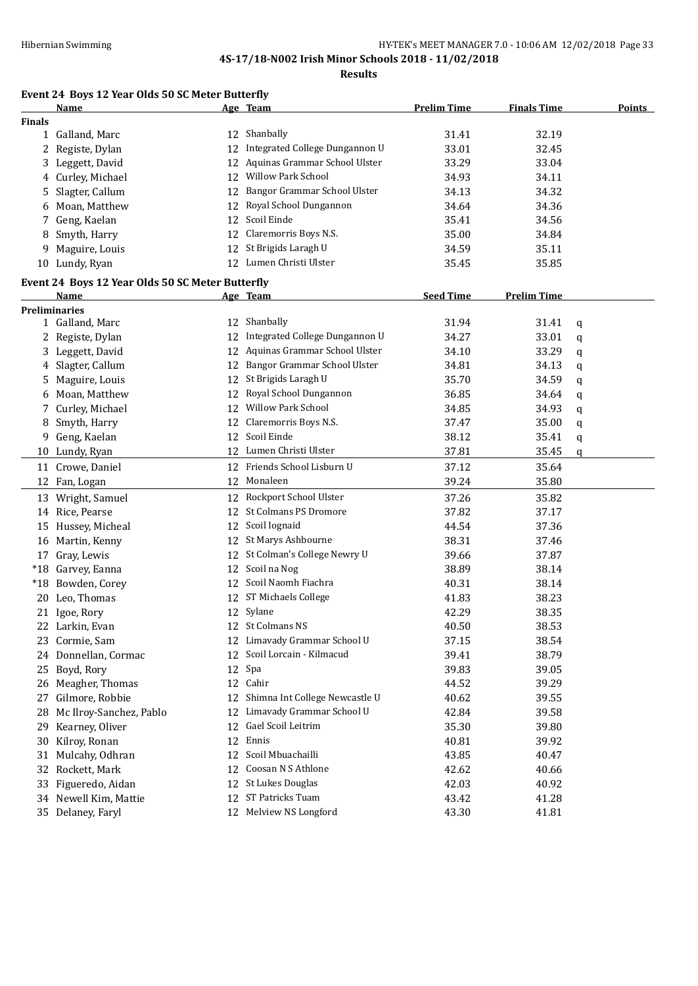**Results**

# **Event 24 Boys 12 Year Olds 50 SC Meter Butterfly**

|               | Name                                             |    | Age Team                       | <b>Prelim Time</b> | <b>Finals Time</b> | <b>Points</b> |
|---------------|--------------------------------------------------|----|--------------------------------|--------------------|--------------------|---------------|
| <b>Finals</b> |                                                  |    |                                |                    |                    |               |
|               | 1 Galland, Marc                                  |    | 12 Shanbally                   | 31.41              | 32.19              |               |
| 2             | Registe, Dylan                                   | 12 | Integrated College Dungannon U | 33.01              | 32.45              |               |
|               | 3 Leggett, David                                 | 12 | Aquinas Grammar School Ulster  | 33.29              | 33.04              |               |
|               | 4 Curley, Michael                                |    | 12 Willow Park School          | 34.93              | 34.11              |               |
| 5.            | Slagter, Callum                                  | 12 | Bangor Grammar School Ulster   | 34.13              | 34.32              |               |
| 6             | Moan, Matthew                                    |    | 12 Royal School Dungannon      | 34.64              | 34.36              |               |
| 7             | Geng, Kaelan                                     | 12 | Scoil Einde                    | 35.41              | 34.56              |               |
| 8             | Smyth, Harry                                     | 12 | Claremorris Boys N.S.          | 35.00              | 34.84              |               |
| 9             | Maguire, Louis                                   | 12 | St Brigids Laragh U            | 34.59              | 35.11              |               |
|               | 10 Lundy, Ryan                                   |    | 12 Lumen Christi Ulster        | 35.45              | 35.85              |               |
|               | Event 24 Boys 12 Year Olds 50 SC Meter Butterfly |    |                                |                    |                    |               |
|               | Name                                             |    | Age Team                       | <b>Seed Time</b>   | <b>Prelim Time</b> |               |
|               | <b>Preliminaries</b>                             |    |                                |                    |                    |               |
|               | 1 Galland, Marc                                  | 12 | Shanbally                      | 31.94              | 31.41              | q             |
|               | 2 Registe, Dylan                                 | 12 | Integrated College Dungannon U | 34.27              | 33.01              | q             |
|               | 3 Leggett, David                                 | 12 | Aquinas Grammar School Ulster  | 34.10              | 33.29              | q             |
|               | 4 Slagter, Callum                                | 12 | Bangor Grammar School Ulster   | 34.81              | 34.13              | q             |
|               | Maguire, Louis                                   | 12 | St Brigids Laragh U            | 35.70              | 34.59              | q             |
| 6             | Moan, Matthew                                    | 12 | Royal School Dungannon         | 36.85              | 34.64              | q             |
|               | Curley, Michael                                  | 12 | Willow Park School             | 34.85              | 34.93              | q             |
| 8             | Smyth, Harry                                     | 12 | Claremorris Boys N.S.          | 37.47              | 35.00              | q             |
| 9.            | Geng, Kaelan                                     | 12 | Scoil Einde                    | 38.12              | 35.41              | q             |
|               | 10 Lundy, Ryan                                   |    | 12 Lumen Christi Ulster        | 37.81              | 35.45              | q             |
|               | 11 Crowe, Daniel                                 |    | 12 Friends School Lisburn U    | 37.12              | 35.64              |               |
|               | 12 Fan, Logan                                    | 12 | Monaleen                       | 39.24              | 35.80              |               |
|               | 13 Wright, Samuel                                |    | 12 Rockport School Ulster      | 37.26              | 35.82              |               |
|               | 14 Rice, Pearse                                  | 12 | St Colmans PS Dromore          | 37.82              | 37.17              |               |
|               | 15 Hussey, Micheal                               | 12 | Scoil Iognaid                  | 44.54              | 37.36              |               |
|               | 16 Martin, Kenny                                 | 12 | St Marys Ashbourne             | 38.31              | 37.46              |               |
|               | 17 Gray, Lewis                                   | 12 | St Colman's College Newry U    | 39.66              | 37.87              |               |
|               | *18 Garvey, Eanna                                | 12 | Scoil na Nog                   | 38.89              | 38.14              |               |
|               | *18 Bowden, Corey                                | 12 | Scoil Naomh Fiachra            | 40.31              | 38.14              |               |
| 20            | Leo, Thomas                                      | 12 | ST Michaels College            | 41.83              | 38.23              |               |
|               | 21 Igoe, Rory                                    |    | 12 Sylane                      | 42.29              | 38.35              |               |
|               | 22 Larkin, Evan                                  |    | 12 St Colmans NS               | 40.50              | 38.53              |               |
|               | 23 Cormie, Sam                                   |    | 12 Limavady Grammar School U   | 37.15              | 38.54              |               |
|               | 24 Donnellan, Cormac                             | 12 | Scoil Lorcain - Kilmacud       | 39.41              | 38.79              |               |
| 25            | Boyd, Rory                                       | 12 | Spa                            | 39.83              | 39.05              |               |
| 26            | Meagher, Thomas                                  | 12 | Cahir                          | 44.52              | 39.29              |               |
| 27            | Gilmore, Robbie                                  | 12 | Shimna Int College Newcastle U | 40.62              | 39.55              |               |
| 28            | Mc Ilroy-Sanchez, Pablo                          | 12 | Limavady Grammar School U      | 42.84              | 39.58              |               |
| 29            | Kearney, Oliver                                  | 12 | Gael Scoil Leitrim             | 35.30              | 39.80              |               |
| 30            | Kilroy, Ronan                                    | 12 | Ennis                          | 40.81              | 39.92              |               |
| 31            | Mulcahy, Odhran                                  | 12 | Scoil Mbuachailli              | 43.85              | 40.47              |               |
| 32            | Rockett, Mark                                    | 12 | Coosan N S Athlone             | 42.62              | 40.66              |               |
| 33            | Figueredo, Aidan                                 | 12 | St Lukes Douglas               | 42.03              | 40.92              |               |
|               | 34 Newell Kim, Mattie                            | 12 | ST Patricks Tuam               | 43.42              | 41.28              |               |
|               | 35 Delaney, Faryl                                |    | 12 Melview NS Longford         | 43.30              | 41.81              |               |
|               |                                                  |    |                                |                    |                    |               |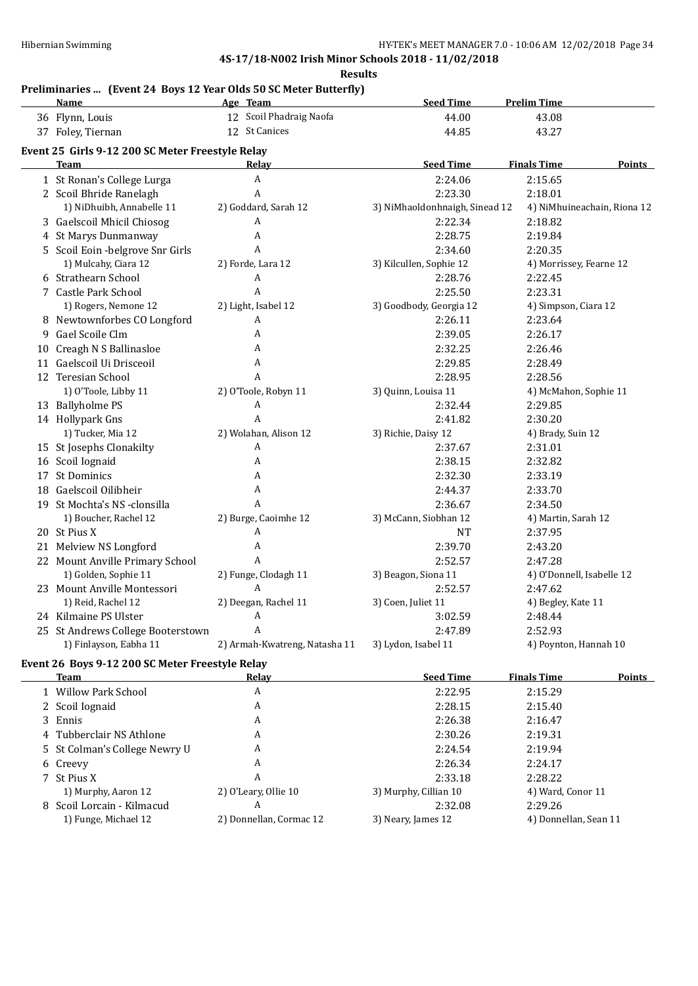**Results**

#### **Preliminaries ... (Event 24 Boys 12 Year Olds 50 SC Meter Butterfly)**

|   | <b>Name</b>                                      | Age Team                      | <b>Seed Time</b>               | <b>Prelim Time</b>                  |
|---|--------------------------------------------------|-------------------------------|--------------------------------|-------------------------------------|
|   | 36 Flynn, Louis                                  | 12 Scoil Phadraig Naofa       | 44.00                          | 43.08                               |
|   | 37 Foley, Tiernan                                | 12 St Canices                 | 44.85                          | 43.27                               |
|   | Event 25 Girls 9-12 200 SC Meter Freestyle Relay |                               |                                |                                     |
|   | <b>Team</b>                                      | Relay                         | <b>Seed Time</b>               | <b>Finals Time</b><br><b>Points</b> |
|   | 1 St Ronan's College Lurga                       | Α                             | 2:24.06                        | 2:15.65                             |
|   | 2 Scoil Bhride Ranelagh                          | A                             | 2:23.30                        | 2:18.01                             |
|   | 1) NiDhuibh, Annabelle 11                        | 2) Goddard, Sarah 12          | 3) NiMhaoldonhnaigh, Sinead 12 | 4) NiMhuineachain, Riona 12         |
|   | 3 Gaelscoil Mhicil Chiosog                       | A                             | 2:22.34                        | 2:18.82                             |
|   | 4 St Marys Dunmanway                             | A                             | 2:28.75                        | 2:19.84                             |
|   | 5 Scoil Eoin - belgrove Snr Girls                | A                             | 2:34.60                        | 2:20.35                             |
|   | 1) Mulcahy, Ciara 12                             | 2) Forde, Lara 12             | 3) Kilcullen, Sophie 12        | 4) Morrissey, Fearne 12             |
|   | 6 Strathearn School                              | $\boldsymbol{\mathsf{A}}$     | 2:28.76                        | 2:22.45                             |
|   | 7 Castle Park School                             | A                             | 2:25.50                        | 2:23.31                             |
|   | 1) Rogers, Nemone 12                             | 2) Light, Isabel 12           | 3) Goodbody, Georgia 12        | 4) Simpson, Ciara 12                |
|   | 8 Newtownforbes CO Longford                      | Α                             | 2:26.11                        | 2:23.64                             |
| 9 | Gael Scoile Clm                                  | A                             | 2:39.05                        | 2:26.17                             |
|   | 10 Creagh N S Ballinasloe                        | A                             | 2:32.25                        | 2:26.46                             |
|   | 11 Gaelscoil Ui Drisceoil                        | A                             | 2:29.85                        | 2:28.49                             |
|   | 12 Teresian School                               | A                             | 2:28.95                        | 2:28.56                             |
|   | 1) O'Toole, Libby 11                             | 2) O'Toole, Robyn 11          | 3) Quinn, Louisa 11            | 4) McMahon, Sophie 11               |
|   | 13 Ballyholme PS                                 | Α                             | 2:32.44                        | 2:29.85                             |
|   | 14 Hollypark Gns                                 | A                             | 2:41.82                        | 2:30.20                             |
|   | 1) Tucker, Mia 12                                | 2) Wolahan, Alison 12         | 3) Richie, Daisy 12            | 4) Brady, Suin 12                   |
|   | 15 St Josephs Clonakilty                         | A                             | 2:37.67                        | 2:31.01                             |
|   | 16 Scoil Iognaid                                 | A                             | 2:38.15                        | 2:32.82                             |
|   | 17 St Dominics                                   | Α                             | 2:32.30                        | 2:33.19                             |
|   | 18 Gaelscoil Oilibheir                           | Α                             | 2:44.37                        | 2:33.70                             |
|   | 19 St Mochta's NS -clonsilla                     | A                             | 2:36.67                        | 2:34.50                             |
|   | 1) Boucher, Rachel 12                            | 2) Burge, Caoimhe 12          | 3) McCann, Siobhan 12          | 4) Martin, Sarah 12                 |
|   | 20 St Pius X                                     | A                             | $\rm{NT}$                      | 2:37.95                             |
|   | 21 Melview NS Longford                           | Α                             | 2:39.70                        | 2:43.20                             |
|   | 22 Mount Anville Primary School                  | A                             | 2:52.57                        | 2:47.28                             |
|   | 1) Golden, Sophie 11                             | 2) Funge, Clodagh 11          | 3) Beagon, Siona 11            | 4) O'Donnell, Isabelle 12           |
|   | 23 Mount Anville Montessori                      | A                             | 2:52.57                        | 2:47.62                             |
|   | 1) Reid, Rachel 12                               | 2) Deegan, Rachel 11          | 3) Coen, Juliet 11             | 4) Begley, Kate 11                  |
|   | 24 Kilmaine PS Ulster                            | A                             | 3:02.59                        | 2:48.44                             |
|   | 25 St Andrews College Booterstown                | A                             | 2:47.89                        | 2:52.93                             |
|   | 1) Finlayson, Eabha 11                           | 2) Armah-Kwatreng, Natasha 11 | 3) Lydon, Isabel 11            | 4) Poynton, Hannah 10               |

#### **Event 26 Boys 9-12 200 SC Meter Freestyle Relay**

| Team                          | Relav                   | <b>Seed Time</b>      | <b>Finals Time</b>    | Points |
|-------------------------------|-------------------------|-----------------------|-----------------------|--------|
| 1 Willow Park School          | A                       | 2:22.95               | 2:15.29               |        |
| 2 Scoil Iognaid               | A                       | 2:28.15               | 2:15.40               |        |
| 3 Ennis                       | A                       | 2:26.38               | 2:16.47               |        |
| 4 Tubberclair NS Athlone      | A                       | 2:30.26               | 2:19.31               |        |
| 5 St Colman's College Newry U | A                       | 2:24.54               | 2:19.94               |        |
| 6 Creevy                      | A                       | 2:26.34               | 2:24.17               |        |
| 7 St Pius X                   | A                       | 2:33.18               | 2:28.22               |        |
| 1) Murphy, Aaron 12           | 2) O'Leary, Ollie 10    | 3) Murphy, Cillian 10 | 4) Ward, Conor 11     |        |
| 8 Scoil Lorcain - Kilmacud    | A                       | 2:32.08               | 2:29.26               |        |
| 1) Funge, Michael 12          | 2) Donnellan, Cormac 12 | 3) Neary, James 12    | 4) Donnellan, Sean 11 |        |
|                               |                         |                       |                       |        |